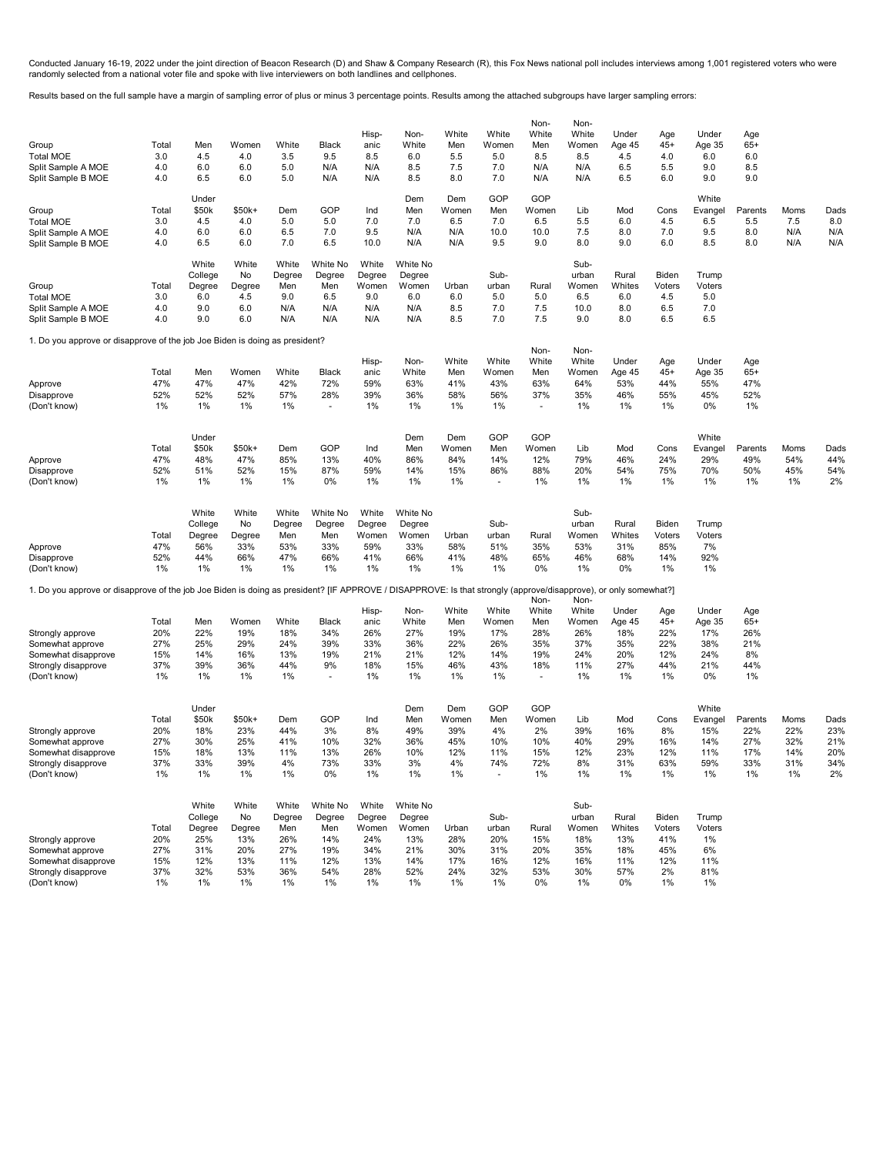Conducted January 16-19, 2022 under the joint direction of Beacon Research (D) and Shaw & Company Research (R), this Fox News national poll includes interviews among 1,001 registered voters who were<br>randomly selected from

Results based on the full sample have a margin of sampling error of plus or minus 3 percentage points. Results among the attached subgroups have larger sampling errors:

| Group<br><b>Total MOE</b><br>Split Sample A MOE<br>Split Sample B MOE                                                                                                                         | Total<br>3.0<br>4.0<br>4.0              | Men<br>4.5<br>6.0<br>6.5                                     | Women<br>4.0<br>6.0<br>6.0                              | White<br>3.5<br>5.0<br>5.0                               | Black<br>9.5<br>N/A<br>N/A                                  | Hisp-<br>anic<br>8.5<br>N/A<br>N/A                         | Non-<br>White<br>6.0<br>8.5<br>8.5                            | White<br>Men<br>5.5<br>7.5<br>8.0             | White<br>Women<br>5.0<br>7.0<br>7.0             | Non-<br>White<br>Men<br>8.5<br>N/A<br>N/A     | Non-<br>White<br>Women<br>8.5<br>N/A<br>N/A              | Under<br>Age 45<br>4.5<br>6.5<br>6.5              | Age<br>$45+$<br>4.0<br>5.5<br>6.0                | Under<br>Age 35<br>6.0<br>9.0<br>9.0               | Age<br>$65+$<br>6.0<br>8.5<br>9.0         |                                        |                                        |
|-----------------------------------------------------------------------------------------------------------------------------------------------------------------------------------------------|-----------------------------------------|--------------------------------------------------------------|---------------------------------------------------------|----------------------------------------------------------|-------------------------------------------------------------|------------------------------------------------------------|---------------------------------------------------------------|-----------------------------------------------|-------------------------------------------------|-----------------------------------------------|----------------------------------------------------------|---------------------------------------------------|--------------------------------------------------|----------------------------------------------------|-------------------------------------------|----------------------------------------|----------------------------------------|
| Group<br><b>Total MOE</b><br>Split Sample A MOE<br>Split Sample B MOE                                                                                                                         | Total<br>3.0<br>4.0<br>4.0              | Under<br>\$50k<br>4.5<br>6.0<br>6.5                          | \$50k+<br>4.0<br>6.0<br>6.0                             | Dem<br>5.0<br>6.5<br>7.0                                 | GOP<br>5.0<br>7.0<br>6.5                                    | Ind<br>7.0<br>9.5<br>10.0                                  | Dem<br>Men<br>7.0<br>N/A<br>N/A                               | Dem<br>Women<br>6.5<br>N/A<br>N/A             | GOP<br>Men<br>7.0<br>10.0<br>9.5                | GOP<br>Women<br>6.5<br>10.0<br>9.0            | Lib<br>5.5<br>7.5<br>8.0                                 | Mod<br>6.0<br>8.0<br>9.0                          | Cons<br>4.5<br>7.0<br>6.0                        | White<br>Evangel<br>6.5<br>9.5<br>8.5              | Parents<br>5.5<br>8.0<br>8.0              | Moms<br>7.5<br>N/A<br>N/A              | Dads<br>8.0<br>N/A<br>N/A              |
| Group<br><b>Total MOE</b><br>Split Sample A MOE<br>Split Sample B MOE                                                                                                                         | Total<br>3.0<br>4.0<br>4.0              | White<br>College<br>Degree<br>6.0<br>9.0<br>9.0              | White<br>No<br>Degree<br>4.5<br>6.0<br>6.0              | White<br>Degree<br>Men<br>9.0<br>N/A<br>N/A              | White No<br>Degree<br>Men<br>6.5<br>N/A<br>N/A              | White<br>Degree<br>Women<br>9.0<br>N/A<br>N/A              | White No<br>Degree<br>Women<br>6.0<br>N/A<br>N/A              | Urban<br>6.0<br>8.5<br>8.5                    | Sub-<br>urban<br>5.0<br>7.0<br>7.0              | Rural<br>5.0<br>7.5<br>7.5                    | Sub-<br>urban<br>Women<br>6.5<br>10.0<br>9.0             | Rural<br>Whites<br>6.0<br>8.0<br>8.0              | Biden<br>Voters<br>4.5<br>6.5<br>6.5             | Trump<br>Voters<br>5.0<br>7.0<br>6.5               |                                           |                                        |                                        |
| 1. Do you approve or disapprove of the job Joe Biden is doing as president?<br>Approve<br>Disapprove                                                                                          | Total<br>47%<br>52%                     | Men<br>47%<br>52%                                            | Women<br>47%<br>52%                                     | White<br>42%<br>57%                                      | Black<br>72%<br>28%                                         | Hisp-<br>anic<br>59%<br>39%                                | Non-<br>White<br>63%<br>36%                                   | White<br>Men<br>41%<br>58%                    | White<br>Women<br>43%<br>56%                    | Non-<br>White<br>Men<br>63%<br>37%            | Non-<br>White<br>Women<br>64%<br>35%                     | Under<br>Age 45<br>53%<br>46%                     | Age<br>$45+$<br>44%<br>55%                       | Under<br>Age 35<br>55%<br>45%                      | Age<br>$65+$<br>47%<br>52%                |                                        |                                        |
| (Don't know)<br>Approve<br>Disapprove                                                                                                                                                         | 1%<br>Total<br>47%<br>52%               | 1%<br>Under<br>\$50k<br>48%<br>51%                           | 1%<br>$$50k+$<br>47%<br>52%                             | 1%<br>Dem<br>85%<br>15%                                  | ٠<br>GOP<br>13%<br>87%                                      | 1%<br>Ind<br>40%<br>59%                                    | 1%<br>Dem<br>Men<br>86%<br>14%                                | 1%<br>Dem<br>Women<br>84%<br>15%              | 1%<br>GOP<br>Men<br>14%<br>86%                  | $\blacksquare$<br>GOP<br>Women<br>12%<br>88%  | 1%<br>Lib<br>79%<br>20%                                  | 1%<br>Mod<br>46%<br>54%                           | 1%<br>Cons<br>24%<br>75%                         | 0%<br>White<br>Evangel<br>29%<br>70%               | 1%<br>Parents<br>49%<br>50%               | Moms<br>54%<br>45%                     | Dads<br>44%<br>54%                     |
| (Don't know)<br>Approve                                                                                                                                                                       | 1%<br>Total<br>47%                      | 1%<br>White<br>College<br>Degree<br>56%                      | 1%<br>White<br>No<br>Degree<br>33%                      | 1%<br>White<br>Degree<br>Men<br>53%                      | 0%<br>White No<br>Degree<br>Men<br>33%                      | 1%<br>White<br>Degree<br>Women<br>59%                      | 1%<br>White No<br>Degree<br>Women<br>33%                      | 1%<br>Urban<br>58%                            | ٠<br>Sub-<br>urban<br>51%                       | 1%<br>Rural<br>35%                            | 1%<br>Sub-<br>urban<br>Women<br>53%                      | 1%<br>Rural<br>Whites<br>31%                      | 1%<br>Biden<br>Voters<br>85%                     | 1%<br>Trump<br>Voters<br>7%                        | 1%                                        | 1%                                     | 2%                                     |
| Disapprove<br>(Don't know)<br>1. Do you approve or disapprove of the job Joe Biden is doing as president? [IF APPROVE / DISAPPROVE: Is that strongly (approve/disapprove), or only somewhat?] | 52%<br>1%                               | 44%<br>1%                                                    | 66%<br>1%                                               | 47%<br>1%                                                | 66%<br>1%                                                   | 41%<br>1%<br>Hisp-                                         | 66%<br>1%<br>Non-                                             | 41%<br>1%<br>White                            | 48%<br>1%<br>White                              | 65%<br>0%<br>Non-<br>White                    | 46%<br>1%<br>Non-<br>White                               | 68%<br>0%<br>Under                                | 14%<br>1%<br>Age                                 | 92%<br>1%<br>Under                                 | Age                                       |                                        |                                        |
| Strongly approve<br>Somewhat approve<br>Somewhat disapprove<br>Strongly disapprove<br>(Don't know)                                                                                            | Total<br>20%<br>27%<br>15%<br>37%<br>1% | Men<br>22%<br>25%<br>14%<br>39%<br>1%                        | Women<br>19%<br>29%<br>16%<br>36%<br>1%                 | White<br>18%<br>24%<br>13%<br>44%<br>1%                  | Black<br>34%<br>39%<br>19%<br>9%                            | anic<br>26%<br>33%<br>21%<br>18%<br>1%                     | White<br>27%<br>36%<br>21%<br>15%<br>1%                       | Men<br>19%<br>22%<br>12%<br>46%<br>1%         | Women<br>17%<br>26%<br>14%<br>43%<br>1%         | Men<br>28%<br>35%<br>19%<br>18%               | Women<br>26%<br>37%<br>24%<br>11%<br>1%                  | Age 45<br>18%<br>35%<br>20%<br>27%<br>1%          | $45+$<br>22%<br>22%<br>12%<br>44%<br>1%          | Age 35<br>17%<br>38%<br>24%<br>21%<br>0%           | $65+$<br>26%<br>21%<br>8%<br>44%<br>1%    |                                        |                                        |
| Strongly approve<br>Somewhat approve<br>Somewhat disapprove<br>Strongly disapprove<br>(Don't know)                                                                                            | Total<br>20%<br>27%<br>15%<br>37%<br>1% | Under<br>\$50k<br>18%<br>30%<br>18%<br>33%<br>1%             | $$50k+$<br>23%<br>25%<br>13%<br>39%<br>1%               | Dem<br>44%<br>41%<br>11%<br>4%<br>1%                     | GOP<br>3%<br>10%<br>13%<br>73%<br>0%                        | Ind<br>8%<br>32%<br>26%<br>33%<br>1%                       | Dem<br>Men<br>49%<br>36%<br>10%<br>3%<br>$1\%$                | Dem<br>Women<br>39%<br>45%<br>12%<br>4%<br>1% | GOP<br>Men<br>4%<br>10%<br>11%<br>74%           | GOP<br>Women<br>2%<br>10%<br>15%<br>72%<br>1% | Lib<br>39%<br>40%<br>12%<br>8%<br>1%                     | Mod<br>16%<br>29%<br>23%<br>31%<br>1%             | Cons<br>8%<br>16%<br>12%<br>63%<br>1%            | White<br>Evangel<br>15%<br>14%<br>11%<br>59%<br>1% | Parents<br>22%<br>27%<br>17%<br>33%<br>1% | Moms<br>22%<br>32%<br>14%<br>31%<br>1% | Dads<br>23%<br>21%<br>20%<br>34%<br>2% |
| Strongly approve<br>Somewhat approve<br>Somewhat disapprove<br>Strongly disapprove<br>(Don't know)                                                                                            | Total<br>20%<br>27%<br>15%<br>37%<br>1% | White<br>College<br>Degree<br>25%<br>31%<br>12%<br>32%<br>1% | White<br>No<br>Degree<br>13%<br>20%<br>13%<br>53%<br>1% | White<br>Degree<br>Men<br>26%<br>27%<br>11%<br>36%<br>1% | White No<br>Degree<br>Men<br>14%<br>19%<br>12%<br>54%<br>1% | White<br>Degree<br>Women<br>24%<br>34%<br>13%<br>28%<br>1% | White No<br>Degree<br>Women<br>13%<br>21%<br>14%<br>52%<br>1% | Urban<br>28%<br>30%<br>17%<br>24%<br>1%       | Sub-<br>urban<br>20%<br>31%<br>16%<br>32%<br>1% | Rural<br>15%<br>20%<br>12%<br>53%<br>0%       | Sub-<br>urban<br>Women<br>18%<br>35%<br>16%<br>30%<br>1% | Rural<br>Whites<br>13%<br>18%<br>11%<br>57%<br>0% | Biden<br>Voters<br>41%<br>45%<br>12%<br>2%<br>1% | Trump<br>Voters<br>1%<br>6%<br>11%<br>81%<br>1%    |                                           |                                        |                                        |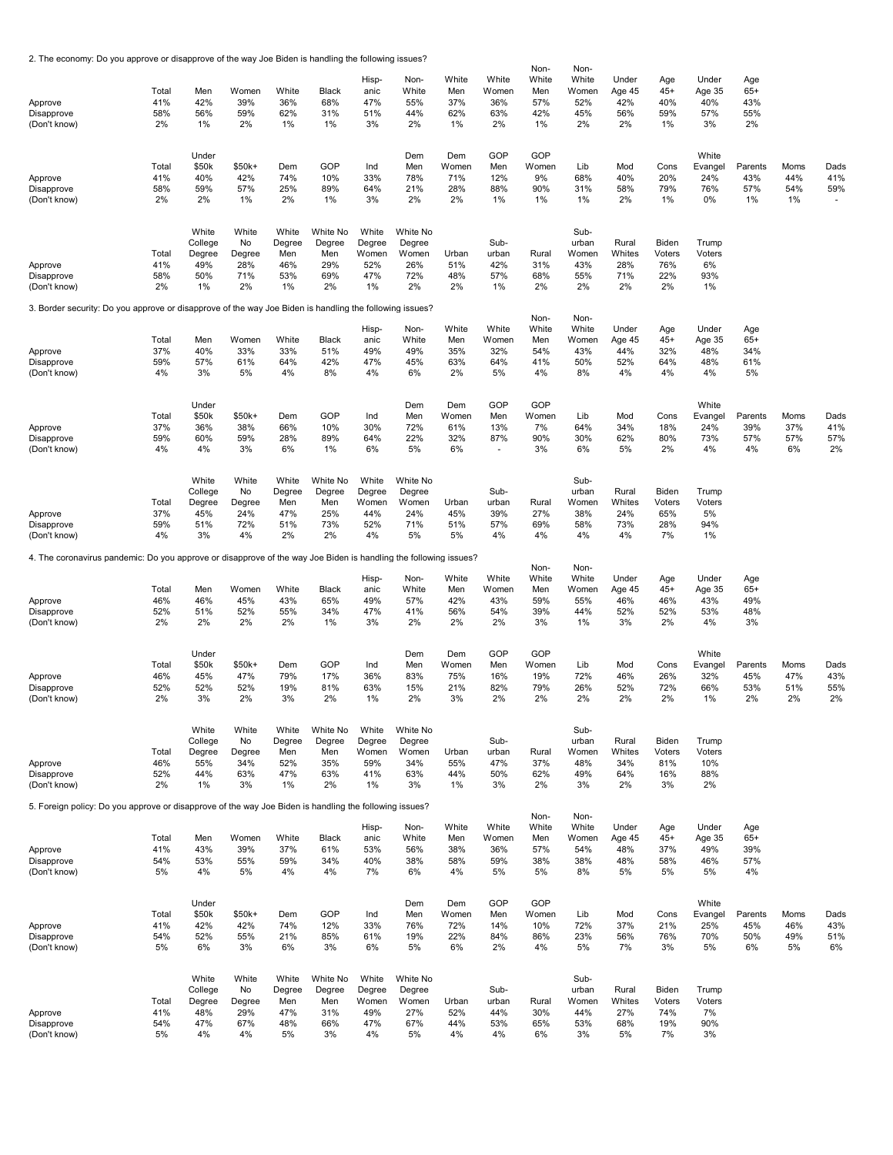2. The economy: Do you approve or disapprove of the way Joe Biden is handling the following issues?

| Approve<br>Disapprove<br>(Don't know)                                                                            | Total<br>41%<br>58%<br>2% | Men<br>42%<br>56%<br>1%                        | Women<br>39%<br>59%<br>2%                 | White<br>36%<br>62%<br>1%                  | Black<br>68%<br>31%<br>1%                     | Hisp-<br>anic<br>47%<br>51%<br>3%            | Non-<br>White<br>55%<br>44%<br>2%               | White<br>Men<br>37%<br>62%<br>1% | White<br>Women<br>36%<br>63%<br>2% | Non-<br>White<br>Men<br>57%<br>42%<br>1% | Non-<br>White<br>Women<br>52%<br>45%<br>2% | Under<br>Age 45<br>42%<br>56%<br>2% | Age<br>$45+$<br>40%<br>59%<br>1%    | Under<br>Age 35<br>40%<br>57%<br>3%  | Age<br>$65+$<br>43%<br>55%<br>2% |                          |                                      |
|------------------------------------------------------------------------------------------------------------------|---------------------------|------------------------------------------------|-------------------------------------------|--------------------------------------------|-----------------------------------------------|----------------------------------------------|-------------------------------------------------|----------------------------------|------------------------------------|------------------------------------------|--------------------------------------------|-------------------------------------|-------------------------------------|--------------------------------------|----------------------------------|--------------------------|--------------------------------------|
| Approve<br>Disapprove<br>(Don't know)                                                                            | Total<br>41%<br>58%<br>2% | Under<br>\$50k<br>40%<br>59%<br>2%             | $$50k+$<br>42%<br>57%<br>1%               | Dem<br>74%<br>25%<br>2%                    | GOP<br>10%<br>89%<br>1%                       | Ind<br>33%<br>64%<br>3%                      | Dem<br>Men<br>78%<br>21%<br>2%                  | Dem<br>Women<br>71%<br>28%<br>2% | GOP<br>Men<br>12%<br>88%<br>1%     | GOP<br>Women<br>9%<br>90%<br>1%          | Lib<br>68%<br>31%<br>1%                    | Mod<br>40%<br>58%<br>2%             | Cons<br>20%<br>79%<br>1%            | White<br>Evangel<br>24%<br>76%<br>0% | Parents<br>43%<br>57%<br>1%      | Moms<br>44%<br>54%<br>1% | Dads<br>41%<br>59%<br>$\blacksquare$ |
| Approve<br>Disapprove<br>(Don't know)                                                                            | Total<br>41%<br>58%<br>2% | White<br>College<br>Degree<br>49%<br>50%<br>1% | White<br>No<br>Degree<br>28%<br>71%<br>2% | White<br>Degree<br>Men<br>46%<br>53%<br>1% | White No<br>Degree<br>Men<br>29%<br>69%<br>2% | White<br>Degree<br>Women<br>52%<br>47%<br>1% | White No<br>Degree<br>Women<br>26%<br>72%<br>2% | Urban<br>51%<br>48%<br>2%        | Sub-<br>urban<br>42%<br>57%<br>1%  | Rural<br>31%<br>68%<br>2%                | Sub-<br>urban<br>Women<br>43%<br>55%<br>2% | Rural<br>Whites<br>28%<br>71%<br>2% | Biden<br>Voters<br>76%<br>22%<br>2% | Trump<br>Voters<br>6%<br>93%<br>1%   |                                  |                          |                                      |
| 3. Border security: Do you approve or disapprove of the way Joe Biden is handling the following issues?          |                           |                                                |                                           |                                            |                                               |                                              |                                                 |                                  |                                    | Non-                                     | Non-                                       |                                     |                                     |                                      |                                  |                          |                                      |
| Approve<br>Disapprove<br>(Don't know)                                                                            | Total<br>37%<br>59%<br>4% | Men<br>40%<br>57%<br>3%                        | Women<br>33%<br>61%<br>5%                 | White<br>33%<br>64%<br>4%                  | Black<br>51%<br>42%<br>8%                     | Hisp-<br>anic<br>49%<br>47%<br>4%            | Non-<br>White<br>49%<br>45%<br>6%               | White<br>Men<br>35%<br>63%<br>2% | White<br>Women<br>32%<br>64%<br>5% | White<br>Men<br>54%<br>41%<br>4%         | White<br>Women<br>43%<br>50%<br>8%         | Under<br>Age 45<br>44%<br>52%<br>4% | Age<br>$45+$<br>32%<br>64%<br>4%    | Under<br>Age 35<br>48%<br>48%<br>4%  | Age<br>$65+$<br>34%<br>61%<br>5% |                          |                                      |
| Approve<br>Disapprove<br>(Don't know)                                                                            | Total<br>37%<br>59%<br>4% | Under<br>\$50k<br>36%<br>60%<br>4%             | $$50k+$<br>38%<br>59%<br>3%               | Dem<br>66%<br>28%<br>6%                    | GOP<br>10%<br>89%<br>1%                       | Ind<br>30%<br>64%<br>6%                      | Dem<br>Men<br>72%<br>22%<br>5%                  | Dem<br>Women<br>61%<br>32%<br>6% | GOP<br>Men<br>13%<br>87%<br>٠      | GOP<br>Women<br>7%<br>90%<br>3%          | Lib<br>64%<br>30%<br>6%                    | Mod<br>34%<br>62%<br>5%             | Cons<br>18%<br>80%<br>2%            | White<br>Evangel<br>24%<br>73%<br>4% | Parents<br>39%<br>57%<br>4%      | Moms<br>37%<br>57%<br>6% | Dads<br>41%<br>57%<br>2%             |
| Approve<br>Disapprove<br>(Don't know)                                                                            | Total<br>37%<br>59%<br>4% | White<br>College<br>Degree<br>45%<br>51%<br>3% | White<br>No<br>Degree<br>24%<br>72%<br>4% | White<br>Degree<br>Men<br>47%<br>51%<br>2% | White No<br>Degree<br>Men<br>25%<br>73%<br>2% | White<br>Degree<br>Women<br>44%<br>52%<br>4% | White No<br>Degree<br>Women<br>24%<br>71%<br>5% | Urban<br>45%<br>51%<br>5%        | Sub-<br>urban<br>39%<br>57%<br>4%  | Rural<br>27%<br>69%<br>4%                | Sub-<br>urban<br>Women<br>38%<br>58%<br>4% | Rural<br>Whites<br>24%<br>73%<br>4% | Biden<br>Voters<br>65%<br>28%<br>7% | Trump<br>Voters<br>5%<br>94%<br>1%   |                                  |                          |                                      |
| 4. The coronavirus pandemic: Do you approve or disapprove of the way Joe Biden is handling the following issues? |                           |                                                |                                           |                                            |                                               |                                              |                                                 |                                  |                                    | Non-                                     | Non-                                       |                                     |                                     |                                      |                                  |                          |                                      |
| Approve<br>Disapprove<br>(Don't know)                                                                            | Total<br>46%<br>52%<br>2% | Men<br>46%<br>51%<br>2%                        | Women<br>45%<br>52%<br>2%                 | White<br>43%<br>55%<br>2%                  | Black<br>65%<br>34%<br>1%                     | Hisp-<br>anic<br>49%<br>47%<br>3%            | Non-<br>White<br>57%<br>41%<br>2%               | White<br>Men<br>42%<br>56%<br>2% | White<br>Women<br>43%<br>54%<br>2% | White<br>Men<br>59%<br>39%<br>3%         | White<br>Women<br>55%<br>44%<br>1%         | Under<br>Age 45<br>46%<br>52%<br>3% | Age<br>$45+$<br>46%<br>52%<br>2%    | Under<br>Age 35<br>43%<br>53%<br>4%  | Age<br>$65+$<br>49%<br>48%<br>3% |                          |                                      |
| Approve<br>Disapprove<br>(Don't know)                                                                            | Total<br>46%<br>52%<br>2% | Under<br>\$50k<br>45%<br>52%<br>3%             | $$50k+$<br>47%<br>52%<br>2%               | Dem<br>79%<br>19%<br>3%                    | GOP<br>17%<br>81%<br>2%                       | Ind<br>36%<br>63%<br>1%                      | Dem<br>Men<br>83%<br>15%<br>2%                  | Dem<br>Women<br>75%<br>21%<br>3% | GOP<br>Men<br>16%<br>82%<br>2%     | GOP<br>Women<br>19%<br>79%<br>2%         | Lib<br>72%<br>26%<br>2%                    | Mod<br>46%<br>52%<br>2%             | Cons<br>26%<br>72%<br>2%            | White<br>Evangel<br>32%<br>66%<br>1% | Parents<br>45%<br>53%<br>2%      | Moms<br>47%<br>51%<br>2% | Dads<br>43%<br>55%<br>2%             |
| Approve<br>Disapprove<br>(Don't know)                                                                            | Total<br>46%<br>52%<br>2% | White<br>College<br>Degree<br>55%<br>44%<br>1% | White<br>No<br>Degree<br>34%<br>63%<br>3% | White<br>Degree<br>Men<br>52%<br>47%<br>1% | White No<br>Degree<br>Men<br>35%<br>63%<br>2% | White<br>Degree<br>Women<br>59%<br>41%<br>1% | White No<br>Degree<br>Women<br>34%<br>63%<br>3% | Urban<br>55%<br>44%<br>1%        | Sub-<br>urban<br>47%<br>50%<br>3%  | Rural<br>37%<br>62%<br>2%                | Sub-<br>urban<br>Women<br>48%<br>49%<br>3% | Rural<br>Whites<br>34%<br>64%<br>2% | Biden<br>Voters<br>81%<br>16%<br>3% | Trump<br>Voters<br>10%<br>88%<br>2%  |                                  |                          |                                      |
| 5. Foreign policy: Do you approve or disapprove of the way Joe Biden is handling the following issues?           |                           |                                                |                                           |                                            |                                               |                                              |                                                 |                                  |                                    |                                          |                                            |                                     |                                     |                                      |                                  |                          |                                      |
| Approve<br>Disapprove<br>(Don't know)                                                                            | Total<br>41%<br>54%<br>5% | Men<br>43%<br>53%<br>4%                        | Women<br>39%<br>55%<br>5%                 | White<br>37%<br>59%<br>4%                  | Black<br>61%<br>34%<br>4%                     | Hisp-<br>anic<br>53%<br>40%<br>7%            | Non-<br>White<br>56%<br>38%<br>6%               | White<br>Men<br>38%<br>58%<br>4% | White<br>Women<br>36%<br>59%<br>5% | Non-<br>White<br>Men<br>57%<br>38%<br>5% | Non-<br>White<br>Women<br>54%<br>38%<br>8% | Under<br>Age 45<br>48%<br>48%<br>5% | Age<br>$45+$<br>37%<br>58%<br>5%    | Under<br>Age 35<br>49%<br>46%<br>5%  | Age<br>$65+$<br>39%<br>57%<br>4% |                          |                                      |
| Approve<br>Disapprove<br>(Don't know)                                                                            | Total<br>41%<br>54%<br>5% | Under<br>\$50k<br>42%<br>52%<br>6%             | $$50k+$<br>42%<br>55%<br>3%               | Dem<br>74%<br>21%<br>6%                    | GOP<br>12%<br>85%<br>3%                       | Ind<br>33%<br>61%<br>6%                      | Dem<br>Men<br>76%<br>19%<br>5%                  | Dem<br>Women<br>72%<br>22%<br>6% | GOP<br>Men<br>14%<br>84%<br>2%     | GOP<br>Women<br>10%<br>86%<br>4%         | Lib<br>72%<br>23%<br>5%                    | Mod<br>37%<br>56%<br>7%             | Cons<br>21%<br>76%<br>3%            | White<br>Evangel<br>25%<br>70%<br>5% | Parents<br>45%<br>50%<br>6%      | Moms<br>46%<br>49%<br>5% | Dads<br>43%<br>51%<br>6%             |
| Approve<br>Disapprove<br>(Don't know)                                                                            | Total<br>41%<br>54%<br>5% | White<br>College<br>Degree<br>48%<br>47%<br>4% | White<br>No<br>Degree<br>29%<br>67%<br>4% | White<br>Degree<br>Men<br>47%<br>48%<br>5% | White No<br>Degree<br>Men<br>31%<br>66%<br>3% | White<br>Degree<br>Women<br>49%<br>47%<br>4% | White No<br>Degree<br>Women<br>27%<br>67%<br>5% | Urban<br>52%<br>44%<br>4%        | Sub-<br>urban<br>44%<br>53%<br>4%  | Rural<br>30%<br>65%<br>6%                | Sub-<br>urban<br>Women<br>44%<br>53%<br>3% | Rural<br>Whites<br>27%<br>68%<br>5% | Biden<br>Voters<br>74%<br>19%<br>7% | Trump<br>Voters<br>7%<br>90%<br>3%   |                                  |                          |                                      |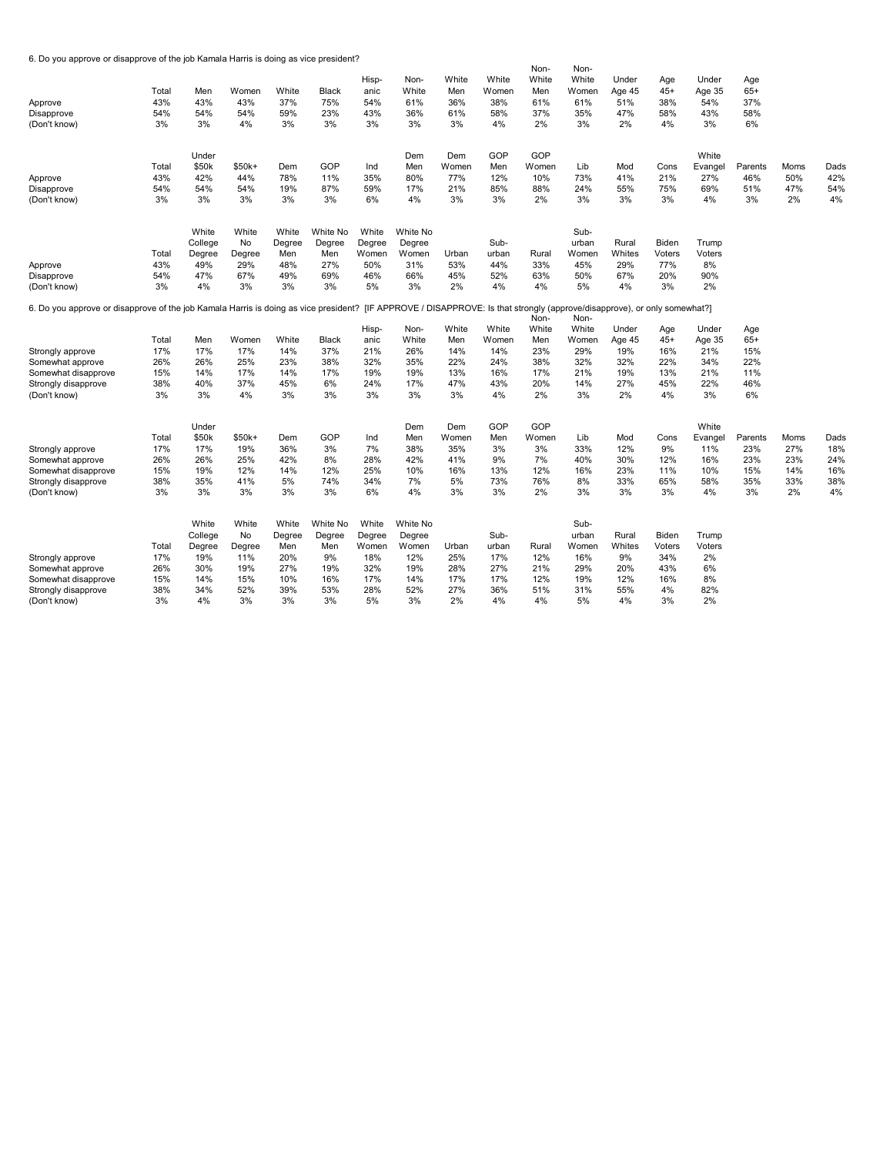6. Do you approve or disapprove of the job Kamala Harris is doing as vice president?

| Approve<br>Disapprove<br>(Don't know)                                                | Total<br>43%<br>54%<br>3% | Men<br>43%<br>54%<br>3% | Women<br>43%<br>54%<br>4% | White<br>37%<br>59%<br>3% | <b>Black</b><br>75%<br>23%<br>3% | Hisp-<br>anic<br>54%<br>43%<br>3% | Non-<br>White<br>61%<br>36%<br>3% | White<br>Men<br>36%<br>61%<br>3% | White<br>Women<br>38%<br>58%<br>4%                                                  | Non-<br>White<br>Men<br>61%<br>37%<br>2% | Non-<br>White<br>Women<br>61%<br>35%<br>3% | Under<br>Age 45<br>51%<br>47%<br>2% | Age<br>$45+$<br>38%<br>58%<br>4% | Under<br>Age 35<br>54%<br>43%<br>3% | Age<br>$65+$<br>37%<br>58%<br>6% |             |             |
|--------------------------------------------------------------------------------------|---------------------------|-------------------------|---------------------------|---------------------------|----------------------------------|-----------------------------------|-----------------------------------|----------------------------------|-------------------------------------------------------------------------------------|------------------------------------------|--------------------------------------------|-------------------------------------|----------------------------------|-------------------------------------|----------------------------------|-------------|-------------|
| Approve                                                                              | Total<br>43%              | Under<br>\$50k<br>42%   | $$50k+$<br>44%            | Dem<br>78%                | GOP<br>11%                       | Ind<br>35%                        | Dem<br>Men<br>80%                 | Dem<br>Women<br>77%              | GOP<br>Men<br>12%                                                                   | GOP<br>Women<br>10%                      | Lib<br>73%                                 | Mod<br>41%                          | Cons<br>21%                      | White<br>Evangel<br>27%             | Parents<br>46%                   | Moms<br>50% | Dads<br>42% |
| Disapprove<br>(Don't know)                                                           | 54%<br>3%                 | 54%<br>3%               | 54%<br>3%                 | 19%<br>3%                 | 87%<br>3%                        | 59%<br>6%                         | 17%<br>4%                         | 21%<br>3%                        | 85%<br>3%                                                                           | 88%<br>2%                                | 24%<br>3%                                  | 55%<br>3%                           | 75%<br>3%                        | 69%<br>4%                           | 51%<br>3%                        | 47%<br>2%   | 54%<br>4%   |
|                                                                                      |                           | White<br>College        | White<br>No               | White<br>Degree           | White No<br>Degree               | White<br>Degree                   | White No<br>Degree                |                                  | Sub-                                                                                |                                          | Sub-<br>urban                              | Rural                               | Biden                            | Trump                               |                                  |             |             |
|                                                                                      | Total                     | Degree                  | Degree                    | Men                       | Men                              | Women                             | Women                             | Urban                            | urban                                                                               | Rural                                    | Women                                      | Whites                              | Voters                           | Voters                              |                                  |             |             |
| Approve                                                                              | 43%                       | 49%                     | 29%                       | 48%                       | 27%                              | 50%                               | 31%                               | 53%                              | 44%                                                                                 | 33%                                      | 45%                                        | 29%                                 | 77%                              | 8%                                  |                                  |             |             |
| Disapprove<br>(Don't know)                                                           | 54%<br>3%                 | 47%<br>4%               | 67%<br>3%                 | 49%<br>3%                 | 69%<br>3%                        | 46%<br>5%                         | 66%<br>3%                         | 45%<br>2%                        | 52%<br>4%                                                                           | 63%<br>4%                                | 50%<br>5%                                  | 67%<br>4%                           | 20%<br>3%                        | 90%<br>2%                           |                                  |             |             |
| 6. Do you approve or disapprove of the job Kamala Harris is doing as vice president? |                           |                         |                           |                           |                                  |                                   |                                   |                                  | [IF APPROVE / DISAPPROVE: Is that strongly (approve/disapprove), or only somewhat?] | Non-                                     | Non-                                       |                                     |                                  |                                     |                                  |             |             |
|                                                                                      |                           |                         |                           |                           |                                  | Hisp-                             | Non-                              | White                            | White                                                                               | White                                    | White                                      | Under                               | Age                              | Under                               | Age                              |             |             |
|                                                                                      | Total                     | Men                     | Women                     | White                     | <b>Black</b>                     | anic                              | White                             | Men                              | Women                                                                               | Men                                      | Women                                      | Age 45                              | $45+$                            | Age 35                              | $65+$                            |             |             |
| Strongly approve                                                                     | 17%                       | 17%                     | 17%                       | 14%                       | 37%                              | 21%                               | 26%                               | 14%                              | 14%                                                                                 | 23%                                      | 29%                                        | 19%                                 | 16%                              | 21%                                 | 15%                              |             |             |
| Somewhat approve                                                                     | 26%                       | 26%                     | 25%                       | 23%                       | 38%                              | 32%                               | 35%                               | 22%                              | 24%                                                                                 | 38%                                      | 32%                                        | 32%                                 | 22%                              | 34%                                 | 22%                              |             |             |
| Somewhat disapprove                                                                  | 15%                       | 14%                     | 17%                       | 14%                       | 17%                              | 19%                               | 19%                               | 13%                              | 16%                                                                                 | 17%                                      | 21%                                        | 19%                                 | 13%                              | 21%                                 | 11%                              |             |             |
| Strongly disapprove<br>(Don't know)                                                  | 38%<br>3%                 | 40%<br>3%               | 37%<br>4%                 | 45%<br>3%                 | 6%<br>3%                         | 24%<br>3%                         | 17%<br>3%                         | 47%<br>3%                        | 43%<br>4%                                                                           | 20%<br>2%                                | 14%<br>3%                                  | 27%<br>2%                           | 45%<br>4%                        | 22%<br>3%                           | 46%<br>6%                        |             |             |
|                                                                                      |                           | Under                   |                           |                           |                                  |                                   | Dem                               | Dem                              | GOP                                                                                 | GOP                                      |                                            |                                     |                                  | White                               |                                  |             |             |
|                                                                                      | Total                     | \$50k                   | $$50k+$                   | Dem                       | GOP                              | Ind                               | Men                               | Women                            | Men                                                                                 | Women                                    | Lib                                        | Mod                                 | Cons                             | Evangel                             | Parents                          | Moms        | Dads        |
| Strongly approve                                                                     | 17%                       | 17%                     | 19%                       | 36%                       | 3%                               | 7%                                | 38%                               | 35%                              | 3%                                                                                  | 3%                                       | 33%                                        | 12%                                 | 9%                               | 11%                                 | 23%                              | 27%         | 18%         |
| Somewhat approve                                                                     | 26%                       | 26%                     | 25%                       | 42%                       | 8%                               | 28%                               | 42%                               | 41%                              | 9%                                                                                  | 7%                                       | 40%                                        | 30%                                 | 12%                              | 16%                                 | 23%                              | 23%         | 24%         |
| Somewhat disapprove                                                                  | 15%                       | 19%                     | 12%                       | 14%                       | 12%                              | 25%                               | 10%                               | 16%                              | 13%                                                                                 | 12%                                      | 16%                                        | 23%                                 | 11%                              | 10%                                 | 15%                              | 14%         | 16%         |
| Strongly disapprove                                                                  | 38%                       | 35%                     | 41%                       | 5%                        | 74%                              | 34%                               | 7%                                | 5%                               | 73%                                                                                 | 76%                                      | 8%                                         | 33%                                 | 65%                              | 58%                                 | 35%                              | 33%         | 38%         |
| (Don't know)                                                                         | 3%                        | 3%                      | 3%                        | 3%                        | 3%                               | 6%                                | 4%                                | 3%                               | 3%                                                                                  | 2%                                       | 3%                                         | 3%                                  | 3%                               | 4%                                  | 3%                               | 2%          | 4%          |
|                                                                                      |                           | White                   | White                     | White                     | White No                         | White                             | White No                          |                                  |                                                                                     |                                          | Sub-                                       |                                     |                                  |                                     |                                  |             |             |
|                                                                                      |                           | College                 | No                        | Degree                    | Degree                           | Degree                            | Degree                            |                                  | Sub-                                                                                |                                          | urban                                      | Rural                               | Biden                            | Trump                               |                                  |             |             |
|                                                                                      | Total                     | Degree                  | Degree                    | Men                       | Men                              | Women                             | Women                             | Urban                            | urban                                                                               | Rural                                    | Women                                      | Whites                              | Voters                           | Voters                              |                                  |             |             |
| Strongly approve                                                                     | 17%                       | 19%                     | 11%                       | 20%                       | 9%                               | 18%                               | 12%                               | 25%                              | 17%                                                                                 | 12%                                      | 16%                                        | 9%                                  | 34%                              | 2%                                  |                                  |             |             |
| Somewhat approve                                                                     | 26%                       | 30%                     | 19%                       | 27%                       | 19%                              | 32%                               | 19%                               | 28%                              | 27%                                                                                 | 21%                                      | 29%                                        | 20%                                 | 43%                              | 6%                                  |                                  |             |             |
| Somewhat disapprove                                                                  | 15%                       | 14%                     | 15%                       | 10%                       | 16%                              | 17%                               | 14%                               | 17%                              | 17%                                                                                 | 12%                                      | 19%                                        | 12%                                 | 16%                              | 8%                                  |                                  |             |             |
| Strongly disapprove                                                                  | 38%                       | 34%                     | 52%                       | 39%                       | 53%                              | 28%                               | 52%                               | 27%                              | 36%                                                                                 | 51%                                      | 31%                                        | 55%                                 | 4%                               | 82%                                 |                                  |             |             |
| (Don't know)                                                                         | 3%                        | 4%                      | 3%                        | 3%                        | 3%                               | 5%                                | 3%                                | 2%                               | 4%                                                                                  | 4%                                       | 5%                                         | 4%                                  | 3%                               | 2%                                  |                                  |             |             |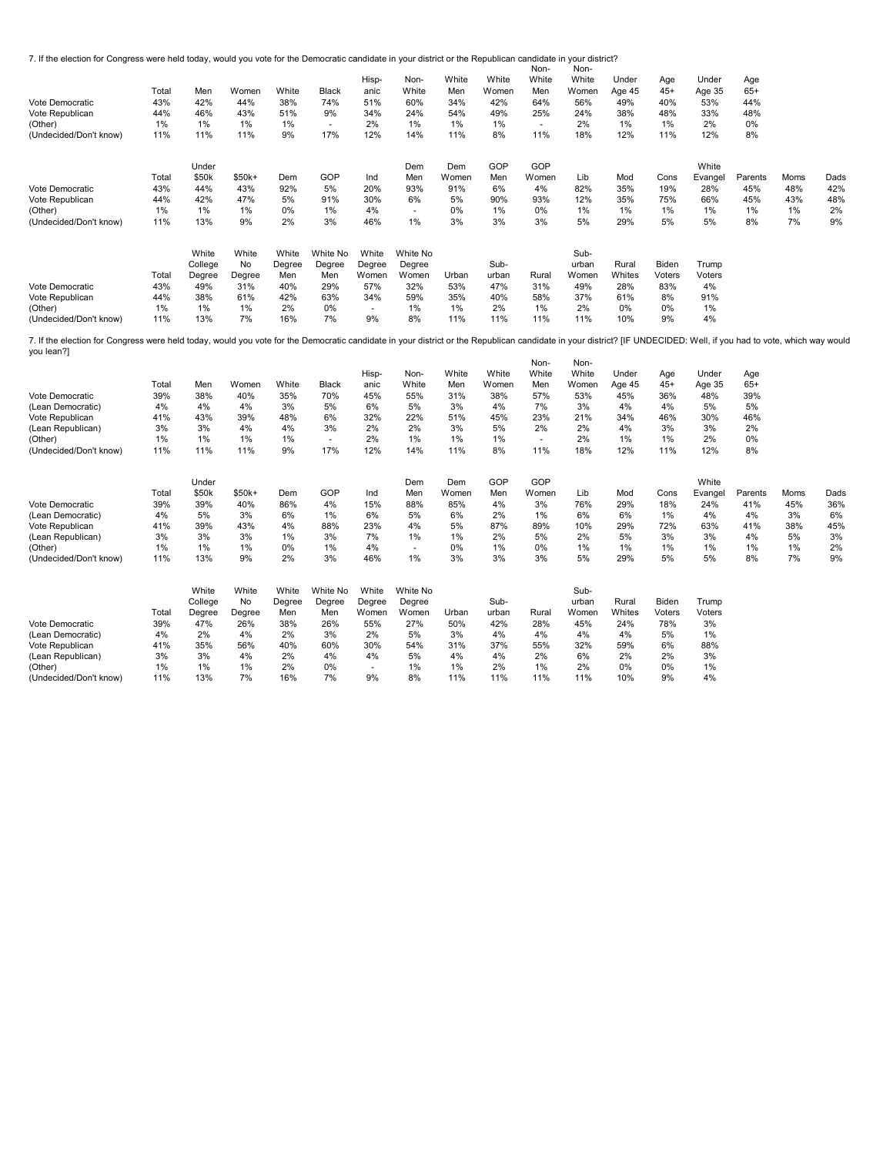7. If the election for Congress were held today, would you vote for the Democratic candidate in your district or the Republican candidate in your district?

|                                                                                                                                                                                                                                    |       |         |         |        |              |        |          |       |       | Non-         | Non-  |        |        |         |         |      |      |
|------------------------------------------------------------------------------------------------------------------------------------------------------------------------------------------------------------------------------------|-------|---------|---------|--------|--------------|--------|----------|-------|-------|--------------|-------|--------|--------|---------|---------|------|------|
|                                                                                                                                                                                                                                    |       |         |         |        |              | Hisp-  | Non-     | White | White | White        | White | Under  | Age    | Under   | Age     |      |      |
|                                                                                                                                                                                                                                    | Total | Men     | Women   | White  | <b>Black</b> | anic   | White    | Men   | Women | Men          | Women | Age 45 | $45+$  | Age 35  | $65+$   |      |      |
| Vote Democratic                                                                                                                                                                                                                    | 43%   | 42%     | 44%     | 38%    | 74%          | 51%    | 60%      | 34%   | 42%   | 64%          | 56%   | 49%    | 40%    | 53%     | 44%     |      |      |
| Vote Republican                                                                                                                                                                                                                    | 44%   | 46%     | 43%     | 51%    | 9%           | 34%    | 24%      | 54%   | 49%   | 25%          | 24%   | 38%    | 48%    | 33%     | 48%     |      |      |
| (Other)                                                                                                                                                                                                                            | 1%    | 1%      | 1%      | 1%     | $\sim$       | 2%     | 1%       | 1%    | 1%    | $\mathbf{r}$ | 2%    | 1%     | 1%     | 2%      | 0%      |      |      |
| (Undecided/Don't know)                                                                                                                                                                                                             | 11%   | 11%     | 11%     | 9%     | 17%          | 12%    | 14%      | 11%   | 8%    | 11%          | 18%   | 12%    | 11%    | 12%     | 8%      |      |      |
|                                                                                                                                                                                                                                    |       | Under   |         |        |              |        | Dem      | Dem   | GOP   | GOP          |       |        |        | White   |         |      |      |
|                                                                                                                                                                                                                                    | Total | \$50k   | $$50k+$ | Dem    | GOP          | Ind    | Men      | Women | Men   | Women        | Lib   | Mod    | Cons   | Evangel | Parents | Moms | Dads |
| Vote Democratic                                                                                                                                                                                                                    | 43%   | 44%     | 43%     | 92%    | 5%           | 20%    | 93%      | 91%   | 6%    | 4%           | 82%   | 35%    | 19%    | 28%     | 45%     | 48%  | 42%  |
| Vote Republican                                                                                                                                                                                                                    | 44%   | 42%     | 47%     | 5%     | 91%          | 30%    | 6%       | 5%    | 90%   | 93%          | 12%   | 35%    | 75%    | 66%     | 45%     | 43%  | 48%  |
| (Other)                                                                                                                                                                                                                            | 1%    | 1%      | 1%      | 0%     | 1%           | 4%     | $\sim$   | 0%    | 1%    | 0%           | 1%    | 1%     | 1%     | 1%      | 1%      | 1%   | 2%   |
| (Undecided/Don't know)                                                                                                                                                                                                             | 11%   | 13%     | 9%      | 2%     | 3%           | 46%    | $1\%$    | 3%    | 3%    | 3%           | 5%    | 29%    | 5%     | 5%      | 8%      | 7%   | 9%   |
|                                                                                                                                                                                                                                    |       | White   | White   | White  | White No     | White  | White No |       |       |              | Sub-  |        |        |         |         |      |      |
|                                                                                                                                                                                                                                    |       | College | No      | Degree | Degree       | Degree | Degree   |       | Sub-  |              | urban | Rural  | Biden  | Trump   |         |      |      |
|                                                                                                                                                                                                                                    | Total | Degree  | Degree  | Men    | Men          | Women  | Women    | Urban | urban | Rural        | Women | Whites | Voters | Voters  |         |      |      |
| Vote Democratic                                                                                                                                                                                                                    | 43%   | 49%     | 31%     | 40%    | 29%          | 57%    | 32%      | 53%   | 47%   | 31%          | 49%   | 28%    | 83%    | 4%      |         |      |      |
| Vote Republican                                                                                                                                                                                                                    | 44%   | 38%     | 61%     | 42%    | 63%          | 34%    | 59%      | 35%   | 40%   | 58%          | 37%   | 61%    | 8%     | 91%     |         |      |      |
| (Other)                                                                                                                                                                                                                            | 1%    | 1%      | 1%      | 2%     | 0%           | $\sim$ | 1%       | 1%    | 2%    | 1%           | 2%    | 0%     | 0%     | 1%      |         |      |      |
| (Undecided/Don't know)                                                                                                                                                                                                             | 11%   | 13%     | 7%      | 16%    | 7%           | 9%     | 8%       | 11%   | 11%   | 11%          | 11%   | 10%    | 9%     | 4%      |         |      |      |
| 7. If the election for Congress were held today, would you vote for the Democratic candidate in your district or the Republican candidate in your district? [IF UNDECIDED: Well, if you had to vote, which way would<br>you lean?] |       |         |         |        |              |        |          |       |       |              |       |        |        |         |         |      |      |
|                                                                                                                                                                                                                                    |       |         |         |        |              |        |          |       |       | Non-         | Non-  |        |        |         |         |      |      |
|                                                                                                                                                                                                                                    |       |         |         |        |              | Hisp-  | Non-     | White | White | White        | White | Under  | Age    | Under   | Age     |      |      |
|                                                                                                                                                                                                                                    | Total | Men     | Women   | White  | <b>Black</b> | anic   | White    | Men   | Women | Men          | Women | Age 45 | $45+$  | Age 35  | $65+$   |      |      |
| Vote Democratic                                                                                                                                                                                                                    | 39%   | 38%     | 40%     | 35%    | 70%          | 45%    | 55%      | 31%   | 38%   | 57%          | 53%   | 45%    | 36%    | 48%     | 39%     |      |      |
| (Lean Democratic)                                                                                                                                                                                                                  | 4%    | 4%      | 4%      | 3%     | 5%           | 6%     | 5%       | 3%    | 4%    | 7%           | 3%    | 4%     | 4%     | 5%      | 5%      |      |      |
| Vote Republican                                                                                                                                                                                                                    | 41%   | 43%     | 39%     | 48%    | 6%           | 32%    | 22%      | 51%   | 45%   | 23%          | 21%   | 34%    | 46%    | 30%     | 46%     |      |      |
| (Lean Republican)                                                                                                                                                                                                                  | 3%    | 3%      | 4%      | 4%     | 3%           | 2%     | 2%       | 3%    | 5%    | 2%           | 2%    | 4%     | 3%     | 3%      | 2%      |      |      |
| (Other)                                                                                                                                                                                                                            | 1%    | 1%      | 1%      | 1%     | $\sim$       | 2%     | 1%       | 1%    | 1%    | $\mathbf{r}$ | 2%    | 1%     | 1%     | 2%      | 0%      |      |      |
| (Undecided/Don't know)                                                                                                                                                                                                             | 11%   | 11%     | 11%     | 9%     | 17%          | 12%    | 14%      | 11%   | 8%    | 11%          | 18%   | 12%    | 11%    | 12%     | 8%      |      |      |
|                                                                                                                                                                                                                                    |       |         |         |        |              |        |          |       |       |              |       |        |        |         |         |      |      |

|                        |       | Under |         |     |     |     | Dem   | Dem   | GOF | GOP   |              |     |      | White  |         |      |      |
|------------------------|-------|-------|---------|-----|-----|-----|-------|-------|-----|-------|--------------|-----|------|--------|---------|------|------|
|                        | Total | \$50k | $$50k+$ | Dem | GOP | Ind | Men   | Women | Men | Women | Lib          | Mod | Cons | Evange | Parents | Moms | Dads |
| Vote Democratic        | 39%   | 39%   | 40%     | 86% | 4%  | 15% | 88%   | 85%   | 4%  | 3%    | 76%          | 29% | 18%  | 24%    | 41%     | 45%  | 36%  |
| (Lean Democratic)      | 4%    | 5%    | 3%      | 6%  | 1%  | 6%  | 5%    | 6%    | 2%  | 1%    | 6%           | 6%  | 1%   | 4%     | 4%      | 3%   | 6%   |
| Vote Republican        | 41%   | 39%   | 43%     | 4%  | 88% | 23% | 4%    | 5%    | 87% | 89%   | 10%          | 29% | 72%  | 63%    | 41%     | 38%  | 45%  |
| (Lean Republican)      | 3%    | 3%    | 3%      | 1%  | 3%  | 7%  | $1\%$ | 1%    | 2%  | 5%    | 2%           | 5%  | 3%   | 3%     | 4%      | 5%   | 3%   |
| (Other)                | 1%    | $1\%$ | $1\%$   | 0%  | 1%  | 4%  |       | 0%    | 1%  | 0%    | 10/2<br>I 70 | 1%  | 1%   | 1%     | 1%      | 1%   | 2%   |
| (Undecided/Don't know) | 11%   | 13%   | 9%      | 2%  | 3%  | 46% | 1%    | 3%    | 3%  | 3%    | 5%           | 29% | 5%   | 5%     | 8%      | 7%   | 9%   |

|                        |       | White   | White  | White  | White No | White  | White No |       |       |       | Sub-  |        |        |        |
|------------------------|-------|---------|--------|--------|----------|--------|----------|-------|-------|-------|-------|--------|--------|--------|
|                        |       | Colleae | No     | Dearee | Dearee   | Dearee | Dearee   |       | Sub-  |       | urban | Rural  | Biden  | Trump  |
|                        | Γotal | Dearee  | Dearee | Men    | Men      | Women  | Women    | Urban | urban | Rural | Women | Whites | Voters | Voters |
| Vote Democratic        | 39%   | 47%     | 26%    | 38%    | 26%      | 55%    | 27%      | 50%   | 42%   | 28%   | 45%   | 24%    | 78%    | 3%     |
| (Lean Democratic)      | 4%    | 2%      | 4%     | 2%     | 3%       | 2%     | 5%       | 3%    | 4%    | 4%    | 4%    | 4%     | 5%     | 1%     |
| Vote Republican        | 41%   | 35%     | 56%    | 40%    | 60%      | 30%    | 54%      | 31%   | 37%   | 55%   | 32%   | 59%    | 6%     | 88%    |
| (Lean Republican)      | 3%    | 3%      | 4%     | 2%     | 4%       | 4%     | 5%       | 4%    | 4%    | 2%    | 6%    | 2%     | 2%     | 3%     |
| (Other)                | 1%    | 1%      | 1%     | 2%     | 0%       |        | 1%       | 1%    | 2%    | 1%    | 2%    | 0%     | 0%     | 1%     |
| (Undecided/Don't know) | 11%   | 13%     | 7%     | 16%    | 7%       | 9%     | 8%       | 11%   | 11%   | 11%   | 11%   | 10%    | 9%     | 4%     |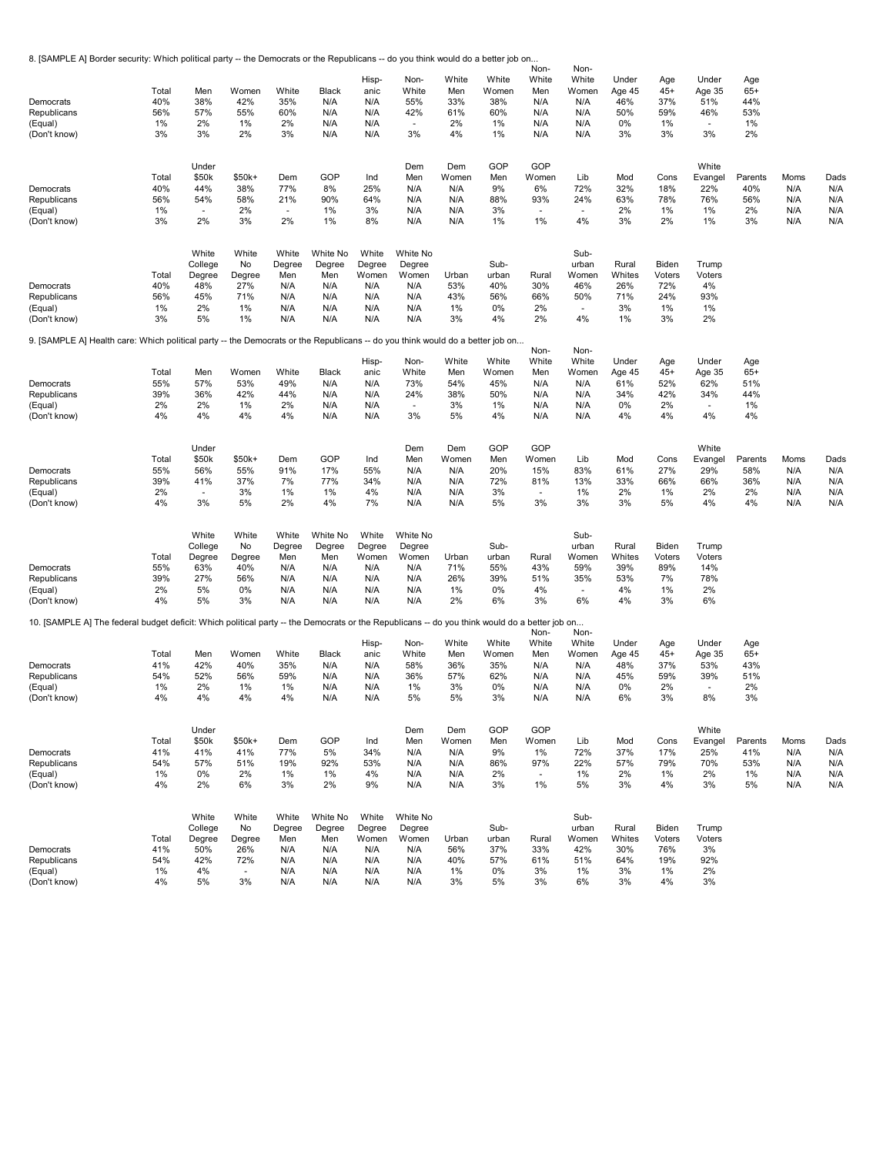8. [SAMPLE A] Border security: Which political party -- the Democrats or the Republicans -- do you think would do a better job on...

| Democrats<br>Republicans<br>(Equal)<br>(Don't know)<br>Democrats<br>Republicans<br>(Equal)<br>(Don't know)                                    | Total<br>40%<br>56%<br>1%<br>3%<br>Total<br>40%<br>56%<br>1%<br>3% | Men<br>38%<br>57%<br>2%<br>3%<br>Under<br>\$50k<br>44%<br>54%<br>$\overline{\phantom{a}}$<br>2%<br>White<br>College | Women<br>42%<br>55%<br>1%<br>2%<br>\$50k+<br>38%<br>58%<br>2%<br>3%<br>White<br>No | White<br>35%<br>60%<br>2%<br>3%<br>Dem<br>77%<br>21%<br>$\sim$<br>2%<br>White<br>Degree | Black<br>N/A<br>N/A<br>N/A<br>N/A<br>GOP<br>8%<br>90%<br>1%<br>1%<br>White No<br>Degree | Hisp-<br>anic<br>N/A<br>N/A<br>N/A<br>N/A<br>Ind<br>25%<br>64%<br>3%<br>8%<br>White<br>Degree | Non-<br>White<br>55%<br>42%<br>$\overline{\phantom{a}}$<br>3%<br>Dem<br>Men<br>N/A<br>N/A<br>N/A<br>N/A<br>White No<br>Degree | White<br>Men<br>33%<br>61%<br>2%<br>4%<br>Dem<br>Women<br>N/A<br>N/A<br>N/A<br>N/A | White<br>Women<br>38%<br>60%<br>1%<br>1%<br>GOP<br>Men<br>9%<br>88%<br>3%<br>1%<br>Sub- | Non-<br>White<br>Men<br>N/A<br>N/A<br>N/A<br>N/A<br>GOP<br>Women<br>6%<br>93%<br>$\overline{\phantom{a}}$<br>1% | Non-<br>White<br>Women<br>N/A<br>N/A<br>N/A<br>N/A<br>Lib<br>72%<br>24%<br>$\sim$<br>4%<br>Sub-<br>urban | Under<br>Age 45<br>46%<br>50%<br>0%<br>3%<br>Mod<br>32%<br>63%<br>2%<br>3%<br>Rural | Age<br>$45+$<br>37%<br>59%<br>1%<br>3%<br>Cons<br>18%<br>78%<br>1%<br>2%<br>Biden | Under<br>Age 35<br>51%<br>46%<br>$\overline{\phantom{a}}$<br>3%<br>White<br>Evangel<br>22%<br>76%<br>1%<br>1%<br>Trump | Age<br>$65+$<br>44%<br>53%<br>1%<br>2%<br>Parents<br>40%<br>56%<br>2%<br>3% | Moms<br>N/A<br>N/A<br>N/A<br>N/A | Dads<br>N/A<br>N/A<br>N/A<br>N/A |
|-----------------------------------------------------------------------------------------------------------------------------------------------|--------------------------------------------------------------------|---------------------------------------------------------------------------------------------------------------------|------------------------------------------------------------------------------------|-----------------------------------------------------------------------------------------|-----------------------------------------------------------------------------------------|-----------------------------------------------------------------------------------------------|-------------------------------------------------------------------------------------------------------------------------------|------------------------------------------------------------------------------------|-----------------------------------------------------------------------------------------|-----------------------------------------------------------------------------------------------------------------|----------------------------------------------------------------------------------------------------------|-------------------------------------------------------------------------------------|-----------------------------------------------------------------------------------|------------------------------------------------------------------------------------------------------------------------|-----------------------------------------------------------------------------|----------------------------------|----------------------------------|
| Democrats                                                                                                                                     | Total<br>40%                                                       | Degree<br>48%                                                                                                       | Degree<br>27%                                                                      | Men<br>N/A                                                                              | Men<br>N/A                                                                              | Women<br>N/A                                                                                  | Women<br>N/A                                                                                                                  | Urban<br>53%                                                                       | urban<br>40%                                                                            | Rural<br>30%                                                                                                    | Women<br>46%                                                                                             | Whites<br>26%                                                                       | Voters<br>72%                                                                     | Voters<br>4%                                                                                                           |                                                                             |                                  |                                  |
| Republicans                                                                                                                                   | 56%                                                                | 45%                                                                                                                 | 71%                                                                                | N/A                                                                                     | N/A                                                                                     | N/A                                                                                           | N/A                                                                                                                           | 43%                                                                                | 56%                                                                                     | 66%                                                                                                             | 50%                                                                                                      | 71%                                                                                 | 24%                                                                               | 93%                                                                                                                    |                                                                             |                                  |                                  |
| (Equal)                                                                                                                                       | 1%                                                                 | 2%                                                                                                                  | 1%                                                                                 | N/A                                                                                     | N/A                                                                                     | N/A                                                                                           | N/A                                                                                                                           | 1%                                                                                 | 0%                                                                                      | 2%                                                                                                              | $\overline{a}$                                                                                           | 3%                                                                                  | 1%                                                                                | 1%                                                                                                                     |                                                                             |                                  |                                  |
| (Don't know)                                                                                                                                  | 3%                                                                 | 5%                                                                                                                  | 1%                                                                                 | N/A                                                                                     | N/A                                                                                     | N/A                                                                                           | N/A                                                                                                                           | 3%                                                                                 | 4%                                                                                      | 2%                                                                                                              | 4%                                                                                                       | 1%                                                                                  | 3%                                                                                | 2%                                                                                                                     |                                                                             |                                  |                                  |
| 9. [SAMPLE A] Health care: Which political party -- the Democrats or the Republicans -- do you think would do a better job on                 |                                                                    |                                                                                                                     |                                                                                    |                                                                                         |                                                                                         |                                                                                               |                                                                                                                               |                                                                                    |                                                                                         | Non-                                                                                                            | Non-                                                                                                     |                                                                                     |                                                                                   |                                                                                                                        |                                                                             |                                  |                                  |
|                                                                                                                                               |                                                                    |                                                                                                                     |                                                                                    |                                                                                         |                                                                                         | Hisp-                                                                                         | Non-                                                                                                                          | White                                                                              | White                                                                                   | White                                                                                                           | White                                                                                                    | Under                                                                               | Age                                                                               | Under                                                                                                                  | Age                                                                         |                                  |                                  |
|                                                                                                                                               | Total                                                              | Men                                                                                                                 | Women                                                                              | White                                                                                   | Black                                                                                   | anic                                                                                          | White                                                                                                                         | Men                                                                                | Women                                                                                   | Men                                                                                                             | Women                                                                                                    | Age 45                                                                              | $45+$                                                                             | Age 35                                                                                                                 | $65+$                                                                       |                                  |                                  |
| Democrats                                                                                                                                     | 55%                                                                | 57%                                                                                                                 | 53%                                                                                | 49%                                                                                     | N/A                                                                                     | N/A                                                                                           | 73%                                                                                                                           | 54%                                                                                | 45%                                                                                     | N/A                                                                                                             | N/A                                                                                                      | 61%                                                                                 | 52%                                                                               | 62%                                                                                                                    | 51%                                                                         |                                  |                                  |
| Republicans                                                                                                                                   | 39%                                                                | 36%                                                                                                                 | 42%                                                                                | 44%                                                                                     | N/A                                                                                     | N/A                                                                                           | 24%                                                                                                                           | 38%                                                                                | 50%                                                                                     | N/A                                                                                                             | N/A                                                                                                      | 34%                                                                                 | 42%                                                                               | 34%                                                                                                                    | 44%                                                                         |                                  |                                  |
| (Equal)                                                                                                                                       | 2%                                                                 | 2%                                                                                                                  | 1%                                                                                 | 2%                                                                                      | N/A                                                                                     | N/A                                                                                           | $\sim$                                                                                                                        | 3%                                                                                 | 1%                                                                                      | N/A                                                                                                             | N/A                                                                                                      | 0%                                                                                  | 2%                                                                                | ÷.                                                                                                                     | 1%                                                                          |                                  |                                  |
| (Don't know)                                                                                                                                  | 4%                                                                 | 4%                                                                                                                  | 4%                                                                                 | 4%                                                                                      | N/A                                                                                     | N/A                                                                                           | 3%                                                                                                                            | 5%                                                                                 | 4%                                                                                      | N/A                                                                                                             | N/A                                                                                                      | 4%                                                                                  | 4%                                                                                | 4%                                                                                                                     | 4%                                                                          |                                  |                                  |
| Democrats                                                                                                                                     | Total<br>55%                                                       | Under<br>\$50k<br>56%                                                                                               | $$50k+$<br>55%                                                                     | Dem<br>91%                                                                              | GOP<br>17%                                                                              | Ind<br>55%                                                                                    | Dem<br>Men<br>N/A                                                                                                             | Dem<br>Women<br>N/A                                                                | GOP<br>Men<br>20%                                                                       | GOP<br>Women<br>15%                                                                                             | Lib<br>83%                                                                                               | Mod<br>61%                                                                          | Cons<br>27%                                                                       | White<br>Evangel<br>29%                                                                                                | Parents<br>58%                                                              | Moms<br>N/A                      | Dads<br>N/A                      |
| Republicans                                                                                                                                   | 39%                                                                | 41%                                                                                                                 | 37%                                                                                | 7%                                                                                      | 77%                                                                                     | 34%                                                                                           | N/A                                                                                                                           | N/A                                                                                | 72%                                                                                     | 81%                                                                                                             | 13%                                                                                                      | 33%                                                                                 | 66%                                                                               | 66%                                                                                                                    | 36%                                                                         | N/A                              | N/A                              |
| (Equal)<br>(Don't know)                                                                                                                       | 2%<br>4%                                                           | $\blacksquare$<br>3%                                                                                                | 3%<br>5%                                                                           | 1%<br>2%                                                                                | 1%<br>4%                                                                                | 4%<br>7%                                                                                      | N/A<br>N/A                                                                                                                    | N/A<br>N/A                                                                         | 3%<br>5%                                                                                | $\overline{\phantom{a}}$<br>3%                                                                                  | 1%<br>3%                                                                                                 | 2%<br>3%                                                                            | 1%<br>5%                                                                          | 2%<br>4%                                                                                                               | 2%<br>4%                                                                    | N/A<br>N/A                       | N/A<br>N/A                       |
| Democrats<br>Republicans<br>(Equal)<br>(Don't know)                                                                                           | Total<br>55%<br>39%<br>2%<br>4%                                    | White<br>College<br>Degree<br>63%<br>27%<br>5%<br>5%                                                                | White<br>No<br>Degree<br>40%<br>56%<br>0%<br>3%                                    | White<br>Degree<br>Men<br>N/A<br>N/A<br>N/A<br>N/A                                      | White No<br>Degree<br>Men<br>N/A<br>N/A<br>N/A<br>N/A                                   | White<br>Degree<br>Women<br>N/A<br>N/A<br>N/A<br>N/A                                          | White No<br>Degree<br>Women<br>N/A<br>N/A<br>N/A<br>N/A                                                                       | Urban<br>71%<br>26%<br>1%<br>2%                                                    | Sub-<br>urban<br>55%<br>39%<br>0%<br>6%                                                 | Rural<br>43%<br>51%<br>4%<br>3%                                                                                 | Sub-<br>urban<br>Women<br>59%<br>35%<br>$\overline{\phantom{a}}$<br>6%                                   | Rural<br>Whites<br>39%<br>53%<br>4%<br>4%                                           | Biden<br>Voters<br>89%<br>7%<br>1%<br>3%                                          | Trump<br>Voters<br>14%<br>78%<br>2%<br>6%                                                                              |                                                                             |                                  |                                  |
|                                                                                                                                               |                                                                    |                                                                                                                     |                                                                                    |                                                                                         |                                                                                         |                                                                                               |                                                                                                                               |                                                                                    |                                                                                         |                                                                                                                 |                                                                                                          |                                                                                     |                                                                                   |                                                                                                                        |                                                                             |                                  |                                  |
| 10. [SAMPLE A] The federal budget deficit: Which political party -- the Democrats or the Republicans -- do you think would do a better job on |                                                                    |                                                                                                                     |                                                                                    |                                                                                         |                                                                                         |                                                                                               |                                                                                                                               |                                                                                    |                                                                                         | Non-                                                                                                            | Non-                                                                                                     |                                                                                     |                                                                                   |                                                                                                                        |                                                                             |                                  |                                  |
| Democrats<br>Republicans<br>(Equal)                                                                                                           | Total<br>41%<br>54%<br>1%                                          | Men<br>42%<br>52%<br>2%                                                                                             | Women<br>40%<br>56%<br>1%                                                          | White<br>35%<br>59%<br>1%                                                               | Black<br>N/A<br>N/A<br>N/A                                                              | Hisp-<br>anic<br>N/A<br>N/A<br>N/A                                                            | Non-<br>White<br>58%<br>36%<br>1%                                                                                             | White<br>Men<br>36%<br>57%<br>3%                                                   | White<br>Women<br>35%<br>62%<br>0%                                                      | White<br>Men<br>N/A<br>N/A<br>N/A                                                                               | White<br>Women<br>N/A<br>N/A<br>N/A                                                                      | Under<br>Age 45<br>48%<br>45%<br>0%                                                 | Age<br>$45+$<br>37%<br>59%<br>2%                                                  | Under<br>Age 35<br>53%<br>39%<br>÷.                                                                                    | Age<br>$65+$<br>43%<br>51%<br>2%                                            |                                  |                                  |
| (Don't know)                                                                                                                                  | 4%                                                                 | 4%                                                                                                                  | 4%                                                                                 | 4%                                                                                      | N/A                                                                                     | N/A                                                                                           | 5%                                                                                                                            | 5%                                                                                 | 3%                                                                                      | N/A                                                                                                             | N/A                                                                                                      | 6%                                                                                  | 3%                                                                                | 8%                                                                                                                     | 3%                                                                          |                                  |                                  |
| Democrats                                                                                                                                     | Total<br>41%<br>54%                                                | Under<br>\$50k<br>41%<br>57%                                                                                        | $$50k+$<br>41%<br>51%                                                              | Dem<br>77%                                                                              | GOP<br>5%                                                                               | Ind<br>34%<br>53%                                                                             | Dem<br>Men<br>N/A                                                                                                             | Dem<br>Women<br>N/A                                                                | GOP<br>Men<br>9%                                                                        | GOP<br>Women<br>1%<br>97%                                                                                       | Lib<br>72%<br>22%                                                                                        | Mod<br>37%<br>57%                                                                   | Cons<br>17%<br>79%                                                                | White<br>Evangel<br>25%<br>70%                                                                                         | Parents<br>41%                                                              | Moms<br>N/A                      | Dads<br>N/A                      |
| Republicans<br>(Equal)<br>(Don't know)                                                                                                        | 1%<br>4%                                                           | 0%<br>2%                                                                                                            | 2%<br>6%                                                                           | 19%<br>1%<br>3%                                                                         | 92%<br>1%<br>2%                                                                         | 4%<br>9%                                                                                      | N/A<br>N/A<br>N/A                                                                                                             | N/A<br>N/A<br>N/A                                                                  | 86%<br>2%<br>3%                                                                         | $\blacksquare$<br>1%                                                                                            | 1%<br>5%                                                                                                 | 2%<br>3%                                                                            | 1%<br>4%                                                                          | 2%<br>3%                                                                                                               | 53%<br>$1\%$<br>5%                                                          | N/A<br>N/A<br>N/A                | N/A<br>N/A<br>N/A                |
| Democrats<br>Republicans<br>(Equal)<br>(Don't know)                                                                                           | Total<br>41%<br>54%<br>1%<br>4%                                    | White<br>College<br>Degree<br>50%<br>42%<br>4%<br>5%                                                                | White<br>No<br>Degree<br>26%<br>72%<br>$\sim$<br>3%                                | White<br>Degree<br>Men<br>N/A<br>N/A<br>N/A<br>N/A                                      | White No<br>Degree<br>Men<br>N/A<br>N/A<br>N/A<br>N/A                                   | White<br>Degree<br>Women<br>N/A<br>N/A<br>N/A<br>N/A                                          | White No<br>Degree<br>Women<br>N/A<br>N/A<br>N/A<br>N/A                                                                       | Urban<br>56%<br>40%<br>1%<br>3%                                                    | Sub-<br>urban<br>37%<br>57%<br>0%<br>5%                                                 | Rural<br>33%<br>61%<br>3%<br>3%                                                                                 | Sub-<br>urban<br>Women<br>42%<br>51%<br>1%<br>6%                                                         | Rural<br>Whites<br>30%<br>64%<br>3%<br>3%                                           | Biden<br>Voters<br>76%<br>19%<br>1%<br>4%                                         | Trump<br>Voters<br>3%<br>92%<br>2%<br>3%                                                                               |                                                                             |                                  |                                  |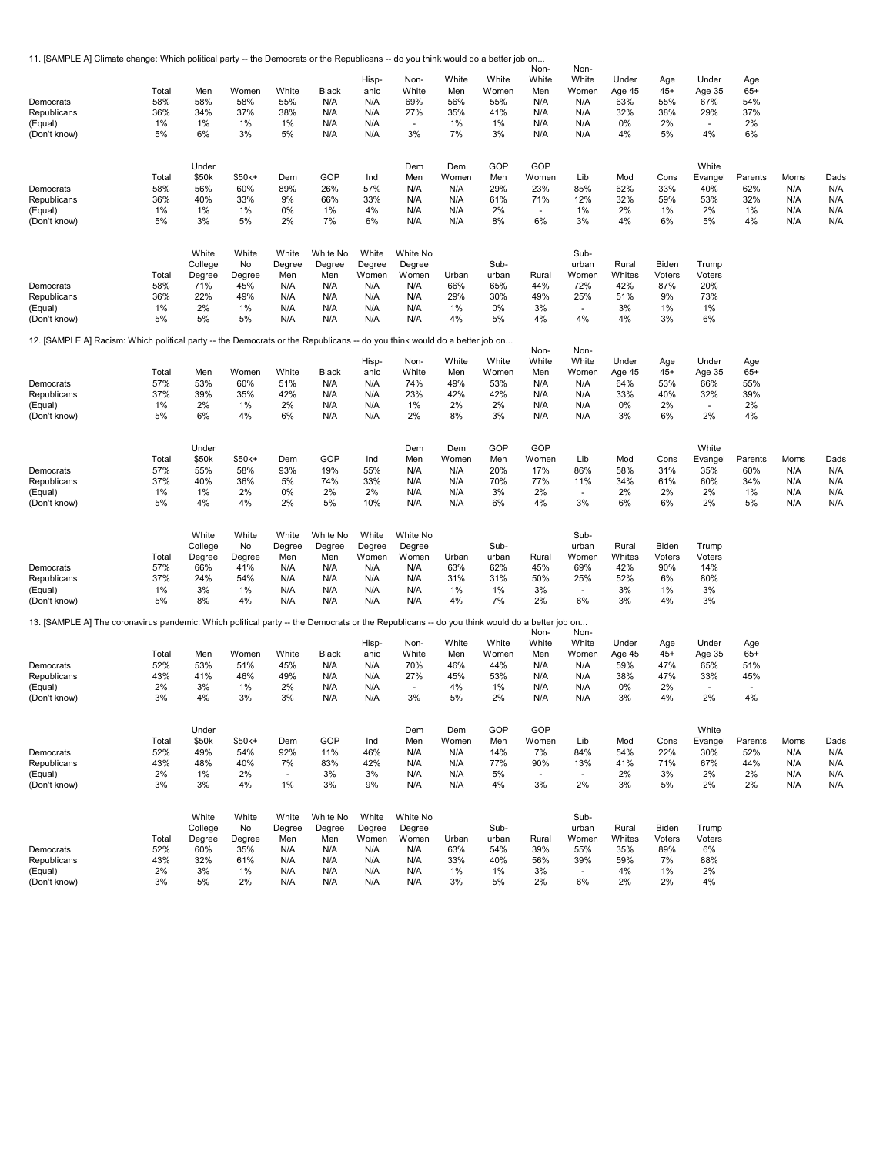11. [SAMPLE A] Climate change: Which political party -- the Democrats or the Republicans -- do you think would do a better job on...

| Democrats<br>Republicans<br>(Equal)<br>(Don't know)                                                                                         | Total<br>58%<br>36%<br>1%<br>5% | Men<br>58%<br>34%<br>$1\%$<br>6% | Women<br>58%<br>37%<br>1%<br>3% | White<br>55%<br>38%<br>1%<br>5% | Black<br>N/A<br>N/A<br>N/A<br>N/A | Hisp-<br>anic<br>N/A<br>N/A<br>N/A<br>N/A | Non-<br>White<br>69%<br>27%<br>÷.<br>3% | White<br>Men<br>56%<br>35%<br>1%<br>7% | White<br>Women<br>55%<br>41%<br>1%<br>3% | Non-<br>White<br>Men<br>N/A<br>N/A<br>N/A<br>N/A | Non-<br>White<br>Women<br>N/A<br>N/A<br>N/A<br>N/A | Under<br>Age 45<br>63%<br>32%<br>0%<br>4% | Age<br>$45+$<br>55%<br>38%<br>2%<br>5% | Under<br>Age 35<br>67%<br>29%<br>÷.<br>4% | Age<br>$65+$<br>54%<br>37%<br>2%<br>6% |            |            |
|---------------------------------------------------------------------------------------------------------------------------------------------|---------------------------------|----------------------------------|---------------------------------|---------------------------------|-----------------------------------|-------------------------------------------|-----------------------------------------|----------------------------------------|------------------------------------------|--------------------------------------------------|----------------------------------------------------|-------------------------------------------|----------------------------------------|-------------------------------------------|----------------------------------------|------------|------------|
|                                                                                                                                             | Total                           | Under<br>\$50k                   | $$50k+$                         | Dem                             | GOP                               | Ind                                       | Dem<br>Men                              | Dem<br>Women                           | GOP<br>Men                               | GOP<br>Women                                     | Lib                                                | Mod                                       | Cons                                   | White<br>Evangel                          | Parents                                | Moms       | Dads       |
| Democrats<br>Republicans                                                                                                                    | 58%<br>36%                      | 56%<br>40%                       | 60%<br>33%                      | 89%<br>9%                       | 26%<br>66%                        | 57%<br>33%                                | N/A<br>N/A                              | N/A<br>N/A                             | 29%<br>61%                               | 23%<br>71%                                       | 85%<br>12%                                         | 62%<br>32%                                | 33%<br>59%                             | 40%<br>53%                                | 62%<br>32%                             | N/A<br>N/A | N/A<br>N/A |
| (Equal)                                                                                                                                     | 1%                              | $1\%$                            | 1%                              | 0%                              | 1%                                | 4%                                        | N/A                                     | N/A                                    | 2%                                       | $\blacksquare$                                   | 1%                                                 | 2%                                        | 1%                                     | 2%                                        | 1%                                     | N/A        | N/A        |
| (Don't know)                                                                                                                                | 5%                              | 3%                               | 5%                              | 2%                              | 7%                                | 6%                                        | N/A                                     | N/A                                    | 8%                                       | 6%                                               | 3%                                                 | 4%                                        | 6%                                     | 5%                                        | 4%                                     | N/A        | N/A        |
|                                                                                                                                             | Total                           | White<br>College<br>Degree       | White<br>No<br>Degree           | White<br>Degree<br>Men          | White No<br>Degree<br>Men         | White<br>Degree<br>Women                  | White No<br>Degree<br>Women             | Urban                                  | Sub-<br>urban                            | Rural                                            | Sub-<br>urban<br>Women                             | Rural<br>Whites                           | Biden<br>Voters                        | Trump<br>Voters                           |                                        |            |            |
| Democrats                                                                                                                                   | 58%                             | 71%                              | 45%                             | N/A                             | N/A                               | N/A                                       | N/A                                     | 66%                                    | 65%                                      | 44%                                              | 72%                                                | 42%                                       | 87%                                    | 20%                                       |                                        |            |            |
| Republicans                                                                                                                                 | 36%                             | 22%                              | 49%                             | N/A                             | N/A                               | N/A                                       | N/A                                     | 29%                                    | 30%                                      | 49%                                              | 25%                                                | 51%                                       | 9%                                     | 73%                                       |                                        |            |            |
| (Equal)                                                                                                                                     | 1%                              | 2%                               | 1%                              | N/A                             | N/A                               | N/A                                       | N/A                                     | 1%                                     | 0%                                       | 3%                                               | ÷.                                                 | 3%                                        | 1%                                     | 1%                                        |                                        |            |            |
| (Don't know)                                                                                                                                | 5%                              | 5%                               | 5%                              | N/A                             | N/A                               | N/A                                       | N/A                                     | 4%                                     | 5%                                       | 4%                                               | 4%                                                 | 4%                                        | 3%                                     | 6%                                        |                                        |            |            |
| 12. [SAMPLE A] Racism: Which political party -- the Democrats or the Republicans -- do you think would do a better job on                   |                                 |                                  |                                 |                                 |                                   |                                           |                                         |                                        |                                          | Non-                                             | Non-                                               |                                           |                                        |                                           |                                        |            |            |
|                                                                                                                                             | Total                           | Men                              | Women                           | White                           | Black                             | Hisp-<br>anic                             | Non-<br>White                           | White<br>Men                           | White<br>Women                           | White<br>Men                                     | White<br>Women                                     | Under<br>Age 45                           | Age<br>$45+$                           | Under<br>Age 35                           | Age<br>$65+$                           |            |            |
| Democrats                                                                                                                                   | 57%                             | 53%                              | 60%                             | 51%                             | N/A                               | N/A                                       | 74%                                     | 49%                                    | 53%                                      | N/A                                              | N/A                                                | 64%                                       | 53%                                    | 66%                                       | 55%                                    |            |            |
| Republicans                                                                                                                                 | 37%                             | 39%                              | 35%                             | 42%                             | N/A                               | N/A                                       | 23%                                     | 42%                                    | 42%                                      | N/A                                              | N/A                                                | 33%                                       | 40%                                    | 32%                                       | 39%                                    |            |            |
| (Equal)                                                                                                                                     | 1%                              | 2%                               | 1%                              | 2%                              | N/A                               | N/A                                       | 1%                                      | 2%                                     | 2%                                       | N/A                                              | N/A                                                | 0%                                        | 2%                                     | $\sim$                                    | 2%                                     |            |            |
| (Don't know)                                                                                                                                | 5%                              | 6%                               | 4%                              | 6%                              | N/A                               | N/A                                       | 2%                                      | 8%                                     | 3%                                       | N/A                                              | N/A                                                | 3%                                        | 6%                                     | 2%                                        | 4%                                     |            |            |
|                                                                                                                                             |                                 | Under                            |                                 |                                 |                                   |                                           | Dem                                     | Dem                                    | GOP                                      | GOP                                              |                                                    |                                           |                                        | White                                     |                                        |            |            |
|                                                                                                                                             | Total                           | \$50k                            | \$50k+                          | Dem                             | GOP                               | Ind                                       | Men                                     | Women                                  | Men                                      | Women                                            | Lib                                                | Mod                                       | Cons                                   | Evangel                                   | Parents                                | Moms       | Dads       |
| Democrats                                                                                                                                   | 57%                             | 55%                              | 58%                             | 93%                             | 19%                               | 55%                                       | N/A                                     | N/A                                    | 20%                                      | 17%                                              | 86%                                                | 58%                                       | 31%                                    | 35%                                       | 60%                                    | N/A        | N/A        |
| Republicans<br>(Equal)                                                                                                                      | 37%<br>1%                       | 40%<br>$1\%$                     | 36%<br>2%                       | 5%<br>0%                        | 74%<br>2%                         | 33%<br>2%                                 | N/A<br>N/A                              | N/A<br>N/A                             | 70%<br>3%                                | 77%<br>2%                                        | 11%<br>$\sim$                                      | 34%<br>2%                                 | 61%<br>2%                              | 60%<br>2%                                 | 34%<br>$1\%$                           | N/A<br>N/A | N/A<br>N/A |
| (Don't know)                                                                                                                                | 5%                              | 4%                               | 4%                              | 2%                              | 5%                                | 10%                                       | N/A                                     | N/A                                    | 6%                                       | 4%                                               | 3%                                                 | 6%                                        | 6%                                     | 2%                                        | 5%                                     | N/A        | N/A        |
|                                                                                                                                             |                                 | White                            | White                           | White                           | White No                          | White                                     | White No                                |                                        |                                          |                                                  | Sub-                                               |                                           |                                        |                                           |                                        |            |            |
|                                                                                                                                             |                                 | College                          | No                              | Degree                          | Degree                            | Degree                                    | Degree                                  |                                        | Sub-                                     |                                                  | urban                                              | Rural                                     | Biden                                  | Trump                                     |                                        |            |            |
|                                                                                                                                             | Total                           | Degree                           | Degree                          | Men                             | Men                               | Women                                     | Women                                   | Urban                                  | urban                                    | Rural                                            | Women                                              | Whites                                    | Voters                                 | Voters                                    |                                        |            |            |
| Democrats<br>Republicans                                                                                                                    | 57%<br>37%                      | 66%<br>24%                       | 41%<br>54%                      | N/A<br>N/A                      | N/A<br>N/A                        | N/A<br>N/A                                | N/A<br>N/A                              | 63%<br>31%                             | 62%<br>31%                               | 45%<br>50%                                       | 69%<br>25%                                         | 42%<br>52%                                | 90%<br>6%                              | 14%<br>80%                                |                                        |            |            |
| (Equal)                                                                                                                                     | 1%                              | 3%                               | 1%                              | N/A                             | N/A                               | N/A                                       | N/A                                     | 1%                                     | 1%                                       | 3%                                               | ×.                                                 | 3%                                        | 1%                                     | 3%                                        |                                        |            |            |
| (Don't know)                                                                                                                                | 5%                              | 8%                               | 4%                              | N/A                             | N/A                               | N/A                                       | N/A                                     | 4%                                     | 7%                                       | 2%                                               | 6%                                                 | 3%                                        | 4%                                     | 3%                                        |                                        |            |            |
| 13. [SAMPLE A] The coronavirus pandemic: Which political party -- the Democrats or the Republicans -- do you think would do a better job on |                                 |                                  |                                 |                                 |                                   |                                           |                                         |                                        |                                          | Non-                                             | Non-                                               |                                           |                                        |                                           |                                        |            |            |
|                                                                                                                                             |                                 |                                  |                                 |                                 |                                   | Hisp-                                     | Non-                                    | White                                  | White                                    | White                                            | White                                              | Under                                     | Age                                    | Under                                     | Age                                    |            |            |
|                                                                                                                                             | Total                           | Men                              | Women                           | White                           | Black                             | anic                                      | White                                   | Men                                    | Women                                    | Men                                              | Women                                              | Age 45                                    | $45+$                                  | Age 35                                    | $65+$                                  |            |            |
| Democrats                                                                                                                                   | 52%                             | 53%                              | 51%                             | 45%                             | N/A                               | N/A                                       | 70%                                     | 46%                                    | 44%                                      | N/A                                              | N/A                                                | 59%                                       | 47%                                    | 65%                                       | 51%                                    |            |            |
| Republicans<br>(Equal)                                                                                                                      | 43%<br>2%                       | 41%<br>3%                        | 46%<br>1%                       | 49%<br>2%                       | N/A<br>N/A                        | N/A<br>N/A                                | 27%<br>$\overline{\phantom{a}}$         | 45%<br>4%                              | 53%<br>1%                                | N/A<br>N/A                                       | N/A<br>N/A                                         | 38%<br>0%                                 | 47%<br>2%                              | 33%<br>$\sim$                             | 45%<br>$\overline{\phantom{a}}$        |            |            |
| (Don't know)                                                                                                                                | 3%                              | 4%                               | 3%                              | 3%                              | N/A                               | N/A                                       | 3%                                      | 5%                                     | 2%                                       | N/A                                              | N/A                                                | 3%                                        | 4%                                     | 2%                                        | 4%                                     |            |            |
|                                                                                                                                             |                                 | Under                            |                                 |                                 |                                   |                                           | Dem                                     | Dem                                    | GOP                                      | GOP                                              |                                                    |                                           |                                        | White                                     |                                        |            |            |
|                                                                                                                                             | Total                           | \$50k                            | $$50k+$                         | Dem                             | GOP                               | Ind                                       | Men                                     | Women                                  | Men                                      | Women                                            | Lib                                                | Mod                                       | Cons                                   | Evangel                                   | Parents                                | Moms       | Dads       |
| Democrats                                                                                                                                   | 52%                             | 49%                              | 54%                             | 92%                             | 11%                               | 46%                                       | N/A                                     | N/A                                    | 14%                                      | 7%                                               | 84%                                                | 54%                                       | 22%                                    | 30%                                       | 52%                                    | N/A        | N/A        |
| Republicans                                                                                                                                 | 43%                             | 48%                              | 40%                             | 7%                              | 83%                               | 42%                                       | N/A                                     | N/A                                    | 77%                                      | 90%                                              | 13%                                                | 41%                                       | 71%                                    | 67%                                       | 44%                                    | N/A        | N/A        |
| (Equal)                                                                                                                                     | 2%                              | $1\%$                            | 2%                              | $\overline{\phantom{a}}$        | 3%                                | 3%                                        | N/A                                     | N/A                                    | 5%                                       | $\overline{\phantom{a}}$                         | $\sim$                                             | 2%                                        | 3%                                     | 2%                                        | 2%                                     | N/A        | N/A        |
| (Don't know)                                                                                                                                | 3%                              | 3%                               | 4%                              | 1%                              | 3%                                | 9%                                        | N/A                                     | N/A                                    | 4%                                       | 3%                                               | 2%                                                 | 3%                                        | 5%                                     | 2%                                        | 2%                                     | N/A        | N/A        |
|                                                                                                                                             |                                 | White                            | White                           | White                           | White No                          | White                                     | White No                                |                                        |                                          |                                                  | Sub-                                               |                                           |                                        |                                           |                                        |            |            |
|                                                                                                                                             | Total                           | College<br>Degree                | No<br>Degree                    | Degree<br>Men                   | Degree<br>Men                     | Degree<br>Women                           | Degree<br>Women                         | Urban                                  | Sub-<br>urban                            | Rural                                            | urban<br>Women                                     | Rural<br>Whites                           | Biden<br>Voters                        | Trump<br>Voters                           |                                        |            |            |
| Democrats                                                                                                                                   | 52%                             | 60%                              | 35%                             | N/A                             | N/A                               | N/A                                       | N/A                                     | 63%                                    | 54%                                      | 39%                                              | 55%                                                | 35%                                       | 89%                                    | 6%                                        |                                        |            |            |
| Republicans                                                                                                                                 | 43%                             | 32%                              | 61%                             | N/A                             | N/A                               | N/A                                       | N/A                                     | 33%                                    | 40%                                      | 56%                                              | 39%                                                | 59%                                       | 7%                                     | 88%                                       |                                        |            |            |
| (Equal)                                                                                                                                     | 2%                              | 3%                               | 1%                              | N/A                             | N/A                               | N/A                                       | N/A                                     | 1%                                     | 1%                                       | 3%                                               | $\overline{\phantom{a}}$                           | 4%                                        | 1%                                     | 2%                                        |                                        |            |            |
| (Don't know)                                                                                                                                | 3%                              | 5%                               | 2%                              | N/A                             | N/A                               | N/A                                       | N/A                                     | 3%                                     | 5%                                       | 2%                                               | 6%                                                 | 2%                                        | 2%                                     | 4%                                        |                                        |            |            |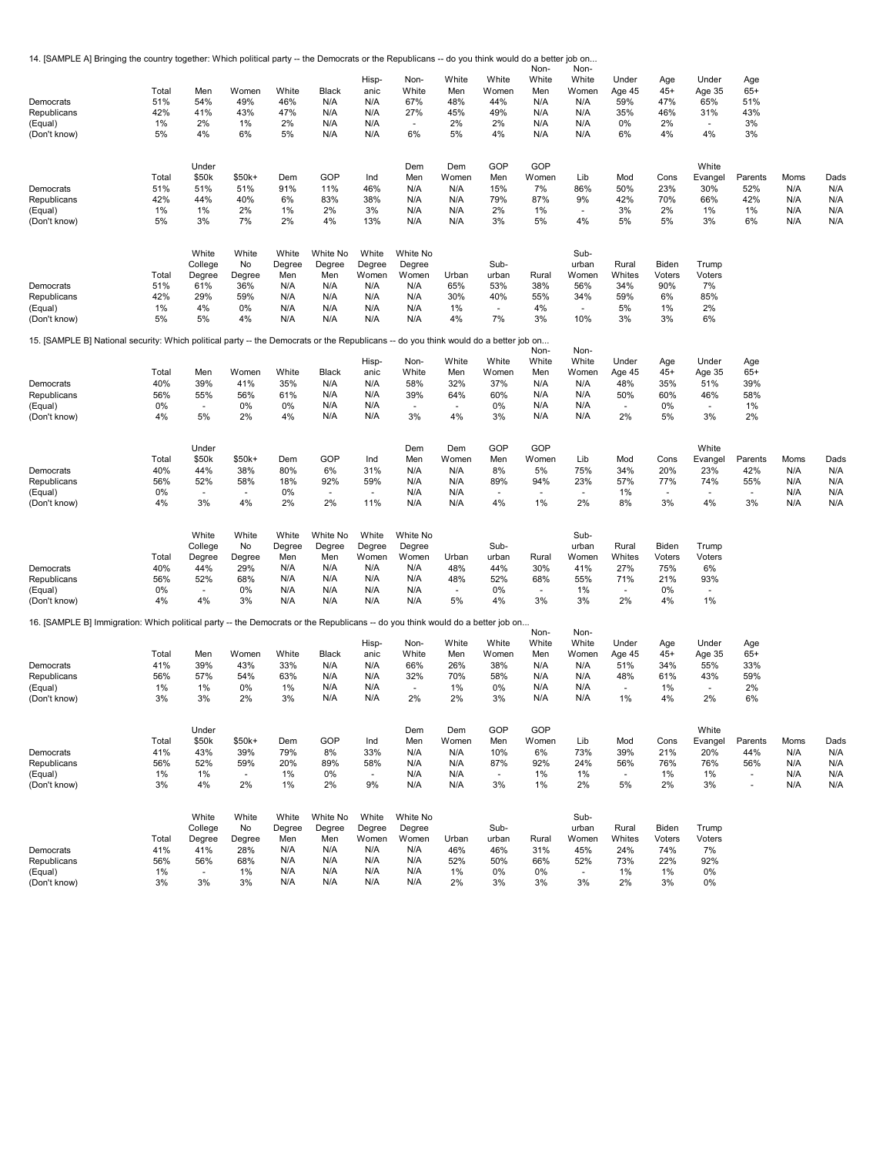| 14. [SAMPLE A] Bringing the country together: Which political party -- the Democrats or the Republicans -- do you think would do a better job on |            |                          |             |                 |                    |                          |                                 |            |                          | Non-       | Non-                     |                          |            |                |                          |      |      |
|--------------------------------------------------------------------------------------------------------------------------------------------------|------------|--------------------------|-------------|-----------------|--------------------|--------------------------|---------------------------------|------------|--------------------------|------------|--------------------------|--------------------------|------------|----------------|--------------------------|------|------|
|                                                                                                                                                  |            |                          |             |                 |                    | Hisp-                    | Non-                            | White      | White                    | White      | White                    | Under                    | Age        | Under          | Age                      |      |      |
|                                                                                                                                                  | Total      | Men                      | Women       | White           | Black              | anic                     | White                           | Men        | Women                    | Men        | Women                    | Age 45                   | $45+$      | Age 35         | $65+$                    |      |      |
| Democrats                                                                                                                                        | 51%        | 54%                      | 49%         | 46%             | N/A                | N/A                      | 67%                             | 48%        | 44%                      | N/A        | N/A                      | 59%                      | 47%        | 65%            | 51%                      |      |      |
| Republicans                                                                                                                                      | 42%        | 41%                      | 43%         | 47%             | N/A                | N/A                      | 27%                             | 45%        | 49%                      | N/A        | N/A                      | 35%                      | 46%        | 31%            | 43%                      |      |      |
| (Equal)                                                                                                                                          | 1%         | 2%                       | 1%          | 2%              | N/A                | N/A                      | $\overline{\phantom{a}}$        | 2%         | 2%                       | N/A        | N/A                      | 0%                       | 2%         | $\blacksquare$ | 3%                       |      |      |
| (Don't know)                                                                                                                                     | 5%         | 4%                       | 6%          | 5%              | N/A                | N/A                      | 6%                              | 5%         | 4%                       | N/A        | N/A                      | 6%                       | 4%         | 4%             | 3%                       |      |      |
|                                                                                                                                                  |            | Under                    |             |                 |                    |                          | Dem                             | Dem        | GOP                      | GOP        |                          |                          |            | White          |                          |      |      |
|                                                                                                                                                  | Total      | \$50k                    | $$50k+$     | Dem             | GOP                | Ind                      | Men                             | Women      | Men                      | Women      | Lib                      | Mod                      | Cons       | Evangel        | Parents                  | Moms | Dads |
| Democrats                                                                                                                                        | 51%        | 51%                      | 51%         | 91%             | 11%                | 46%                      | N/A                             | N/A        | 15%                      | 7%         | 86%                      | 50%                      | 23%        | 30%            | 52%                      | N/A  | N/A  |
| Republicans                                                                                                                                      | 42%        | 44%                      | 40%         | 6%              | 83%                | 38%                      | N/A                             | N/A        | 79%                      | 87%        | 9%                       | 42%                      | 70%        | 66%            | 42%                      | N/A  | N/A  |
| (Equal)                                                                                                                                          | 1%         | 1%                       | 2%          | 1%              | 2%                 | 3%                       | N/A                             | N/A        | 2%                       | 1%         | $\overline{\phantom{a}}$ | 3%                       | 2%         | 1%             | $1\%$                    | N/A  | N/A  |
| (Don't know)                                                                                                                                     | 5%         | 3%                       | 7%          | 2%              | 4%                 | 13%                      | N/A                             | N/A        | 3%                       | 5%         | 4%                       | 5%                       | 5%         | 3%             | 6%                       | N/A  | N/A  |
|                                                                                                                                                  |            |                          |             |                 |                    |                          |                                 |            |                          |            |                          |                          |            |                |                          |      |      |
|                                                                                                                                                  |            | White<br>College         | White<br>No | White<br>Degree | White No<br>Degree | White<br>Degree          | White No<br>Degree              |            | Sub-                     |            | Sub-<br>urban            | Rural                    | Biden      | Trump          |                          |      |      |
|                                                                                                                                                  | Total      | Degree                   | Degree      | Men             | Men                | Women                    | Women                           | Urban      | urban                    | Rural      | Women                    | Whites                   | Voters     | Voters         |                          |      |      |
| Democrats                                                                                                                                        | 51%        | 61%                      | 36%         | N/A             | N/A                | N/A                      | N/A                             | 65%        | 53%                      | 38%        | 56%                      | 34%                      | 90%        | 7%             |                          |      |      |
| Republicans                                                                                                                                      | 42%        | 29%                      | 59%         | N/A             | N/A                | N/A                      | N/A                             | 30%        | 40%                      | 55%        | 34%                      | 59%                      | 6%         | 85%            |                          |      |      |
| (Equal)                                                                                                                                          | 1%         | 4%                       | 0%          | N/A             | N/A                | N/A                      | N/A                             | 1%         | $\blacksquare$           | 4%         | ×.                       | 5%                       | 1%         | 2%             |                          |      |      |
| (Don't know)                                                                                                                                     | 5%         | 5%                       | 4%          | N/A             | N/A                | N/A                      | N/A                             | 4%         | 7%                       | 3%         | 10%                      | 3%                       | 3%         | 6%             |                          |      |      |
| 15. [SAMPLE B] National security: Which political party -- the Democrats or the Republicans -- do you think would do a better job on             |            |                          |             |                 |                    |                          |                                 |            |                          |            |                          |                          |            |                |                          |      |      |
|                                                                                                                                                  |            |                          |             |                 |                    |                          |                                 |            |                          | Non-       | Non-                     |                          |            |                |                          |      |      |
|                                                                                                                                                  |            |                          |             |                 |                    | Hisp-                    | Non-                            | White      | White                    | White      | White                    | Under                    | Age        | Under          | Age                      |      |      |
| Democrats                                                                                                                                        | Total      | Men<br>39%               | Women       | White           | Black              | anic                     | White                           | Men        | Women                    | Men        | Women                    | Age 45                   | $45+$      | Age 35         | $65+$                    |      |      |
| Republicans                                                                                                                                      | 40%<br>56% | 55%                      | 41%<br>56%  | 35%<br>61%      | N/A<br>N/A         | N/A<br>N/A               | 58%<br>39%                      | 32%<br>64% | 37%<br>60%               | N/A<br>N/A | N/A<br>N/A               | 48%<br>50%               | 35%<br>60% | 51%<br>46%     | 39%<br>58%               |      |      |
| (Equal)                                                                                                                                          | 0%         | ÷.                       | 0%          | 0%              | N/A                | N/A                      | ÷.                              |            | 0%                       | N/A        | N/A                      |                          | 0%         | ÷.             | 1%                       |      |      |
| (Don't know)                                                                                                                                     | 4%         | 5%                       | 2%          | 4%              | N/A                | N/A                      | 3%                              | 4%         | 3%                       | N/A        | N/A                      | 2%                       | 5%         | 3%             | 2%                       |      |      |
|                                                                                                                                                  |            |                          |             |                 |                    |                          |                                 |            |                          |            |                          |                          |            |                |                          |      |      |
|                                                                                                                                                  |            | Under                    |             |                 |                    |                          | Dem                             | Dem        | GOP                      | GOP        |                          |                          |            | White          |                          |      |      |
|                                                                                                                                                  | Total      | \$50k                    | \$50k+      | Dem             | GOP                | Ind                      | Men                             | Women      | Men                      | Women      | Lib                      | Mod                      | Cons       | Evangel        | Parents                  | Moms | Dads |
| Democrats                                                                                                                                        | 40%        | 44%                      | 38%         | 80%             | 6%                 | 31%                      | N/A                             | N/A        | 8%                       | 5%         | 75%                      | 34%                      | 20%        | 23%            | 42%                      | N/A  | N/A  |
| Republicans                                                                                                                                      | 56%        | 52%                      | 58%         | 18%             | 92%                | 59%                      | N/A                             | N/A        | 89%                      | 94%        | 23%                      | 57%                      | 77%        | 74%            | 55%                      | N/A  | N/A  |
| (Equal)                                                                                                                                          | 0%         | $\overline{\phantom{a}}$ | $\sim$      | 0%              | $\sim$             | $\sim$                   | N/A                             | N/A        | $\tilde{\phantom{a}}$    |            | $\sim$                   | 1%                       | $\sim$     | ٠              | $\sim$                   | N/A  | N/A  |
| (Don't know)                                                                                                                                     | 4%         | 3%                       | 4%          | 2%              | 2%                 | 11%                      | N/A                             | N/A        | 4%                       | 1%         | 2%                       | 8%                       | 3%         | 4%             | 3%                       | N/A  | N/A  |
|                                                                                                                                                  |            | White                    | White       | White           | White No           | White                    | White No                        |            |                          |            | Sub-                     |                          |            |                |                          |      |      |
|                                                                                                                                                  |            | College                  | No          | Degree          | Degree             | Degree                   | Degree                          |            | Sub-                     |            | urban                    | Rural                    | Biden      | Trump          |                          |      |      |
|                                                                                                                                                  | Total      | Degree                   | Degree      | Men             | Men                | Women                    | Women                           | Urban      | urban                    | Rural      | Women                    | Whites                   | Voters     | Voters         |                          |      |      |
| Democrats                                                                                                                                        | 40%        | 44%                      | 29%         | N/A             | N/A                | N/A                      | N/A                             | 48%        | 44%                      | 30%        | 41%                      | 27%                      | 75%        | 6%             |                          |      |      |
| Republicans                                                                                                                                      | 56%        | 52%                      | 68%         | N/A             | N/A                | N/A                      | N/A                             | 48%        | 52%                      | 68%        | 55%                      | 71%                      | 21%        | 93%            |                          |      |      |
| (Equal)                                                                                                                                          | 0%         | $\overline{\phantom{a}}$ | 0%          | N/A             | N/A                | N/A                      | N/A                             | ÷.         | 0%                       |            | 1%                       |                          | 0%         |                |                          |      |      |
| (Don't know)                                                                                                                                     | 4%         | 4%                       | 3%          | N/A             | N/A                | N/A                      | N/A                             | 5%         | 4%                       | 3%         | 3%                       | 2%                       | 4%         | 1%             |                          |      |      |
| 16. [SAMPLE B] Immigration: Which political party -- the Democrats or the Republicans -- do you think would do a better job on                   |            |                          |             |                 |                    |                          |                                 |            |                          |            |                          |                          |            |                |                          |      |      |
|                                                                                                                                                  |            |                          |             |                 |                    |                          |                                 |            |                          | Non-       | Non-                     |                          |            |                |                          |      |      |
|                                                                                                                                                  |            |                          |             |                 |                    | Hisp-                    | Non-                            | White      | White                    | White      | White                    | Under                    | Age        | Under          | Age                      |      |      |
|                                                                                                                                                  | Total      | Men                      | Women       | White           | Black              | anic                     | White                           | Men        | Women                    | Men        | Women                    | Age 45                   | $45+$      | Age 35         | $65+$                    |      |      |
| Democrats                                                                                                                                        | 41%<br>56% | 39%<br>57%               | 43%<br>54%  | 33%<br>63%      | N/A<br>N/A         | N/A<br>N/A               | 66%                             | 26%<br>70% | 38%<br>58%               | N/A<br>N/A | N/A<br>N/A               | 51%                      | 34%<br>61% | 55%            | 33%<br>59%               |      |      |
| Republicans<br>(Equal)                                                                                                                           | 1%         | 1%                       | 0%          | 1%              | N/A                | N/A                      | 32%<br>$\overline{\phantom{a}}$ | 1%         | 0%                       | N/A        | N/A                      | 48%                      | 1%         | 43%<br>٠       | 2%                       |      |      |
| (Don't know)                                                                                                                                     | 3%         | 3%                       | 2%          | 3%              | N/A                | N/A                      | 2%                              | 2%         | 3%                       | N/A        | N/A                      | 1%                       | 4%         | 2%             | 6%                       |      |      |
|                                                                                                                                                  |            |                          |             |                 |                    |                          |                                 |            |                          |            |                          |                          |            |                |                          |      |      |
|                                                                                                                                                  |            | Under                    |             |                 |                    |                          | Dem                             | Dem        | GOP                      | GOP        |                          |                          |            | White          |                          |      |      |
|                                                                                                                                                  | Total      | \$50k                    | $$50k+$     | Dem             | GOP                | Ind                      | Men                             | Women      | Men                      | Women      | Lib                      | Mod                      | Cons       | Evangel        | Parents                  | Moms | Dads |
| Democrats                                                                                                                                        | 41%        | 43%                      | 39%         | 79%             | 8%                 | 33%                      | N/A                             | N/A        | 10%                      | 6%         | 73%                      | 39%                      | 21%        | 20%            | 44%                      | N/A  | N/A  |
| Republicans                                                                                                                                      | 56%        | 52%                      | 59%         | 20%             | 89%                | 58%                      | N/A                             | N/A        | 87%                      | 92%        | 24%                      | 56%                      | 76%        | 76%            | 56%                      | N/A  | N/A  |
| (Equal)                                                                                                                                          | 1%         | $1\%$                    | $\sim$      | 1%              | 0%                 | $\overline{\phantom{a}}$ | N/A                             | N/A        | $\overline{\phantom{a}}$ | 1%         | 1%                       | $\overline{\phantom{a}}$ | 1%         | 1%             | $\overline{\phantom{a}}$ | N/A  | N/A  |
| (Don't know)                                                                                                                                     | 3%         | 4%                       | 2%          | 1%              | 2%                 | 9%                       | N/A                             | N/A        | 3%                       | 1%         | 2%                       | 5%                       | 2%         | 3%             | $\overline{\phantom{a}}$ | N/A  | N/A  |
|                                                                                                                                                  |            |                          |             |                 |                    |                          |                                 |            |                          |            |                          |                          |            |                |                          |      |      |
|                                                                                                                                                  |            | White<br>College         | White<br>No | White<br>Degree | White No<br>Degree | White<br>Degree          | White No<br>Degree              |            | Sub-                     |            | Sub-<br>urban            | Rural                    | Biden      | Trump          |                          |      |      |
|                                                                                                                                                  | Total      | Degree                   | Degree      | Men             | Men                | Women                    | Women                           | Urban      | urban                    | Rural      | Women                    | Whites                   | Voters     | Voters         |                          |      |      |
| Democrats                                                                                                                                        | 41%        | 41%                      | 28%         | N/A             | N/A                | N/A                      | N/A                             | 46%        | 46%                      | 31%        | 45%                      | 24%                      | 74%        | 7%             |                          |      |      |
| Republicans                                                                                                                                      | 56%        | 56%                      | 68%         | N/A             | N/A                | N/A                      | N/A                             | 52%        | 50%                      | 66%        | 52%                      | 73%                      | 22%        | 92%            |                          |      |      |
| (Equal)                                                                                                                                          | 1%         | $\blacksquare$           | 1%          | N/A             | N/A                | N/A                      | N/A                             | 1%         | 0%                       | 0%         | $\overline{\phantom{a}}$ | 1%                       | 1%         | 0%             |                          |      |      |
| (Don't know)                                                                                                                                     | 3%         | 3%                       | 3%          | N/A             | N/A                | N/A                      | N/A                             | 2%         | 3%                       | 3%         | 3%                       | 2%                       | 3%         | 0%             |                          |      |      |
|                                                                                                                                                  |            |                          |             |                 |                    |                          |                                 |            |                          |            |                          |                          |            |                |                          |      |      |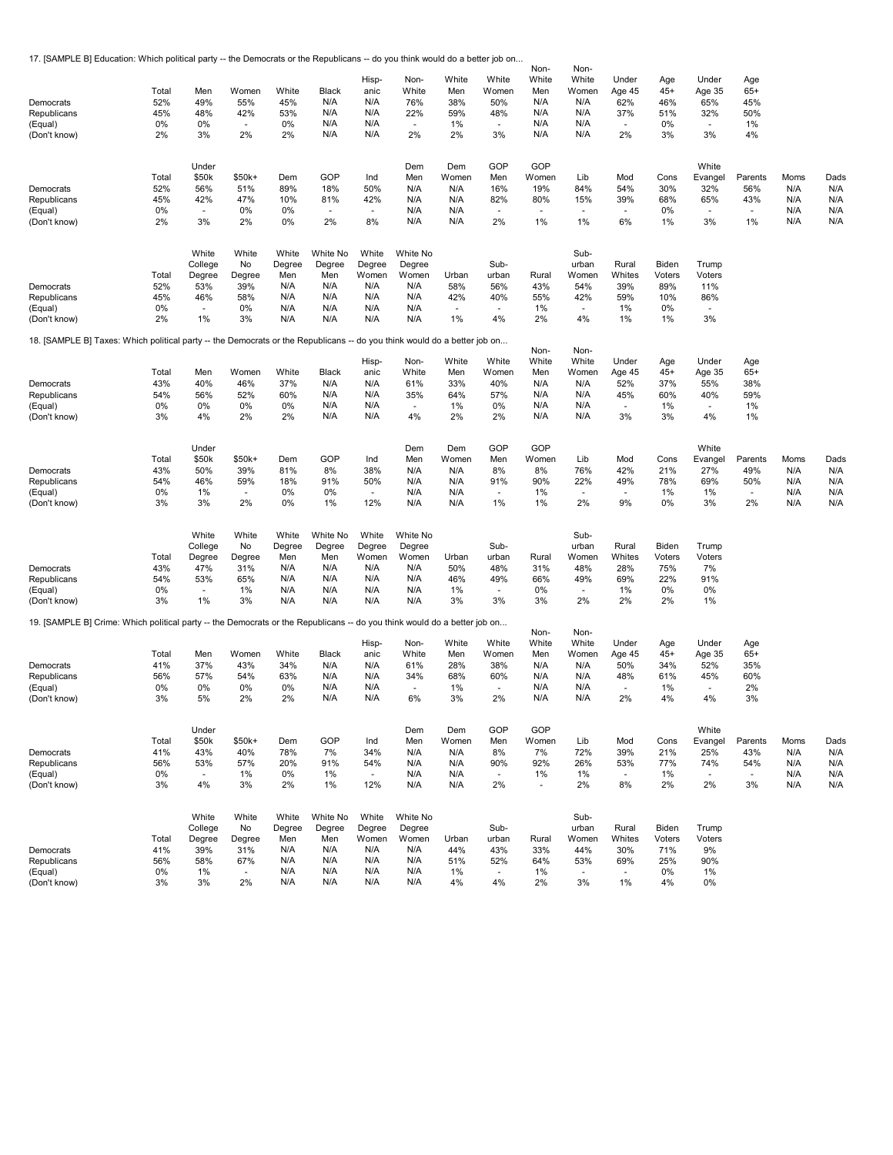17. [SAMPLE B] Education: Which political party -- the Democrats or the Republicans -- do you think would do a better job on...

| Democrats<br>Republicans<br>(Equal)<br>(Don't know)<br>Democrats<br>Republicans<br>(Equal)                               | Total<br>52%<br>45%<br>0%<br>2%<br>Total<br>52%<br>45%<br>0% | Men<br>49%<br>48%<br>0%<br>3%<br>Under<br>\$50k<br>56%<br>42%<br>÷.  | Women<br>55%<br>42%<br>٠<br>2%<br>$$50k+$<br>51%<br>47%<br>0%         | White<br>45%<br>53%<br>0%<br>2%<br>Dem<br>89%<br>10%<br>0% | Black<br>N/A<br>N/A<br>N/A<br>N/A<br>GOP<br>18%<br>81%<br>÷. | Hisp-<br>anic<br>N/A<br>N/A<br>N/A<br>N/A<br>Ind<br>50%<br>42%<br>÷. | Non-<br>White<br>76%<br>22%<br>$\sim$<br>2%<br>Dem<br>Men<br>N/A<br>N/A<br>N/A | White<br>Men<br>38%<br>59%<br>1%<br>2%<br>Dem<br>Women<br>N/A<br>N/A<br>N/A | White<br>Women<br>50%<br>48%<br>٠<br>3%<br>GOP<br>Men<br>16%<br>82%<br>÷. | Non-<br>White<br>Men<br>N/A<br>N/A<br>N/A<br>N/A<br>GOP<br>Women<br>19%<br>80%<br>$\sim$ | Non-<br>White<br>Women<br>N/A<br>N/A<br>N/A<br>N/A<br>Lib<br>84%<br>15%<br>÷. | Under<br>Age 45<br>62%<br>37%<br>÷.<br>2%<br>Mod<br>54%<br>39%<br>$\sim$ | Age<br>$45+$<br>46%<br>51%<br>0%<br>3%<br>Cons<br>30%<br>68%<br>0% | Under<br>Age 35<br>65%<br>32%<br>$\sim$<br>3%<br>White<br>Evangel<br>32%<br>65%<br>×. | Age<br>$65+$<br>45%<br>50%<br>1%<br>4%<br>Parents<br>56%<br>43% | Moms<br>N/A<br>N/A<br>N/A        | Dads<br>N/A<br>N/A<br>N/A        |
|--------------------------------------------------------------------------------------------------------------------------|--------------------------------------------------------------|----------------------------------------------------------------------|-----------------------------------------------------------------------|------------------------------------------------------------|--------------------------------------------------------------|----------------------------------------------------------------------|--------------------------------------------------------------------------------|-----------------------------------------------------------------------------|---------------------------------------------------------------------------|------------------------------------------------------------------------------------------|-------------------------------------------------------------------------------|--------------------------------------------------------------------------|--------------------------------------------------------------------|---------------------------------------------------------------------------------------|-----------------------------------------------------------------|----------------------------------|----------------------------------|
| (Don't know)                                                                                                             | 2%                                                           | 3%                                                                   | 2%                                                                    | 0%                                                         | 2%                                                           | 8%                                                                   | N/A                                                                            | N/A                                                                         | 2%                                                                        | 1%                                                                                       | 1%                                                                            | 6%                                                                       | 1%                                                                 | 3%                                                                                    | 1%                                                              | N/A                              | N/A                              |
| Democrats<br>Republicans<br>(Equal)                                                                                      | Total<br>52%<br>45%<br>0%                                    | White<br>College<br>Degree<br>53%<br>46%<br>$\overline{\phantom{a}}$ | White<br>No<br>Degree<br>39%<br>58%<br>0%                             | White<br>Degree<br>Men<br>N/A<br>N/A<br>N/A                | White No<br>Degree<br>Men<br>N/A<br>N/A<br>N/A               | White<br>Degree<br>Women<br>N/A<br>N/A<br>N/A                        | White No<br>Degree<br>Women<br>N/A<br>N/A<br>N/A                               | Urban<br>58%<br>42%                                                         | Sub-<br>urban<br>56%<br>40%                                               | Rural<br>43%<br>55%<br>1%                                                                | Sub-<br>urban<br>Women<br>54%<br>42%                                          | Rural<br>Whites<br>39%<br>59%<br>1%                                      | Biden<br>Voters<br>89%<br>10%<br>0%                                | Trump<br>Voters<br>11%<br>86%                                                         |                                                                 |                                  |                                  |
| (Don't know)                                                                                                             | 2%                                                           | 1%                                                                   | 3%                                                                    | N/A                                                        | N/A                                                          | N/A                                                                  | N/A                                                                            | 1%                                                                          | 4%                                                                        | 2%                                                                                       | 4%                                                                            | 1%                                                                       | 1%                                                                 | 3%                                                                                    |                                                                 |                                  |                                  |
| 18. [SAMPLE B] Taxes: Which political party -- the Democrats or the Republicans -- do you think would do a better job on |                                                              |                                                                      |                                                                       |                                                            |                                                              |                                                                      |                                                                                |                                                                             |                                                                           |                                                                                          |                                                                               |                                                                          |                                                                    |                                                                                       |                                                                 |                                  |                                  |
| Democrats<br>Republicans<br>(Equal)<br>(Don't know)                                                                      | Total<br>43%<br>54%<br>0%<br>3%                              | Men<br>40%<br>56%<br>0%<br>4%                                        | Women<br>46%<br>52%<br>0%<br>2%                                       | White<br>37%<br>60%<br>0%<br>2%                            | Black<br>N/A<br>N/A<br>N/A<br>N/A                            | Hisp-<br>anic<br>N/A<br>N/A<br>N/A<br>N/A                            | Non-<br>White<br>61%<br>35%<br>$\sim$<br>4%                                    | White<br>Men<br>33%<br>64%<br>1%<br>2%                                      | White<br>Women<br>40%<br>57%<br>0%<br>2%                                  | Non-<br>White<br>Men<br>N/A<br>N/A<br>N/A<br>N/A                                         | Non-<br>White<br>Women<br>N/A<br>N/A<br>N/A<br>N/A                            | Under<br>Age 45<br>52%<br>45%<br>$\sim$<br>3%                            | Age<br>$45+$<br>37%<br>60%<br>1%<br>3%                             | Under<br>Age 35<br>55%<br>40%<br>$\sim$<br>4%                                         | Age<br>$65+$<br>38%<br>59%<br>1%<br>1%                          |                                  |                                  |
| Democrats<br>Republicans<br>(Equal)<br>(Don't know)                                                                      | Total<br>43%<br>54%<br>0%<br>3%                              | Under<br>\$50k<br>50%<br>46%<br>1%<br>3%                             | \$50k+<br>39%<br>59%<br>$\sim$<br>2%                                  | Dem<br>81%<br>18%<br>0%<br>0%                              | GOP<br>8%<br>91%<br>0%<br>1%                                 | Ind<br>38%<br>50%<br>$\sim$<br>12%                                   | Dem<br>Men<br>N/A<br>N/A<br>N/A<br>N/A                                         | Dem<br>Women<br>N/A<br>N/A<br>N/A<br>N/A                                    | GOP<br>Men<br>8%<br>91%<br>$\tilde{\phantom{a}}$<br>1%                    | GOP<br>Women<br>8%<br>90%<br>1%<br>1%                                                    | Lib<br>76%<br>22%<br>$\sim$<br>2%                                             | Mod<br>42%<br>49%<br>9%                                                  | Cons<br>21%<br>78%<br>1%<br>0%                                     | White<br>Evangel<br>27%<br>69%<br>1%<br>3%                                            | Parents<br>49%<br>50%<br>$\sim$<br>2%                           | Moms<br>N/A<br>N/A<br>N/A<br>N/A | Dads<br>N/A<br>N/A<br>N/A<br>N/A |
| Democrats<br>Republicans<br>(Equal)<br>(Don't know)                                                                      | Total<br>43%<br>54%<br>0%<br>3%                              | White<br>College<br>Degree<br>47%<br>53%<br>$\blacksquare$<br>1%     | White<br>No<br>Degree<br>31%<br>65%<br>1%<br>3%                       | White<br>Degree<br>Men<br>N/A<br>N/A<br>N/A<br>N/A         | White No<br>Degree<br>Men<br>N/A<br>N/A<br>N/A<br>N/A        | White<br>Degree<br>Women<br>N/A<br>N/A<br>N/A<br>N/A                 | White No<br>Degree<br>Women<br>N/A<br>N/A<br>N/A<br>N/A                        | Urban<br>50%<br>46%<br>1%<br>3%                                             | Sub-<br>urban<br>48%<br>49%<br>$\overline{\phantom{a}}$<br>3%             | Rural<br>31%<br>66%<br>0%<br>3%                                                          | Sub-<br>urban<br>Women<br>48%<br>49%<br>$\overline{\phantom{a}}$<br>2%        | Rural<br>Whites<br>28%<br>69%<br>$1\%$<br>2%                             | Biden<br>Voters<br>75%<br>22%<br>0%<br>2%                          | Trump<br>Voters<br>7%<br>91%<br>0%<br>1%                                              |                                                                 |                                  |                                  |
| 19. [SAMPLE B] Crime: Which political party -- the Democrats or the Republicans -- do you think would do a better job on |                                                              |                                                                      |                                                                       |                                                            |                                                              |                                                                      |                                                                                |                                                                             |                                                                           |                                                                                          |                                                                               |                                                                          |                                                                    |                                                                                       |                                                                 |                                  |                                  |
| Democrats<br>Republicans<br>(Equal)<br>(Don't know)                                                                      | Total<br>41%<br>56%<br>0%<br>3%                              | Men<br>37%<br>57%<br>0%<br>5%                                        | Women<br>43%<br>54%<br>0%<br>2%                                       | White<br>34%<br>63%<br>0%<br>2%                            | Black<br>N/A<br>N/A<br>N/A<br>N/A                            | Hisp-<br>anic<br>N/A<br>N/A<br>N/A<br>N/A                            | Non-<br>White<br>61%<br>34%<br>$\overline{\phantom{a}}$<br>6%                  | White<br>Men<br>28%<br>68%<br>1%<br>3%                                      | White<br>Women<br>38%<br>60%<br>$\blacksquare$<br>2%                      | Non-<br>White<br>Men<br>N/A<br>N/A<br>N/A<br>N/A                                         | Non-<br>White<br>Women<br>N/A<br>N/A<br>N/A<br>N/A                            | Under<br>Age 45<br>50%<br>48%<br>$\overline{\phantom{a}}$<br>2%          | Age<br>$45+$<br>34%<br>61%<br>1%<br>4%                             | Under<br>Age 35<br>52%<br>45%<br>$\blacksquare$<br>4%                                 | Age<br>$65+$<br>35%<br>60%<br>2%<br>3%                          |                                  |                                  |
| Democrats<br>Republicans<br>(Equal)<br>(Don't know)                                                                      | Total<br>41%<br>56%<br>0%<br>3%                              | Under<br>\$50k<br>43%<br>53%<br>$\blacksquare$<br>4%                 | $$50k+$<br>40%<br>57%<br>1%<br>3%                                     | Dem<br>78%<br>20%<br>0%<br>2%                              | GOP<br>7%<br>91%<br>1%<br>1%                                 | Ind<br>34%<br>54%<br>$\sim$<br>12%                                   | Dem<br>Men<br>N/A<br>N/A<br>N/A<br>N/A                                         | Dem<br>Women<br>N/A<br>N/A<br>N/A<br>N/A                                    | GOP<br>Men<br>8%<br>90%<br>$\blacksquare$<br>2%                           | GOP<br>Women<br>7%<br>92%<br>1%<br>$\blacksquare$                                        | Lib<br>72%<br>26%<br>1%<br>2%                                                 | Mod<br>39%<br>53%<br>$\overline{\phantom{a}}$<br>8%                      | Cons<br>21%<br>77%<br>1%<br>2%                                     | White<br>Evangel<br>25%<br>74%<br>$\sim$<br>2%                                        | Parents<br>43%<br>54%<br>$\sim$<br>3%                           | Moms<br>N/A<br>N/A<br>N/A<br>N/A | Dads<br>N/A<br>N/A<br>N/A<br>N/A |
| Democrats<br>Republicans<br>(Equal)<br>(Don't know)                                                                      | Total<br>41%<br>56%<br>0%<br>3%                              | White<br>College<br>Degree<br>39%<br>58%<br>1%<br>3%                 | White<br>No<br>Degree<br>31%<br>67%<br>$\overline{\phantom{a}}$<br>2% | White<br>Degree<br>Men<br>N/A<br>N/A<br>N/A<br>N/A         | White No<br>Degree<br>Men<br>N/A<br>N/A<br>N/A<br>N/A        | White<br>Degree<br>Women<br>N/A<br>N/A<br>N/A<br>N/A                 | White No<br>Degree<br>Women<br>N/A<br>N/A<br>N/A<br>N/A                        | Urban<br>44%<br>51%<br>1%<br>4%                                             | Sub-<br>urban<br>43%<br>52%<br>$\overline{\phantom{a}}$<br>4%             | Rural<br>33%<br>64%<br>1%<br>2%                                                          | Sub-<br>urban<br>Women<br>44%<br>53%<br>$\sim$<br>3%                          | Rural<br>Whites<br>30%<br>69%<br>$\sim$<br>1%                            | Biden<br>Voters<br>71%<br>25%<br>0%<br>4%                          | Trump<br>Voters<br>9%<br>90%<br>1%<br>0%                                              |                                                                 |                                  |                                  |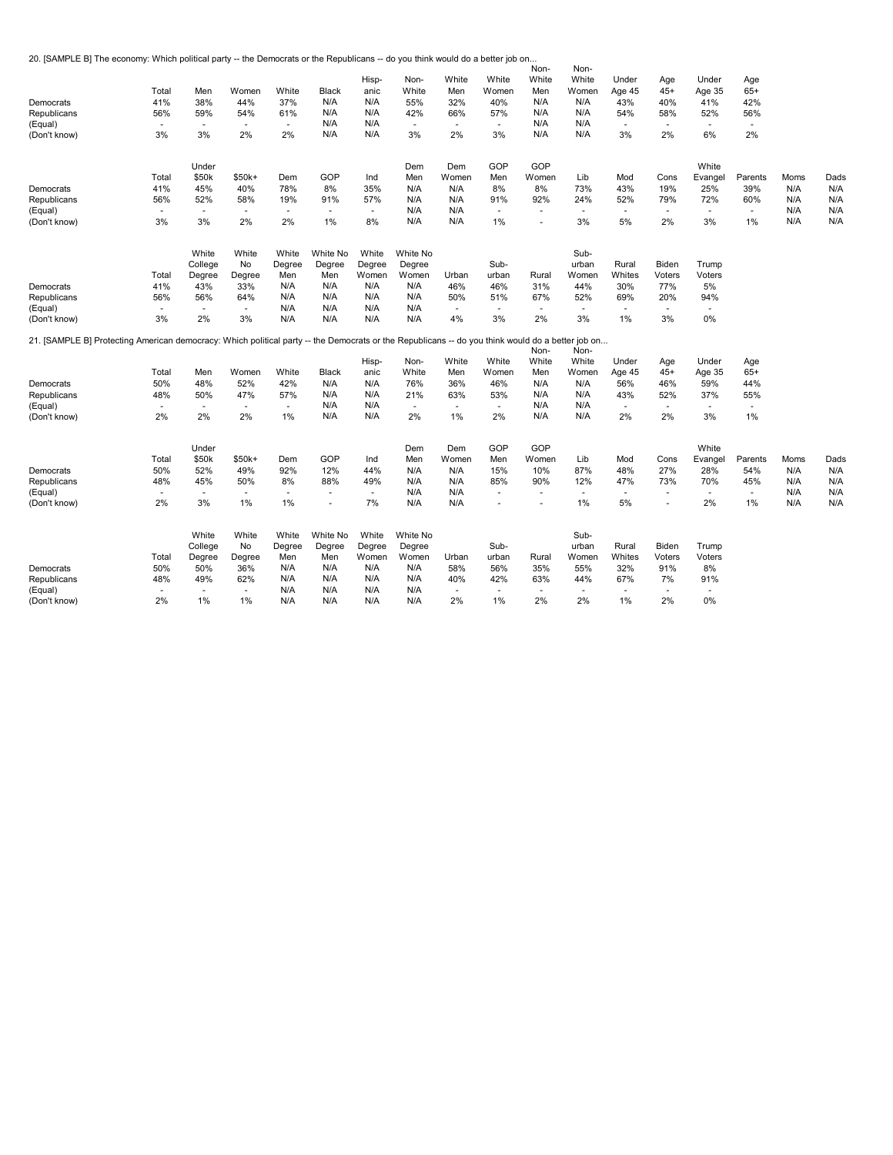20. [SAMPLE B] The economy: Which political party -- the Democrats or the Republicans -- do you think would do a better job on...

|                                                                                                                                                  |                          |                          |                          |                          |                |        |          |                          |                | Non-           | Non-                     |                          |                          |              |              |      |      |
|--------------------------------------------------------------------------------------------------------------------------------------------------|--------------------------|--------------------------|--------------------------|--------------------------|----------------|--------|----------|--------------------------|----------------|----------------|--------------------------|--------------------------|--------------------------|--------------|--------------|------|------|
|                                                                                                                                                  |                          |                          |                          |                          |                | Hisp-  | Non-     | White                    | White          | White          | White                    | Under                    | Age                      | Under        | Age          |      |      |
|                                                                                                                                                  | Total                    | Men                      | Women                    | White                    | Black          | anic   | White    | Men                      | Women          | Men            | Women                    | Age 45                   | $45+$                    | Age 35       | $65+$        |      |      |
|                                                                                                                                                  | 41%                      | 38%                      |                          | 37%                      | N/A            | N/A    |          |                          |                |                |                          |                          |                          | 41%          | 42%          |      |      |
| Democrats                                                                                                                                        |                          |                          | 44%                      |                          |                |        | 55%      | 32%                      | 40%            | N/A            | N/A                      | 43%                      | 40%                      |              |              |      |      |
| Republicans                                                                                                                                      | 56%                      | 59%                      | 54%                      | 61%                      | N/A            | N/A    | 42%      | 66%                      | 57%            | N/A            | N/A                      | 54%                      | 58%                      | 52%          | 56%          |      |      |
| (Equal)                                                                                                                                          | $\sim$                   | $\sim$                   | $\overline{\phantom{a}}$ | $\sim$                   | N/A            | N/A    | $\sim$   | $\sim$                   | $\sim$         | N/A            | N/A                      | $\sim$                   | $\sim$                   | $\sim$       | $\sim$       |      |      |
| (Don't know)                                                                                                                                     | 3%                       | 3%                       | 2%                       | 2%                       | N/A            | N/A    | 3%       | 2%                       | 3%             | N/A            | N/A                      | 3%                       | 2%                       | 6%           | 2%           |      |      |
|                                                                                                                                                  |                          |                          |                          |                          |                |        |          |                          |                |                |                          |                          |                          |              |              |      |      |
|                                                                                                                                                  |                          | Under                    |                          |                          |                |        | Dem      | Dem                      | GOP            | GOP            |                          |                          |                          | White        |              |      |      |
|                                                                                                                                                  | Total                    | \$50k                    | $$50k+$                  | Dem                      | GOP            | Ind    | Men      | Women                    | Men            | Women          | Lib                      | Mod                      | Cons                     | Evangel      | Parents      | Moms | Dads |
| Democrats                                                                                                                                        | 41%                      | 45%                      | 40%                      | 78%                      | 8%             | 35%    | N/A      | N/A                      | 8%             | 8%             | 73%                      | 43%                      | 19%                      | 25%          | 39%          | N/A  | N/A  |
| Republicans                                                                                                                                      | 56%                      | 52%                      | 58%                      | 19%                      | 91%            | 57%    | N/A      | N/A                      | 91%            | 92%            | 24%                      | 52%                      | 79%                      | 72%          | 60%          | N/A  | N/A  |
| (Equal)                                                                                                                                          | $\sim$                   | $\overline{\phantom{a}}$ | $\sim$                   | $\sim$                   | $\sim$         | ÷.     | N/A      | N/A                      | ٠              | <b>Co</b>      | $\sim$                   | ÷.                       | $\sim$                   | $\sim$       | $\sim$       | N/A  | N/A  |
| (Don't know)                                                                                                                                     | 3%                       | 3%                       | 2%                       | 2%                       | 1%             | 8%     | N/A      | N/A                      | 1%             | $\sim$         | 3%                       | 5%                       | 2%                       | 3%           | 1%           | N/A  | N/A  |
|                                                                                                                                                  |                          |                          |                          |                          |                |        |          |                          |                |                |                          |                          |                          |              |              |      |      |
|                                                                                                                                                  |                          | White                    | White                    | White                    | White No       | White  | White No |                          |                |                | Sub-                     |                          |                          |              |              |      |      |
|                                                                                                                                                  |                          | College                  | No                       | Degree                   | Degree         | Degree | Degree   |                          | Sub-           |                | urban                    | Rural                    | Biden                    | Trump        |              |      |      |
|                                                                                                                                                  | Total                    | Degree                   | Degree                   | Men                      | Men            | Women  | Women    | Urban                    | urban          | Rural          | Women                    | Whites                   | Voters                   | Voters       |              |      |      |
| Democrats                                                                                                                                        | 41%                      | 43%                      | 33%                      | N/A                      | N/A            | N/A    | N/A      | 46%                      | 46%            | 31%            | 44%                      | 30%                      | 77%                      | 5%           |              |      |      |
| Republicans                                                                                                                                      | 56%                      | 56%                      | 64%                      | N/A                      | N/A            | N/A    | N/A      | 50%                      | 51%            | 67%            | 52%                      | 69%                      | 20%                      | 94%          |              |      |      |
| (Equal)                                                                                                                                          | $\blacksquare$           | $\overline{\phantom{a}}$ | $\sim$                   | N/A                      | N/A            | N/A    | N/A      | $\overline{\phantom{a}}$ | $\sim$         | $\blacksquare$ | $\overline{\phantom{a}}$ | $\overline{\phantom{a}}$ | $\overline{\phantom{a}}$ | $\mathbf{r}$ |              |      |      |
| (Don't know)                                                                                                                                     | 3%                       | 2%                       | 3%                       | N/A                      | N/A            | N/A    | N/A      | 4%                       | 3%             | 2%             | 3%                       | 1%                       | 3%                       | 0%           |              |      |      |
| 21. [SAMPLE B] Protecting American democracy: Which political party -- the Democrats or the Republicans -- do you think would do a better job on |                          |                          |                          |                          |                |        |          |                          |                |                |                          |                          |                          |              |              |      |      |
|                                                                                                                                                  |                          |                          |                          |                          |                |        |          |                          |                | Non-           | Non-                     |                          |                          |              |              |      |      |
|                                                                                                                                                  |                          |                          |                          |                          |                | Hisp-  | Non-     | White                    | White          | White          | White                    | Under                    | Age                      | Under        | Age          |      |      |
|                                                                                                                                                  | Total                    | Men                      | Women                    | White                    | Black          | anic   | White    | Men                      | Women          | Men            | Women                    | Age 45                   | $45+$                    | Age 35       | $65+$        |      |      |
| Democrats                                                                                                                                        | 50%                      | 48%                      | 52%                      | 42%                      | N/A            | N/A    | 76%      | 36%                      | 46%            | N/A            | N/A                      | 56%                      | 46%                      | 59%          | 44%          |      |      |
| Republicans                                                                                                                                      | 48%                      | 50%                      | 47%                      | 57%                      | N/A            | N/A    | 21%      | 63%                      | 53%            | N/A            | N/A                      | 43%                      | 52%                      | 37%          | 55%          |      |      |
| (Equal)                                                                                                                                          | $\sim$                   | $\blacksquare$           | $\sim$                   | $\overline{\phantom{a}}$ | N/A            | N/A    | $\sim$   | $\sim$                   | $\blacksquare$ | N/A            | N/A                      | $\overline{\phantom{a}}$ | $\sim$                   | $\mathbf{r}$ | $\sim$       |      |      |
|                                                                                                                                                  | 2%                       | 2%                       | 2%                       | 1%                       | N/A            | N/A    | 2%       | $1\%$                    | 2%             | N/A            | N/A                      | 2%                       | 2%                       | 3%           | 1%           |      |      |
| (Don't know)                                                                                                                                     |                          |                          |                          |                          |                |        |          |                          |                |                |                          |                          |                          |              |              |      |      |
|                                                                                                                                                  |                          | Under                    |                          |                          |                |        | Dem      | Dem                      | GOP            | GOP            |                          |                          |                          | White        |              |      |      |
|                                                                                                                                                  | Total                    | \$50k                    | $$50k+$                  | Dem                      | GOP            | Ind    | Men      | Women                    | Men            | Women          | Lib                      | Mod                      | Cons                     | Evangel      | Parents      | Moms | Dads |
| Democrats                                                                                                                                        | 50%                      | 52%                      | 49%                      | 92%                      | 12%            | 44%    | N/A      | N/A                      | 15%            | 10%            | 87%                      | 48%                      | 27%                      | 28%          | 54%          | N/A  | N/A  |
|                                                                                                                                                  |                          |                          |                          |                          |                |        |          |                          |                |                |                          |                          |                          |              |              |      |      |
| Republicans                                                                                                                                      | 48%                      | 45%                      | 50%                      | 8%                       | 88%            | 49%    | N/A      | N/A                      | 85%            | 90%            | 12%                      | 47%                      | 73%                      | 70%          | 45%          | N/A  | N/A  |
| (Equal)                                                                                                                                          | $\blacksquare$           | $\blacksquare$           | $\blacksquare$           | $\overline{\phantom{a}}$ | $\sim$         | $\sim$ | N/A      | N/A                      | $\frac{1}{2}$  |                | $\blacksquare$           | $\overline{\phantom{a}}$ | $\overline{\phantom{a}}$ | $\mathbf{r}$ | $\mathbf{r}$ | N/A  | N/A  |
| (Don't know)                                                                                                                                     | 2%                       | 3%                       | 1%                       | 1%                       | $\overline{a}$ | 7%     | N/A      | N/A                      | $\overline{a}$ | $\overline{a}$ | 1%                       | 5%                       | $\sim$                   | 2%           | $1\%$        | N/A  | N/A  |
|                                                                                                                                                  |                          | White                    | White                    | White                    | White No       | White  | White No |                          |                |                | Sub-                     |                          |                          |              |              |      |      |
|                                                                                                                                                  |                          |                          |                          |                          |                |        |          |                          |                |                |                          |                          |                          |              |              |      |      |
|                                                                                                                                                  |                          | College                  | No                       | Degree                   | Degree         | Degree | Degree   |                          | Sub-           |                | urban                    | Rural                    | Biden                    | Trump        |              |      |      |
|                                                                                                                                                  | Total                    | Degree                   | Degree                   | Men                      | Men            | Women  | Women    | Urban                    | urban          | Rural          | Women                    | Whites                   | Voters                   | Voters       |              |      |      |
| Democrats                                                                                                                                        | 50%                      | 50%                      | 36%                      | N/A                      | N/A            | N/A    | N/A      | 58%                      | 56%            | 35%            | 55%                      | 32%                      | 91%                      | 8%           |              |      |      |
| Republicans                                                                                                                                      | 48%                      | 49%                      | 62%                      | N/A                      | N/A            | N/A    | N/A      | 40%                      | 42%            | 63%            | 44%                      | 67%                      | 7%                       | 91%          |              |      |      |
| (Equal)                                                                                                                                          | $\overline{\phantom{a}}$ | $\sim$                   | $\overline{\phantom{a}}$ | N/A                      | N/A            | N/A    | N/A      | $\overline{\phantom{a}}$ | $\frac{1}{2}$  |                | $\sim$                   | $\overline{\phantom{a}}$ | $\overline{\phantom{a}}$ | ٠            |              |      |      |
| (Don't know)                                                                                                                                     | 2%                       | 1%                       | 1%                       | N/A                      | N/A            | N/A    | N/A      | 2%                       | 1%             | 2%             | 2%                       | 1%                       | 2%                       | 0%           |              |      |      |
|                                                                                                                                                  |                          |                          |                          |                          |                |        |          |                          |                |                |                          |                          |                          |              |              |      |      |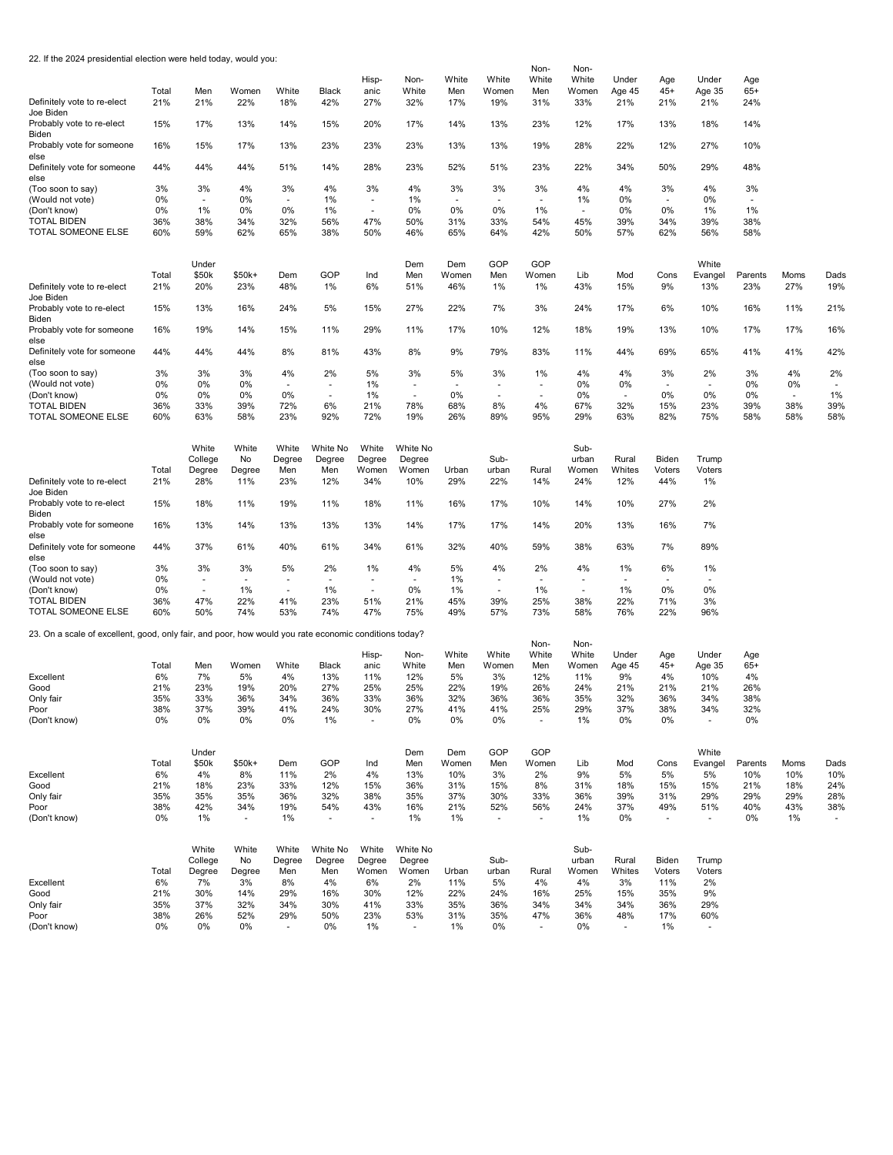|  |  |  | 22. If the 2024 presidential election were held today, would you: |  |  |
|--|--|--|-------------------------------------------------------------------|--|--|
|--|--|--|-------------------------------------------------------------------|--|--|

|                                                                                                       |             |                                |                          |                          |                          |                                |                          |                          |                          | Non-                     | Non-                           |                          |                                |                          |              |      |                          |
|-------------------------------------------------------------------------------------------------------|-------------|--------------------------------|--------------------------|--------------------------|--------------------------|--------------------------------|--------------------------|--------------------------|--------------------------|--------------------------|--------------------------------|--------------------------|--------------------------------|--------------------------|--------------|------|--------------------------|
|                                                                                                       | Total       | Men                            | Women                    | White                    | Black                    | Hisp-<br>anic                  | Non-<br>White            | White<br>Men             | White<br>Women           | White<br>Men             | White<br>Women                 | Under<br>Age 45          | Age<br>$45+$                   | Under<br>Age 35          | Age<br>$65+$ |      |                          |
| Definitely vote to re-elect<br>Joe Biden                                                              | 21%         | 21%                            | 22%                      | 18%                      | 42%                      | 27%                            | 32%                      | 17%                      | 19%                      | 31%                      | 33%                            | 21%                      | 21%                            | 21%                      | 24%          |      |                          |
| Probably vote to re-elect<br>Biden                                                                    | 15%         | 17%                            | 13%                      | 14%                      | 15%                      | 20%                            | 17%                      | 14%                      | 13%                      | 23%                      | 12%                            | 17%                      | 13%                            | 18%                      | 14%          |      |                          |
| Probably vote for someone<br>else                                                                     | 16%         | 15%                            | 17%                      | 13%                      | 23%                      | 23%                            | 23%                      | 13%                      | 13%                      | 19%                      | 28%                            | 22%                      | 12%                            | 27%                      | 10%          |      |                          |
| Definitely vote for someone<br>else                                                                   | 44%         | 44%                            | 44%                      | 51%                      | 14%                      | 28%                            | 23%                      | 52%                      | 51%                      | 23%                      | 22%                            | 34%                      | 50%                            | 29%                      | 48%          |      |                          |
| (Too soon to say)                                                                                     | 3%          | 3%                             | 4%                       | 3%                       | 4%                       | 3%                             | 4%                       | 3%                       | 3%                       | 3%                       | 4%                             | 4%                       | 3%                             | 4%                       | 3%           |      |                          |
| (Would not vote)<br>(Don't know)                                                                      | 0%<br>0%    | $\overline{\phantom{a}}$<br>1% | 0%<br>0%                 | $\sim$<br>0%             | $1\%$<br>1%              | $\overline{\phantom{a}}$<br>×. | 1%<br>0%                 | $\sim$<br>0%             | $\blacksquare$<br>0%     | $\blacksquare$<br>1%     | 1%<br>$\overline{\phantom{a}}$ | 0%<br>0%                 | $\overline{\phantom{a}}$<br>0% | 0%<br>1%                 | $\sim$<br>1% |      |                          |
| <b>TOTAL BIDEN</b>                                                                                    | 36%         | 38%                            | 34%                      | 32%                      | 56%                      | 47%                            | 50%                      | 31%                      | 33%                      | 54%                      | 45%                            | 39%                      | 34%                            | 39%                      | 38%          |      |                          |
| TOTAL SOMEONE ELSE                                                                                    | 60%         | 59%                            | 62%                      | 65%                      | 38%                      | 50%                            | 46%                      | 65%                      | 64%                      | 42%                      | 50%                            | 57%                      | 62%                            | 56%                      | 58%          |      |                          |
|                                                                                                       |             | Under                          |                          |                          |                          |                                | Dem                      | Dem                      | GOP                      | GOP                      |                                |                          |                                | White                    |              |      |                          |
|                                                                                                       | Total       | \$50k                          | \$50k+                   | Dem                      | GOP                      | Ind                            | Men                      | Women                    | Men                      | Women                    | Lib                            | Mod                      | Cons                           | Evangel                  | Parents      | Moms | Dads                     |
| Definitely vote to re-elect<br>Joe Biden                                                              | 21%         | 20%                            | 23%                      | 48%                      | 1%                       | 6%                             | 51%                      | 46%                      | 1%                       | 1%                       | 43%                            | 15%                      | 9%                             | 13%                      | 23%          | 27%  | 19%                      |
| Probably vote to re-elect<br>Biden                                                                    | 15%         | 13%                            | 16%                      | 24%                      | 5%                       | 15%                            | 27%                      | 22%                      | 7%                       | 3%                       | 24%                            | 17%                      | 6%                             | 10%                      | 16%          | 11%  | 21%                      |
| Probably vote for someone<br>else                                                                     | 16%         | 19%                            | 14%                      | 15%                      | 11%                      | 29%                            | 11%                      | 17%                      | 10%                      | 12%                      | 18%                            | 19%                      | 13%                            | 10%                      | 17%          | 17%  | 16%                      |
| Definitely vote for someone<br>else                                                                   | 44%         | 44%                            | 44%                      | 8%                       | 81%                      | 43%                            | 8%                       | 9%                       | 79%                      | 83%                      | 11%                            | 44%                      | 69%                            | 65%                      | 41%          | 41%  | 42%                      |
| (Too soon to say)                                                                                     | 3%          | 3%                             | 3%                       | 4%                       | 2%                       | 5%                             | 3%                       | 5%                       | 3%                       | 1%                       | 4%                             | 4%                       | 3%                             | 2%                       | 3%           | 4%   | 2%                       |
| (Would not vote)                                                                                      | 0%          | 0%                             | 0%                       | $\overline{\phantom{a}}$ | $\overline{\phantom{a}}$ | 1%                             | $\overline{\phantom{a}}$ | $\overline{\phantom{a}}$ | $\overline{\phantom{a}}$ | $\overline{\phantom{a}}$ | 0%                             | 0%                       | $\overline{\phantom{a}}$       | $\overline{\phantom{a}}$ | 0%           | 0%   | $\overline{\phantom{a}}$ |
| (Don't know)<br><b>TOTAL BIDEN</b>                                                                    | 0%<br>36%   | 0%<br>33%                      | 0%<br>39%                | 0%<br>72%                | ÷.<br>6%                 | 1%<br>21%                      | ٠<br>78%                 | $0\%$<br>68%             | $\sim$<br>8%             | 4%                       | $0\%$<br>67%                   | ×,<br>32%                | 0%<br>15%                      | 0%<br>23%                | 0%<br>39%    | 38%  | 1%<br>39%                |
| TOTAL SOMEONE ELSE                                                                                    | 60%         | 63%                            | 58%                      | 23%                      | 92%                      | 72%                            | 19%                      | 26%                      | 89%                      | 95%                      | 29%                            | 63%                      | 82%                            | 75%                      | 58%          | 58%  | 58%                      |
|                                                                                                       |             | White                          | White                    | White                    | White No                 | White                          | White No                 |                          |                          |                          | Sub-                           |                          |                                |                          |              |      |                          |
|                                                                                                       |             | College                        | No                       | Degree                   | Degree                   | Degree                         | Degree                   |                          | Sub-                     |                          | urban                          | Rural                    | Biden                          | Trump                    |              |      |                          |
|                                                                                                       | Total       | Degree                         | Degree                   | Men                      | Men                      | Women                          | Women                    | Urban                    | urban                    | Rural                    | Women                          | Whites                   | Voters                         | Voters                   |              |      |                          |
| Definitely vote to re-elect<br>Joe Biden                                                              | 21%         | 28%                            | 11%                      | 23%                      | 12%                      | 34%                            | 10%                      | 29%                      | 22%                      | 14%                      | 24%                            | 12%                      | 44%                            | 1%                       |              |      |                          |
| Probably vote to re-elect<br>Biden                                                                    | 15%         | 18%                            | 11%                      | 19%                      | 11%                      | 18%                            | 11%                      | 16%                      | 17%                      | 10%                      | 14%                            | 10%                      | 27%                            | 2%                       |              |      |                          |
| Probably vote for someone<br>else                                                                     | 16%         | 13%                            | 14%                      | 13%                      | 13%                      | 13%                            | 14%                      | 17%                      | 17%                      | 14%                      | 20%                            | 13%                      | 16%                            | 7%                       |              |      |                          |
| Definitely vote for someone<br>else                                                                   | 44%         | 37%                            | 61%                      | 40%                      | 61%                      | 34%                            | 61%                      | 32%                      | 40%                      | 59%                      | 38%                            | 63%                      | 7%                             | 89%                      |              |      |                          |
| (Too soon to say)                                                                                     | 3%          | 3%                             | 3%                       | 5%                       | 2%                       | 1%                             | 4%                       | 5%                       | 4%                       | 2%                       | 4%                             | 1%                       | 6%                             | 1%                       |              |      |                          |
| (Would not vote)                                                                                      | 0%          | $\sim$                         | $\sim$                   | $\sim$                   | $\overline{a}$           | ٠                              | ×.                       | 1%                       | $\mathbf{r}$             | $\sim$                   | $\sim$                         | ÷.                       | $\overline{\phantom{a}}$       |                          |              |      |                          |
| (Don't know)                                                                                          | 0%          | $\sim$                         | 1%                       | ×.                       | 1%                       | ÷.                             | 0%                       | 1%                       | ä,                       | 1%                       | $\mathbf{r}$                   | 1%                       | 0%                             | 0%                       |              |      |                          |
| <b>TOTAL BIDEN</b><br>TOTAL SOMEONE ELSE                                                              | 36%<br>60%  | 47%<br>50%                     | 22%<br>74%               | 41%<br>53%               | 23%<br>74%               | 51%<br>47%                     | 21%<br>75%               | 45%<br>49%               | 39%<br>57%               | 25%<br>73%               | 38%<br>58%                     | 22%<br>76%               | 71%<br>22%                     | 3%<br>96%                |              |      |                          |
|                                                                                                       |             |                                |                          |                          |                          |                                |                          |                          |                          |                          |                                |                          |                                |                          |              |      |                          |
| 23. On a scale of excellent, good, only fair, and poor, how would you rate economic conditions today? |             |                                |                          |                          |                          |                                |                          |                          |                          | Non-                     | Non-                           |                          |                                |                          |              |      |                          |
|                                                                                                       |             |                                |                          |                          |                          | Hisp-                          | Non-                     | White                    | White                    | White                    | White                          | Under                    | Age                            | Under                    | Age          |      |                          |
|                                                                                                       | Total       | Men                            | Women                    | White                    | Black                    | anic                           | White                    | Men                      | Women                    | Men                      | Women                          | Age 45                   | $45+$                          | Age 35                   | $65+$        |      |                          |
| Excellent                                                                                             | 6%          | 7%                             | 5%                       | 4%                       | 13%                      | 11%                            | 12%                      | 5%                       | 3%                       | 12%                      | 11%                            | 9%                       | 4%                             | 10%                      | 4%           |      |                          |
| Good                                                                                                  | 21%         | 23%                            | 19%                      | 20%                      | 27%                      | 25%                            | 25%                      | 22%                      | 19%                      | 26%                      | 24%                            | 21%                      | 21%                            | 21%                      | 26%          |      |                          |
| Only fair<br>Poor                                                                                     | 35%<br>38%  | 33%<br>37%                     | 36%<br>39%               | 34%<br>41%               | 36%<br>24%               | 33%<br>30%                     | 36%<br>27%               | 32%<br>41%               | 36%<br>41%               | 36%<br>25%               | 35%<br>29%                     | 32%<br>37%               | 36%<br>38%                     | 34%<br>34%               | 38%<br>32%   |      |                          |
| (Don't know)                                                                                          | 0%          | 0%                             | 0%                       | 0%                       | 1%                       |                                | 0%                       | 0%                       | 0%                       |                          | 1%                             | 0%                       | 0%                             |                          | 0%           |      |                          |
|                                                                                                       |             | Under                          |                          |                          |                          |                                | Dem                      | Dem                      | GOP                      | GOP                      |                                |                          |                                | White                    |              |      |                          |
|                                                                                                       | Total       | \$50k                          | $$50k+$                  | Dem                      | GOP                      | Ind                            | Men                      | Women                    | Men                      | Women                    | Lib                            | Mod                      | Cons                           | Evangel                  | Parents      | Moms | Dads                     |
| Excellent                                                                                             | 6%          | 4%                             | 8%                       | 11%                      | 2%                       | 4%                             | 13%                      | 10%                      | 3%                       | 2%                       | 9%                             | 5%                       | 5%                             | 5%                       | 10%          | 10%  | 10%                      |
| Good                                                                                                  | 21%         | 18%                            | 23%                      | 33%                      | 12%                      | 15%                            | 36%                      | 31%                      | 15%                      | 8%                       | 31%                            | 18%                      | 15%                            | 15%                      | 21%          | 18%  | 24%                      |
| Only fair                                                                                             | 35%         | 35%                            | 35%                      | 36%                      | 32%                      | 38%                            | 35%                      | 37%                      | 30%                      | 33%                      | 36%                            | 39%                      | 31%                            | 29%                      | 29%          | 29%  | 28%                      |
| Poor                                                                                                  | 38%         | 42%                            | 34%                      | 19%                      | 54%                      | 43%                            | 16%                      | 21%                      | 52%                      | 56%                      | 24%                            | 37%                      | 49%                            | 51%                      | 40%          | 43%  | 38%                      |
| (Don't know)                                                                                          | 0%          | $1\%$                          | $\overline{\phantom{a}}$ | 1%                       | $\sim$                   | $\sim$                         | 1%                       | $1\%$                    | $\tilde{\phantom{a}}$    | $\mathbf{r}$             | 1%                             | 0%                       | ٠                              | $\blacksquare$           | 0%           | 1%   | $\overline{\phantom{a}}$ |
|                                                                                                       |             | White                          | White                    | White                    | White No                 | White                          | White No                 |                          |                          |                          | Sub-                           |                          |                                |                          |              |      |                          |
|                                                                                                       |             | College                        | No                       | Degree                   | Degree                   | Degree                         | Degree                   |                          | Sub-                     |                          | urban                          | Rural                    | Biden                          | Trump                    |              |      |                          |
| Excellent                                                                                             | Total<br>6% | Degree<br>7%                   | Degree<br>3%             | Men<br>8%                | Men<br>4%                | Women<br>6%                    | Women<br>2%              | Urban<br>11%             | urban<br>5%              | Rural<br>4%              | Women<br>4%                    | Whites<br>3%             | Voters<br>11%                  | Voters<br>2%             |              |      |                          |
| Good                                                                                                  | 21%         | 30%                            | 14%                      | 29%                      | 16%                      | 30%                            | 12%                      | 22%                      | 24%                      | 16%                      | 25%                            | 15%                      | 35%                            | 9%                       |              |      |                          |
| Only fair                                                                                             | 35%         | 37%                            | 32%                      | 34%                      | 30%                      | 41%                            | 33%                      | 35%                      | 36%                      | 34%                      | 34%                            | 34%                      | 36%                            | 29%                      |              |      |                          |
| Poor                                                                                                  | 38%         | 26%                            | 52%                      | 29%                      | 50%                      | 23%                            | 53%                      | 31%                      | 35%                      | 47%                      | 36%                            | 48%                      | 17%                            | 60%                      |              |      |                          |
| (Don't know)                                                                                          | 0%          | $0\%$                          | $0\%$                    | $\overline{\phantom{a}}$ | 0%                       | 1%                             | $\overline{\phantom{a}}$ | 1%                       | 0%                       |                          | 0%                             | $\overline{\phantom{a}}$ | 1%                             | $\sim$                   |              |      |                          |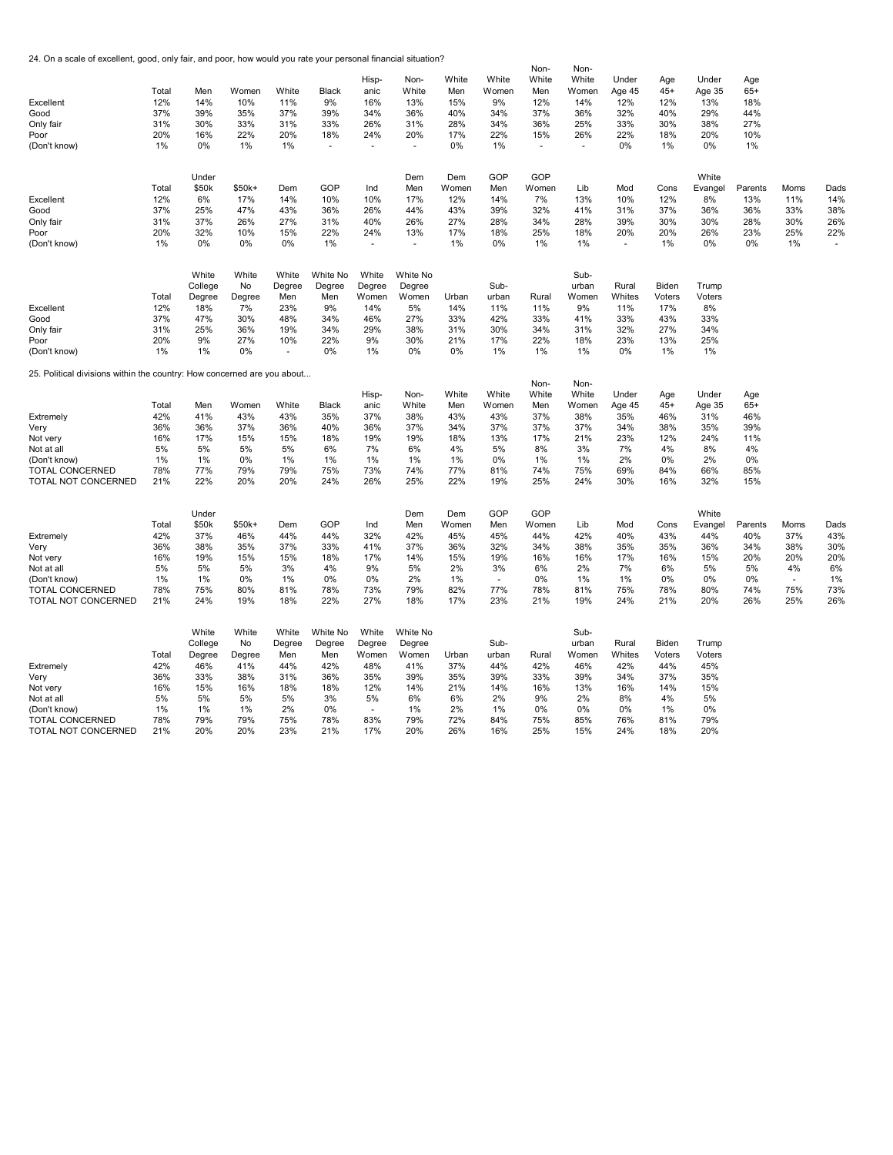24. On a scale of excellent, good, only fair, and poor, how would you rate your personal financial situation?

|                                                                         |       |         |        |                          |          |        |          |       |                | Non-   | Non-   |                          |        |         |         |                          |      |
|-------------------------------------------------------------------------|-------|---------|--------|--------------------------|----------|--------|----------|-------|----------------|--------|--------|--------------------------|--------|---------|---------|--------------------------|------|
|                                                                         |       |         |        |                          |          | Hisp-  | Non-     | White | White          | White  | White  | Under                    | Age    | Under   | Age     |                          |      |
|                                                                         | Total | Men     | Women  | White                    | Black    | anic   | White    | Men   | Women          | Men    | Women  | Age 45                   | $45+$  | Age 35  | $65+$   |                          |      |
| Excellent                                                               | 12%   | 14%     | 10%    | 11%                      | 9%       | 16%    | 13%      | 15%   | 9%             | 12%    | 14%    | 12%                      | 12%    | 13%     | 18%     |                          |      |
| Good                                                                    | 37%   | 39%     | 35%    | 37%                      | 39%      | 34%    | 36%      | 40%   | 34%            | 37%    | 36%    | 32%                      | 40%    | 29%     | 44%     |                          |      |
| Only fair                                                               | 31%   | 30%     | 33%    | 31%                      | 33%      | 26%    | 31%      | 28%   | 34%            | 36%    | 25%    | 33%                      | 30%    | 38%     | 27%     |                          |      |
| Poor                                                                    | 20%   | 16%     | 22%    | 20%                      | 18%      | 24%    | 20%      | 17%   | 22%            | 15%    | 26%    | 22%                      | 18%    | 20%     | 10%     |                          |      |
| (Don't know)                                                            | 1%    | 0%      | 1%     | 1%                       | ÷.       | ä,     | $\sim$   | 0%    | 1%             | $\sim$ | $\sim$ | 0%                       | 1%     | 0%      | 1%      |                          |      |
|                                                                         |       |         |        |                          |          |        |          |       |                |        |        |                          |        |         |         |                          |      |
|                                                                         |       | Under   |        |                          |          |        | Dem      | Dem   | GOP            | GOP    |        |                          |        | White   |         |                          |      |
|                                                                         | Total | \$50k   | \$50k+ | Dem                      | GOP      | Ind    | Men      | Women | Men            | Women  | Lib    | Mod                      | Cons   | Evangel | Parents | Moms                     | Dads |
|                                                                         |       |         |        |                          |          |        |          |       |                |        |        |                          |        |         |         |                          |      |
| Excellent                                                               | 12%   | 6%      | 17%    | 14%                      | 10%      | 10%    | 17%      | 12%   | 14%            | 7%     | 13%    | 10%                      | 12%    | 8%      | 13%     | 11%                      | 14%  |
| Good                                                                    | 37%   | 25%     | 47%    | 43%                      | 36%      | 26%    | 44%      | 43%   | 39%            | 32%    | 41%    | 31%                      | 37%    | 36%     | 36%     | 33%                      | 38%  |
| Only fair                                                               | 31%   | 37%     | 26%    | 27%                      | 31%      | 40%    | 26%      | 27%   | 28%            | 34%    | 28%    | 39%                      | 30%    | 30%     | 28%     | 30%                      | 26%  |
| Poor                                                                    | 20%   | 32%     | 10%    | 15%                      | 22%      | 24%    | 13%      | 17%   | 18%            | 25%    | 18%    | 20%                      | 20%    | 26%     | 23%     | 25%                      | 22%  |
| (Don't know)                                                            | 1%    | 0%      | 0%     | 0%                       | 1%       |        | ÷        | 1%    | 0%             | 1%     | 1%     | $\overline{\phantom{a}}$ | 1%     | 0%      | 0%      | 1%                       |      |
|                                                                         |       |         |        |                          |          |        |          |       |                |        |        |                          |        |         |         |                          |      |
|                                                                         |       | White   | White  | White                    | White No | White  | White No |       |                |        | Sub-   |                          |        |         |         |                          |      |
|                                                                         |       | College | No     | Degree                   | Degree   | Degree | Degree   |       | Sub-           |        | urban  | Rural                    | Biden  | Trump   |         |                          |      |
|                                                                         | Total | Degree  | Degree | Men                      | Men      | Women  | Women    | Urban | urban          | Rural  | Women  | Whites                   | Voters | Voters  |         |                          |      |
| Excellent                                                               | 12%   | 18%     | 7%     | 23%                      | 9%       | 14%    | 5%       | 14%   | 11%            | 11%    | 9%     | 11%                      | 17%    | 8%      |         |                          |      |
| Good                                                                    | 37%   | 47%     | 30%    | 48%                      | 34%      | 46%    | 27%      | 33%   | 42%            | 33%    | 41%    | 33%                      | 43%    | 33%     |         |                          |      |
| Only fair                                                               | 31%   | 25%     | 36%    | 19%                      | 34%      | 29%    | 38%      | 31%   | 30%            | 34%    | 31%    | 32%                      | 27%    | 34%     |         |                          |      |
| Poor                                                                    | 20%   | 9%      | 27%    | 10%                      | 22%      | 9%     | 30%      | 21%   | 17%            | 22%    | 18%    | 23%                      | 13%    | 25%     |         |                          |      |
| (Don't know)                                                            | 1%    | 1%      | 0%     | $\overline{\phantom{a}}$ | 0%       | 1%     | 0%       | 0%    | 1%             | 1%     | 1%     | 0%                       | 1%     | 1%      |         |                          |      |
| 25. Political divisions within the country: How concerned are you about |       |         |        |                          |          |        |          |       |                |        |        |                          |        |         |         |                          |      |
|                                                                         |       |         |        |                          |          |        |          |       |                | Non-   | Non-   |                          |        |         |         |                          |      |
|                                                                         |       |         |        |                          |          | Hisp-  | Non-     | White | White          | White  | White  | Under                    | Age    | Under   | Age     |                          |      |
|                                                                         | Total | Men     | Women  | White                    | Black    | anic   | White    | Men   | Women          | Men    | Women  | Age 45                   | $45+$  | Age 35  | $65+$   |                          |      |
| Extremely                                                               | 42%   | 41%     | 43%    | 43%                      | 35%      | 37%    | 38%      | 43%   | 43%            | 37%    | 38%    | 35%                      | 46%    | 31%     | 46%     |                          |      |
| Very                                                                    | 36%   | 36%     | 37%    | 36%                      | 40%      | 36%    | 37%      | 34%   | 37%            | 37%    | 37%    | 34%                      | 38%    | 35%     | 39%     |                          |      |
| Not very                                                                | 16%   | 17%     | 15%    | 15%                      | 18%      | 19%    | 19%      | 18%   | 13%            | 17%    | 21%    | 23%                      | 12%    | 24%     | 11%     |                          |      |
| Not at all                                                              | 5%    | 5%      | 5%     | 5%                       | 6%       | 7%     | 6%       | 4%    | 5%             | 8%     | 3%     | 7%                       | 4%     | 8%      | 4%      |                          |      |
| (Don't know)                                                            | 1%    | 1%      | 0%     | 1%                       | 1%       | 1%     | 1%       | 1%    | 0%             | 1%     | 1%     | 2%                       | 0%     | 2%      | 0%      |                          |      |
| TOTAL CONCERNED                                                         | 78%   | 77%     | 79%    | 79%                      | 75%      | 73%    | 74%      | 77%   | 81%            | 74%    | 75%    | 69%                      | 84%    | 66%     | 85%     |                          |      |
| TOTAL NOT CONCERNED                                                     | 21%   | 22%     | 20%    | 20%                      | 24%      | 26%    | 25%      | 22%   | 19%            | 25%    | 24%    | 30%                      | 16%    | 32%     | 15%     |                          |      |
|                                                                         |       |         |        |                          |          |        |          |       |                |        |        |                          |        |         |         |                          |      |
|                                                                         |       | Under   |        |                          |          |        | Dem      | Dem   | GOP            | GOP    |        |                          |        | White   |         |                          |      |
|                                                                         | Total | \$50k   | \$50k+ | Dem                      | GOP      | Ind    | Men      | Women | Men            | Women  | Lib    | Mod                      | Cons   | Evangel | Parents | Moms                     | Dads |
| Extremely                                                               | 42%   | 37%     | 46%    | 44%                      | 44%      | 32%    | 42%      | 45%   | 45%            | 44%    | 42%    | 40%                      | 43%    | 44%     | 40%     | 37%                      | 43%  |
| Very                                                                    | 36%   | 38%     | 35%    | 37%                      | 33%      | 41%    | 37%      | 36%   | 32%            | 34%    | 38%    | 35%                      | 35%    | 36%     | 34%     | 38%                      | 30%  |
|                                                                         |       |         |        |                          |          | 17%    |          |       |                |        |        |                          |        |         |         |                          |      |
| Not very                                                                | 16%   | 19%     | 15%    | 15%                      | 18%      |        | 14%      | 15%   | 19%            | 16%    | 16%    | 17%                      | 16%    | 15%     | 20%     | 20%                      | 20%  |
| Not at all                                                              | 5%    | 5%      | 5%     | 3%                       | 4%       | 9%     | 5%       | 2%    | 3%             | 6%     | 2%     | 7%                       | 6%     | 5%      | 5%      | 4%                       | 6%   |
| (Don't know)                                                            | 1%    | 1%      | 0%     | 1%                       | 0%       | 0%     | 2%       | 1%    | $\blacksquare$ | 0%     | 1%     | 1%                       | 0%     | 0%      | 0%      | $\overline{\phantom{a}}$ | 1%   |
| <b>TOTAL CONCERNED</b>                                                  | 78%   | 75%     | 80%    | 81%                      | 78%      | 73%    | 79%      | 82%   | 77%            | 78%    | 81%    | 75%                      | 78%    | 80%     | 74%     | 75%                      | 73%  |
| TOTAL NOT CONCERNED                                                     | 21%   | 24%     | 19%    | 18%                      | 22%      | 27%    | 18%      | 17%   | 23%            | 21%    | 19%    | 24%                      | 21%    | 20%     | 26%     | 25%                      | 26%  |
|                                                                         |       |         |        |                          |          |        |          |       |                |        |        |                          |        |         |         |                          |      |
|                                                                         |       | White   | White  | White                    | White No | White  | White No |       |                |        | Sub-   |                          |        |         |         |                          |      |
|                                                                         |       | College | No     | Degree                   | Degree   | Degree | Degree   |       | Sub-           |        | urban  | Rural                    | Biden  | Trump   |         |                          |      |
|                                                                         | Total | Degree  | Degree | Men                      | Men      | Women  | Women    | Urban | urban          | Rural  | Women  | Whites                   | Voters | Voters  |         |                          |      |
| Extremely                                                               | 42%   | 46%     | 41%    | 44%                      | 42%      | 48%    | 41%      | 37%   | 44%            | 42%    | 46%    | 42%                      | 44%    | 45%     |         |                          |      |
| Very                                                                    | 36%   | 33%     | 38%    | 31%                      | 36%      | 35%    | 39%      | 35%   | 39%            | 33%    | 39%    | 34%                      | 37%    | 35%     |         |                          |      |
| Not very                                                                | 16%   | 15%     | 16%    | 18%                      | 18%      | 12%    | 14%      | 21%   | 14%            | 16%    | 13%    | 16%                      | 14%    | 15%     |         |                          |      |
| Not at all                                                              | 5%    | 5%      | 5%     | 5%                       | 3%       | 5%     | 6%       | 6%    | 2%             | 9%     | 2%     | 8%                       | 4%     | 5%      |         |                          |      |
| (Don't know)                                                            | 1%    | 1%      | 1%     | 2%                       | 0%       |        | 1%       | 2%    | 1%             | 0%     | 0%     | 0%                       | 1%     | 0%      |         |                          |      |
| <b>TOTAL CONCERNED</b>                                                  | 78%   | 79%     | 79%    | 75%                      | 78%      | 83%    | 79%      | 72%   | 84%            | 75%    | 85%    | 76%                      | 81%    | 79%     |         |                          |      |
| TOTAL NOT CONCERNED                                                     | 21%   | 20%     | 20%    | 23%                      | 21%      | 17%    | 20%      | 26%   | 16%            | 25%    | 15%    | 24%                      | 18%    | 20%     |         |                          |      |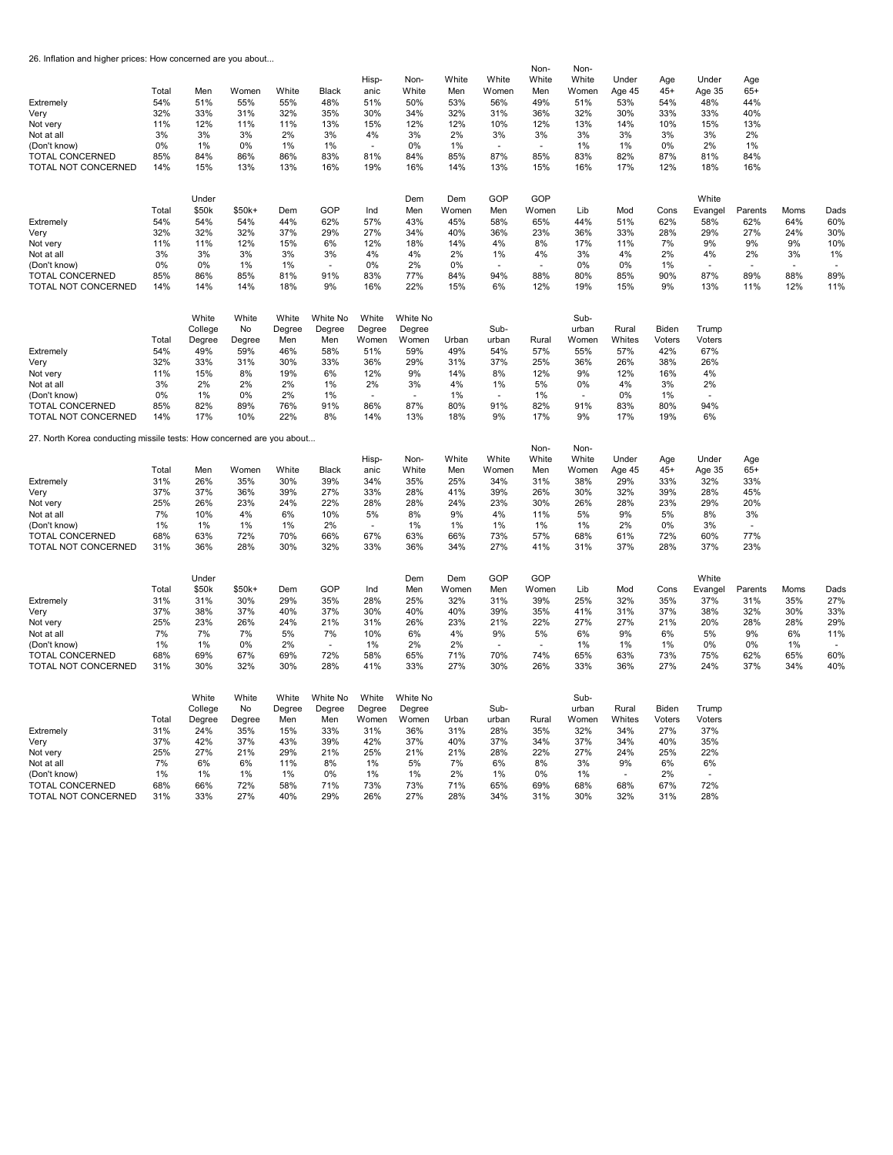26. Inflation and higher prices: How concerned are you about...

| Extremely<br>Very<br>Not very<br>Not at all<br>(Don't know)<br><b>TOTAL CONCERNED</b><br>TOTAL NOT CONCERNED<br>Extremely<br>Very<br>Not very<br>Not at all<br>(Don't know)<br><b>TOTAL CONCERNED</b> | Total<br>54%<br>32%<br>11%<br>3%<br>0%<br>85%<br>14%<br>Total<br>54%<br>32%<br>11%<br>3%<br>0%<br>85% | Men<br>51%<br>33%<br>12%<br>3%<br>1%<br>84%<br>15%<br>Under<br>\$50k<br>54%<br>32%<br>11%<br>3%<br>0%<br>86% | Women<br>55%<br>31%<br>11%<br>3%<br>0%<br>86%<br>13%<br>\$50k+<br>54%<br>32%<br>12%<br>3%<br>1%<br>85% | White<br>55%<br>32%<br>11%<br>2%<br>1%<br>86%<br>13%<br>Dem<br>44%<br>37%<br>15%<br>3%<br>1%<br>81% | Black<br>48%<br>35%<br>13%<br>3%<br>1%<br>83%<br>16%<br>GOP<br>62%<br>29%<br>6%<br>3%<br>91% | Hisp-<br>anic<br>51%<br>30%<br>15%<br>4%<br>81%<br>19%<br>Ind<br>57%<br>27%<br>12%<br>4%<br>0%<br>83% | Non-<br>White<br>50%<br>34%<br>12%<br>3%<br>0%<br>84%<br>16%<br>Dem<br>Men<br>43%<br>34%<br>18%<br>4%<br>2%<br>77% | White<br>Men<br>53%<br>32%<br>12%<br>2%<br>1%<br>85%<br>14%<br>Dem<br>Women<br>45%<br>40%<br>14%<br>2%<br>$0\%$<br>84% | White<br>Women<br>56%<br>31%<br>10%<br>3%<br>87%<br>13%<br>GOP<br>Men<br>58%<br>36%<br>4%<br>1%<br>94% | Non-<br>White<br>Men<br>49%<br>36%<br>12%<br>3%<br>85%<br>15%<br>GOP<br>Women<br>65%<br>23%<br>8%<br>4%<br>88% | Non-<br>White<br>Women<br>51%<br>32%<br>13%<br>3%<br>1%<br>83%<br>16%<br>Lib<br>44%<br>36%<br>17%<br>3%<br>0%<br>80% | Under<br>Age 45<br>53%<br>30%<br>14%<br>3%<br>1%<br>82%<br>17%<br>Mod<br>51%<br>33%<br>11%<br>4%<br>0%<br>85% | Age<br>$45+$<br>54%<br>33%<br>10%<br>3%<br>0%<br>87%<br>12%<br>Cons<br>62%<br>28%<br>7%<br>2%<br>1%<br>90% | Under<br>Age 35<br>48%<br>33%<br>15%<br>3%<br>2%<br>81%<br>18%<br>White<br>Evangel<br>58%<br>29%<br>9%<br>4%<br>87% | Age<br>$65+$<br>44%<br>40%<br>13%<br>2%<br>1%<br>84%<br>16%<br>Parents<br>62%<br>27%<br>9%<br>2%<br>89% | Moms<br>64%<br>24%<br>9%<br>3%<br>88%               | Dads<br>60%<br>30%<br>10%<br>1%<br>89%               |
|-------------------------------------------------------------------------------------------------------------------------------------------------------------------------------------------------------|-------------------------------------------------------------------------------------------------------|--------------------------------------------------------------------------------------------------------------|--------------------------------------------------------------------------------------------------------|-----------------------------------------------------------------------------------------------------|----------------------------------------------------------------------------------------------|-------------------------------------------------------------------------------------------------------|--------------------------------------------------------------------------------------------------------------------|------------------------------------------------------------------------------------------------------------------------|--------------------------------------------------------------------------------------------------------|----------------------------------------------------------------------------------------------------------------|----------------------------------------------------------------------------------------------------------------------|---------------------------------------------------------------------------------------------------------------|------------------------------------------------------------------------------------------------------------|---------------------------------------------------------------------------------------------------------------------|---------------------------------------------------------------------------------------------------------|-----------------------------------------------------|------------------------------------------------------|
| TOTAL NOT CONCERNED                                                                                                                                                                                   | 14%                                                                                                   | 14%                                                                                                          | 14%                                                                                                    | 18%                                                                                                 | 9%                                                                                           | 16%                                                                                                   | 22%                                                                                                                | 15%                                                                                                                    | 6%                                                                                                     | 12%                                                                                                            | 19%                                                                                                                  | 15%                                                                                                           | 9%                                                                                                         | 13%                                                                                                                 | 11%                                                                                                     | 12%                                                 | 11%                                                  |
| Extremely<br>Very<br>Not very<br>Not at all<br>(Don't know)<br><b>TOTAL CONCERNED</b><br>TOTAL NOT CONCERNED                                                                                          | Total<br>54%<br>32%<br>11%<br>3%<br>0%<br>85%<br>14%                                                  | White<br>College<br>Degree<br>49%<br>33%<br>15%<br>2%<br>1%<br>82%<br>17%                                    | White<br>No<br>Degree<br>59%<br>31%<br>8%<br>2%<br>0%<br>89%<br>10%                                    | White<br>Degree<br>Men<br>46%<br>30%<br>19%<br>2%<br>2%<br>76%<br>22%                               | White No<br>Degree<br>Men<br>58%<br>33%<br>6%<br>1%<br>1%<br>91%<br>8%                       | White<br>Degree<br>Women<br>51%<br>36%<br>12%<br>2%<br>$\overline{\phantom{a}}$<br>86%<br>14%         | White No<br>Degree<br>Women<br>59%<br>29%<br>9%<br>3%<br>$\overline{\phantom{a}}$<br>87%<br>13%                    | Urban<br>49%<br>31%<br>14%<br>4%<br>1%<br>80%<br>18%                                                                   | Sub-<br>urban<br>54%<br>37%<br>8%<br>1%<br>$\sim$<br>91%<br>9%                                         | Rural<br>57%<br>25%<br>12%<br>5%<br>1%<br>82%<br>17%                                                           | Sub-<br>urban<br>Women<br>55%<br>36%<br>9%<br>0%<br>$\overline{\phantom{a}}$<br>91%<br>9%                            | Rural<br>Whites<br>57%<br>26%<br>12%<br>4%<br>0%<br>83%<br>17%                                                | Biden<br>Voters<br>42%<br>38%<br>16%<br>3%<br>1%<br>80%<br>19%                                             | Trump<br>Voters<br>67%<br>26%<br>4%<br>2%<br>$\overline{\phantom{a}}$<br>94%<br>6%                                  |                                                                                                         |                                                     |                                                      |
| 27. North Korea conducting missile tests: How concerned are you about                                                                                                                                 |                                                                                                       |                                                                                                              |                                                                                                        |                                                                                                     |                                                                                              |                                                                                                       |                                                                                                                    |                                                                                                                        |                                                                                                        |                                                                                                                |                                                                                                                      |                                                                                                               |                                                                                                            |                                                                                                                     |                                                                                                         |                                                     |                                                      |
| Extremely<br>Very<br>Not very<br>Not at all<br>(Don't know)<br><b>TOTAL CONCERNED</b><br><b>TOTAL NOT CONCERNED</b>                                                                                   | Total<br>31%<br>37%<br>25%<br>7%<br>1%<br>68%<br>31%                                                  | Men<br>26%<br>37%<br>26%<br>10%<br>1%<br>63%<br>36%                                                          | Women<br>35%<br>36%<br>23%<br>4%<br>1%<br>72%<br>28%                                                   | White<br>30%<br>39%<br>24%<br>6%<br>1%<br>70%<br>30%                                                | Black<br>39%<br>27%<br>22%<br>10%<br>2%<br>66%<br>32%                                        | Hisp-<br>anic<br>34%<br>33%<br>28%<br>5%<br>$\sim$<br>67%<br>33%                                      | Non-<br>White<br>35%<br>28%<br>28%<br>8%<br>1%<br>63%<br>36%                                                       | White<br>Men<br>25%<br>41%<br>24%<br>9%<br>1%<br>66%<br>34%                                                            | White<br>Women<br>34%<br>39%<br>23%<br>4%<br>1%<br>73%<br>27%                                          | Non-<br>White<br>Men<br>31%<br>26%<br>30%<br>11%<br>1%<br>57%<br>41%                                           | Non-<br>White<br>Women<br>38%<br>30%<br>26%<br>5%<br>1%<br>68%<br>31%                                                | Under<br>Age 45<br>29%<br>32%<br>28%<br>9%<br>2%<br>61%<br>37%                                                | Age<br>$45+$<br>33%<br>39%<br>23%<br>5%<br>0%<br>72%<br>28%                                                | Under<br>Age 35<br>32%<br>28%<br>29%<br>8%<br>3%<br>60%<br>37%                                                      | Age<br>$65+$<br>33%<br>45%<br>20%<br>3%<br>77%<br>23%                                                   |                                                     |                                                      |
| Extremely<br>Very<br>Not very<br>Not at all<br>(Don't know)<br><b>TOTAL CONCERNED</b><br>TOTAL NOT CONCERNED                                                                                          | Total<br>31%<br>37%<br>25%<br>7%<br>1%<br>68%<br>31%                                                  | Under<br>\$50k<br>31%<br>38%<br>23%<br>7%<br>1%<br>69%<br>30%                                                | \$50k+<br>30%<br>37%<br>26%<br>7%<br>0%<br>67%<br>32%                                                  | Dem<br>29%<br>40%<br>24%<br>5%<br>2%<br>69%<br>30%                                                  | GOP<br>35%<br>37%<br>21%<br>7%<br>$\sim$<br>72%<br>28%                                       | Ind<br>28%<br>30%<br>31%<br>10%<br>1%<br>58%<br>41%                                                   | Dem<br>Men<br>25%<br>40%<br>26%<br>6%<br>2%<br>65%<br>33%                                                          | Dem<br>Women<br>32%<br>40%<br>23%<br>4%<br>2%<br>71%<br>27%                                                            | GOP<br>Men<br>31%<br>39%<br>21%<br>9%<br>$\sim$<br>70%<br>30%                                          | GOP<br>Women<br>39%<br>35%<br>22%<br>5%<br>$\sim$<br>74%<br>26%                                                | Lib<br>25%<br>41%<br>27%<br>6%<br>1%<br>65%<br>33%                                                                   | Mod<br>32%<br>31%<br>27%<br>9%<br>1%<br>63%<br>36%                                                            | Cons<br>35%<br>37%<br>21%<br>6%<br>1%<br>73%<br>27%                                                        | White<br>Evangel<br>37%<br>38%<br>20%<br>5%<br>0%<br>75%<br>24%                                                     | Parents<br>31%<br>32%<br>28%<br>9%<br>0%<br>62%<br>37%                                                  | Moms<br>35%<br>30%<br>28%<br>6%<br>1%<br>65%<br>34% | Dads<br>27%<br>33%<br>29%<br>11%<br>J.<br>60%<br>40% |
| Extremely<br>Very<br>Not very<br>Not at all<br>(Don't know)<br><b>TOTAL CONCERNED</b><br>TOTAL NOT CONCERNED                                                                                          | Total<br>31%<br>37%<br>25%<br>7%<br>1%<br>68%<br>31%                                                  | White<br>College<br>Degree<br>24%<br>42%<br>27%<br>6%<br>1%<br>66%<br>33%                                    | White<br>No<br>Degree<br>35%<br>37%<br>21%<br>6%<br>1%<br>72%<br>27%                                   | White<br>Degree<br>Men<br>15%<br>43%<br>29%<br>11%<br>1%<br>58%<br>40%                              | White No<br>Degree<br>Men<br>33%<br>39%<br>21%<br>8%<br>0%<br>71%<br>29%                     | White<br>Degree<br>Women<br>31%<br>42%<br>25%<br>1%<br>1%<br>73%<br>26%                               | White No<br>Degree<br>Women<br>36%<br>37%<br>21%<br>5%<br>1%<br>73%<br>27%                                         | Urban<br>31%<br>40%<br>21%<br>7%<br>2%<br>71%<br>28%                                                                   | Sub-<br>urban<br>28%<br>37%<br>28%<br>6%<br>1%<br>65%<br>34%                                           | Rural<br>35%<br>34%<br>22%<br>8%<br>0%<br>69%<br>31%                                                           | Sub-<br>urban<br>Women<br>32%<br>37%<br>27%<br>3%<br>1%<br>68%<br>30%                                                | Rural<br>Whites<br>34%<br>34%<br>24%<br>9%<br>68%<br>32%                                                      | Biden<br>Voters<br>27%<br>40%<br>25%<br>6%<br>2%<br>67%<br>31%                                             | Trump<br>Voters<br>37%<br>35%<br>22%<br>6%<br>72%<br>28%                                                            |                                                                                                         |                                                     |                                                      |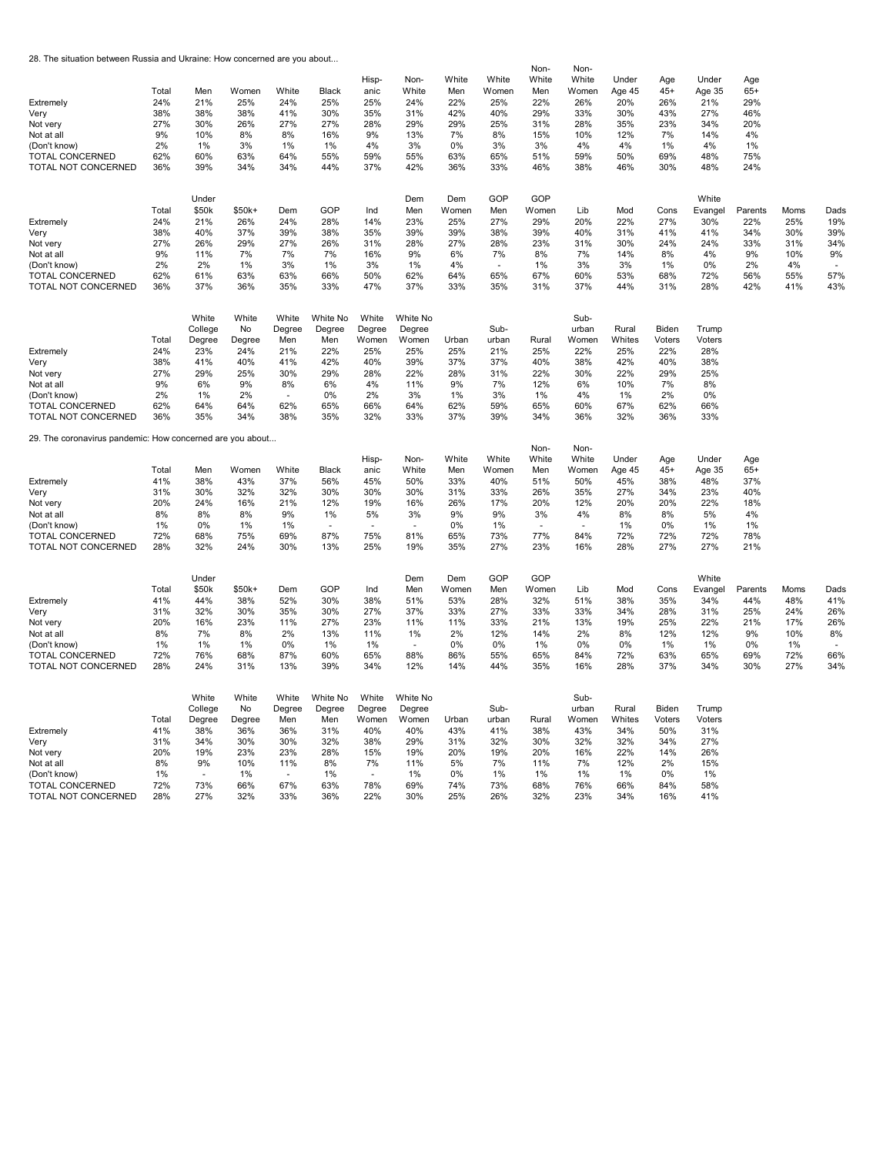28. The situation between Russia and Ukraine: How concerned are you about...

| Extremely<br>Very<br>Not very<br>Not at all<br>(Don't know)<br><b>TOTAL CONCERNED</b><br>TOTAL NOT CONCERNED<br>Extremely<br>Very<br>Not very<br>Not at all<br>(Don't know)<br>TOTAL CONCERNED | Total<br>24%<br>38%<br>27%<br>9%<br>2%<br>62%<br>36%<br>Total<br>24%<br>38%<br>27%<br>9%<br>2%<br>62% | Men<br>21%<br>38%<br>30%<br>10%<br>1%<br>60%<br>39%<br>Under<br>\$50k<br>21%<br>40%<br>26%<br>11%<br>2%<br>61% | Women<br>25%<br>38%<br>26%<br>8%<br>3%<br>63%<br>34%<br>$$50k+$<br>26%<br>37%<br>29%<br>7%<br>1%<br>63% | White<br>24%<br>41%<br>27%<br>8%<br>1%<br>64%<br>34%<br>Dem<br>24%<br>39%<br>27%<br>7%<br>3%<br>63% | Black<br>25%<br>30%<br>27%<br>16%<br>1%<br>55%<br>44%<br>GOP<br>28%<br>38%<br>26%<br>7%<br>1%<br>66% | Hisp-<br>anic<br>25%<br>35%<br>28%<br>9%<br>4%<br>59%<br>37%<br>Ind<br>14%<br>35%<br>31%<br>16%<br>3%<br>50% | Non-<br>White<br>24%<br>31%<br>29%<br>13%<br>3%<br>55%<br>42%<br>Dem<br>Men<br>23%<br>39%<br>28%<br>9%<br>1%<br>62% | White<br>Men<br>22%<br>42%<br>29%<br>7%<br>0%<br>63%<br>36%<br>Dem<br>Women<br>25%<br>39%<br>27%<br>6%<br>4%<br>64% | White<br>Women<br>25%<br>40%<br>25%<br>8%<br>3%<br>65%<br>33%<br>GOP<br>Men<br>27%<br>38%<br>28%<br>7%<br>65% | Non-<br>White<br>Men<br>22%<br>29%<br>31%<br>15%<br>3%<br>51%<br>46%<br>GOP<br>Women<br>29%<br>39%<br>23%<br>8%<br>1%<br>67% | Non-<br>White<br>Women<br>26%<br>33%<br>28%<br>10%<br>4%<br>59%<br>38%<br>Lib<br>20%<br>40%<br>31%<br>7%<br>3%<br>60% | Under<br>Age 45<br>20%<br>30%<br>35%<br>12%<br>4%<br>50%<br>46%<br>Mod<br>22%<br>31%<br>30%<br>14%<br>3%<br>53% | Age<br>$45+$<br>26%<br>43%<br>23%<br>7%<br>1%<br>69%<br>30%<br>Cons<br>27%<br>41%<br>24%<br>8%<br>1%<br>68% | Under<br>Age 35<br>21%<br>27%<br>34%<br>14%<br>4%<br>48%<br>48%<br>White<br>Evangel<br>30%<br>41%<br>24%<br>4%<br>0%<br>72% | Age<br>$65+$<br>29%<br>46%<br>20%<br>4%<br>1%<br>75%<br>24%<br>Parents<br>22%<br>34%<br>33%<br>9%<br>2%<br>56% | Moms<br>25%<br>30%<br>31%<br>10%<br>4%<br>55%        | Dads<br>19%<br>39%<br>34%<br>9%<br>57%                          |
|------------------------------------------------------------------------------------------------------------------------------------------------------------------------------------------------|-------------------------------------------------------------------------------------------------------|----------------------------------------------------------------------------------------------------------------|---------------------------------------------------------------------------------------------------------|-----------------------------------------------------------------------------------------------------|------------------------------------------------------------------------------------------------------|--------------------------------------------------------------------------------------------------------------|---------------------------------------------------------------------------------------------------------------------|---------------------------------------------------------------------------------------------------------------------|---------------------------------------------------------------------------------------------------------------|------------------------------------------------------------------------------------------------------------------------------|-----------------------------------------------------------------------------------------------------------------------|-----------------------------------------------------------------------------------------------------------------|-------------------------------------------------------------------------------------------------------------|-----------------------------------------------------------------------------------------------------------------------------|----------------------------------------------------------------------------------------------------------------|------------------------------------------------------|-----------------------------------------------------------------|
| TOTAL NOT CONCERNED                                                                                                                                                                            | 36%                                                                                                   | 37%                                                                                                            | 36%                                                                                                     | 35%                                                                                                 | 33%                                                                                                  | 47%                                                                                                          | 37%                                                                                                                 | 33%                                                                                                                 | 35%                                                                                                           | 31%                                                                                                                          | 37%                                                                                                                   | 44%                                                                                                             | 31%                                                                                                         | 28%                                                                                                                         | 42%                                                                                                            | 41%                                                  | 43%                                                             |
| Extremely<br>Very<br>Not very<br>Not at all<br>(Don't know)<br>TOTAL CONCERNED<br>TOTAL NOT CONCERNED                                                                                          | Total<br>24%<br>38%<br>27%<br>9%<br>2%<br>62%<br>36%                                                  | White<br>College<br>Degree<br>23%<br>41%<br>29%<br>6%<br>1%<br>64%<br>35%                                      | White<br>No<br>Degree<br>24%<br>40%<br>25%<br>9%<br>2%<br>64%<br>34%                                    | White<br>Degree<br>Men<br>21%<br>41%<br>30%<br>8%<br>$\sim$<br>62%<br>38%                           | White No<br>Degree<br>Men<br>22%<br>42%<br>29%<br>6%<br>0%<br>65%<br>35%                             | White<br>Degree<br>Women<br>25%<br>40%<br>28%<br>4%<br>2%<br>66%<br>32%                                      | White No<br>Degree<br>Women<br>25%<br>39%<br>22%<br>11%<br>3%<br>64%<br>33%                                         | Urban<br>25%<br>37%<br>28%<br>9%<br>1%<br>62%<br>37%                                                                | Sub-<br>urban<br>21%<br>37%<br>31%<br>7%<br>3%<br>59%<br>39%                                                  | Rural<br>25%<br>40%<br>22%<br>12%<br>1%<br>65%<br>34%                                                                        | Sub-<br>urban<br>Women<br>22%<br>38%<br>30%<br>6%<br>4%<br>60%<br>36%                                                 | Rural<br>Whites<br>25%<br>42%<br>22%<br>10%<br>1%<br>67%<br>32%                                                 | Biden<br>Voters<br>22%<br>40%<br>29%<br>7%<br>2%<br>62%<br>36%                                              | Trump<br>Voters<br>28%<br>38%<br>25%<br>8%<br>0%<br>66%<br>33%                                                              |                                                                                                                |                                                      |                                                                 |
| 29. The coronavirus pandemic: How concerned are you about                                                                                                                                      |                                                                                                       |                                                                                                                |                                                                                                         |                                                                                                     |                                                                                                      |                                                                                                              |                                                                                                                     |                                                                                                                     |                                                                                                               |                                                                                                                              |                                                                                                                       |                                                                                                                 |                                                                                                             |                                                                                                                             |                                                                                                                |                                                      |                                                                 |
| Extremely<br>Very<br>Not very<br>Not at all<br>(Don't know)<br><b>TOTAL CONCERNED</b><br>TOTAL NOT CONCERNED                                                                                   | Total<br>41%<br>31%<br>20%<br>8%<br>1%<br>72%<br>28%                                                  | Men<br>38%<br>30%<br>24%<br>8%<br>0%<br>68%<br>32%                                                             | Women<br>43%<br>32%<br>16%<br>8%<br>1%<br>75%<br>24%                                                    | White<br>37%<br>32%<br>21%<br>9%<br>1%<br>69%<br>30%                                                | Black<br>56%<br>30%<br>12%<br>1%<br>$\sim$<br>87%<br>13%                                             | Hisp-<br>anic<br>45%<br>30%<br>19%<br>5%<br>÷.<br>75%<br>25%                                                 | Non-<br>White<br>50%<br>30%<br>16%<br>3%<br>$\sim$<br>81%<br>19%                                                    | White<br>Men<br>33%<br>31%<br>26%<br>9%<br>0%<br>65%<br>35%                                                         | White<br>Women<br>40%<br>33%<br>17%<br>9%<br>1%<br>73%<br>27%                                                 | Non-<br>White<br>Men<br>51%<br>26%<br>20%<br>3%<br>$\overline{\phantom{a}}$<br>77%<br>23%                                    | Non-<br>White<br>Women<br>50%<br>35%<br>12%<br>4%<br>$\sim$<br>84%<br>16%                                             | Under<br>Age 45<br>45%<br>27%<br>20%<br>8%<br>1%<br>72%<br>28%                                                  | Age<br>$45+$<br>38%<br>34%<br>20%<br>8%<br>0%<br>72%<br>27%                                                 | Under<br>Age 35<br>48%<br>23%<br>22%<br>5%<br>1%<br>72%<br>27%                                                              | Age<br>$65+$<br>37%<br>40%<br>18%<br>4%<br>1%<br>78%<br>21%                                                    |                                                      |                                                                 |
| Extremely<br>Very<br>Not very<br>Not at all<br>(Don't know)<br>TOTAL CONCERNED<br>TOTAL NOT CONCERNED                                                                                          | Total<br>41%<br>31%<br>20%<br>8%<br>1%<br>72%<br>28%                                                  | Under<br>\$50k<br>44%<br>32%<br>16%<br>7%<br>1%<br>76%<br>24%                                                  | $$50k+$<br>38%<br>30%<br>23%<br>8%<br>1%<br>68%<br>31%                                                  | Dem<br>52%<br>35%<br>11%<br>2%<br>0%<br>87%<br>13%                                                  | GOP<br>30%<br>30%<br>27%<br>13%<br>1%<br>60%<br>39%                                                  | Ind<br>38%<br>27%<br>23%<br>11%<br>1%<br>65%<br>34%                                                          | Dem<br>Men<br>51%<br>37%<br>11%<br>1%<br>$\sim$<br>88%<br>12%                                                       | Dem<br>Women<br>53%<br>33%<br>11%<br>2%<br>0%<br>86%<br>14%                                                         | GOP<br>Men<br>28%<br>27%<br>33%<br>12%<br>0%<br>55%<br>44%                                                    | GOP<br>Women<br>32%<br>33%<br>21%<br>14%<br>1%<br>65%<br>35%                                                                 | Lib<br>51%<br>33%<br>13%<br>2%<br>0%<br>84%<br>16%                                                                    | Mod<br>38%<br>34%<br>19%<br>8%<br>0%<br>72%<br>28%                                                              | Cons<br>35%<br>28%<br>25%<br>12%<br>1%<br>63%<br>37%                                                        | White<br>Evangel<br>34%<br>31%<br>22%<br>12%<br>1%<br>65%<br>34%                                                            | Parents<br>44%<br>25%<br>21%<br>9%<br>0%<br>69%<br>30%                                                         | Moms<br>48%<br>24%<br>17%<br>10%<br>1%<br>72%<br>27% | Dads<br>41%<br>26%<br>26%<br>8%<br>$\overline{a}$<br>66%<br>34% |
| Extremely<br>Very<br>Not very<br>Not at all<br>(Don't know)<br>TOTAL CONCERNED<br>TOTAL NOT CONCERNED                                                                                          | Total<br>41%<br>31%<br>20%<br>8%<br>1%<br>72%<br>28%                                                  | White<br>College<br>Degree<br>38%<br>34%<br>19%<br>9%<br>73%<br>27%                                            | White<br>No<br>Degree<br>36%<br>30%<br>23%<br>10%<br>1%<br>66%<br>32%                                   | White<br>Degree<br>Men<br>36%<br>30%<br>23%<br>11%<br>67%<br>33%                                    | White No<br>Degree<br>Men<br>31%<br>32%<br>28%<br>8%<br>1%<br>63%<br>36%                             | White<br>Degree<br>Women<br>40%<br>38%<br>15%<br>7%<br>78%<br>22%                                            | White No<br>Degree<br>Women<br>40%<br>29%<br>19%<br>11%<br>1%<br>69%<br>30%                                         | Urban<br>43%<br>31%<br>20%<br>5%<br>0%<br>74%<br>25%                                                                | Sub-<br>urban<br>41%<br>32%<br>19%<br>7%<br>1%<br>73%<br>26%                                                  | Rural<br>38%<br>30%<br>20%<br>11%<br>1%<br>68%<br>32%                                                                        | Sub-<br>urban<br>Women<br>43%<br>32%<br>16%<br>7%<br>1%<br>76%<br>23%                                                 | Rural<br>Whites<br>34%<br>32%<br>22%<br>12%<br>1%<br>66%<br>34%                                                 | Biden<br>Voters<br>50%<br>34%<br>14%<br>2%<br>0%<br>84%<br>16%                                              | Trump<br>Voters<br>31%<br>27%<br>26%<br>15%<br>1%<br>58%<br>41%                                                             |                                                                                                                |                                                      |                                                                 |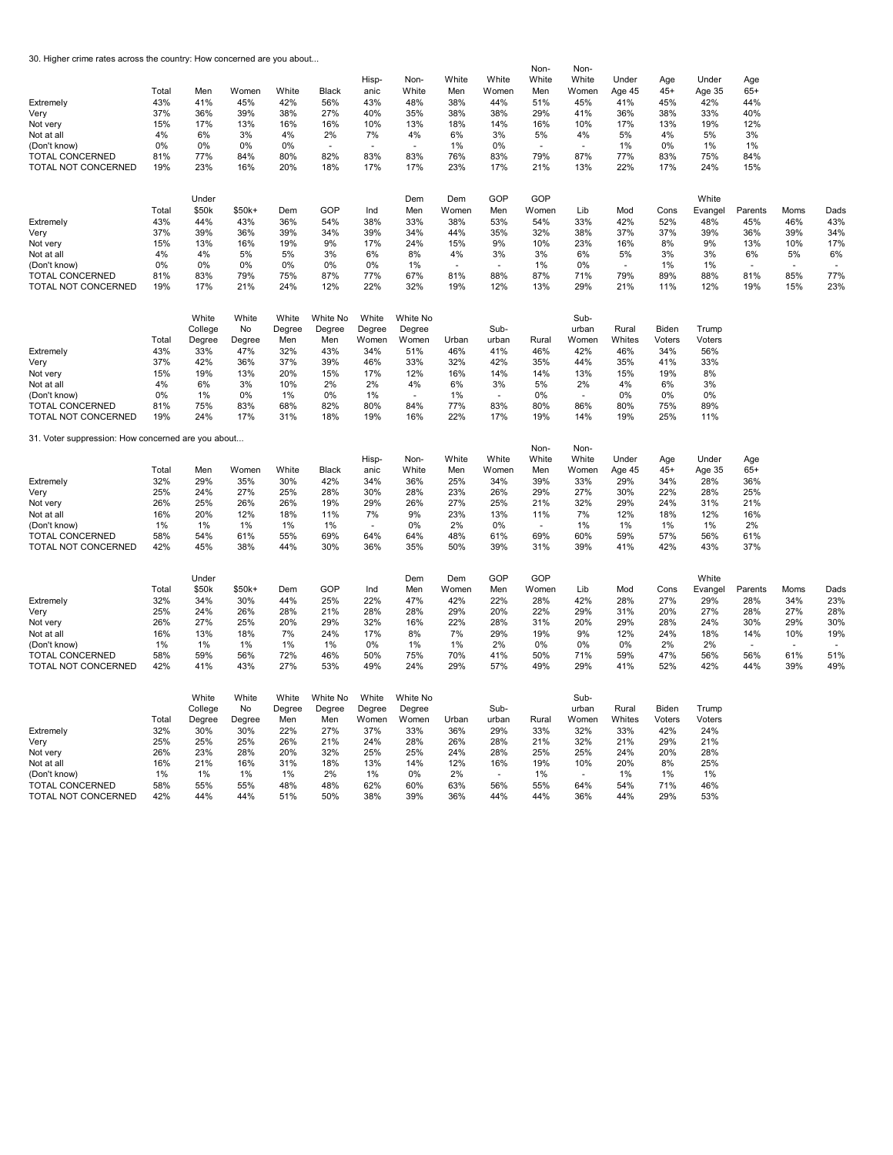30. Higher crime rates across the country: How concerned are you about...

|                                                    |            |                |            |            |            | Hisp-      | Non-       | White        | White      | Non-<br>White            | Non-<br>White            | Under      | Age        | Under            | Age        |        |        |
|----------------------------------------------------|------------|----------------|------------|------------|------------|------------|------------|--------------|------------|--------------------------|--------------------------|------------|------------|------------------|------------|--------|--------|
|                                                    | Total      | Men            | Women      | White      | Black      | anic       | White      | Men          | Women      | Men                      | Women                    | Age 45     | $45+$      | Age 35           | $65+$      |        |        |
| Extremely                                          | 43%        | 41%            | 45%        | 42%        | 56%        | 43%        | 48%        | 38%          | 44%        | 51%                      | 45%                      | 41%        | 45%        | 42%              | 44%        |        |        |
| Very                                               | 37%        | 36%            | 39%        | 38%        | 27%        | 40%        | 35%        | 38%          | 38%        | 29%                      | 41%                      | 36%        | 38%        | 33%              | 40%        |        |        |
| Not very                                           | 15%<br>4%  | 17%<br>6%      | 13%<br>3%  | 16%        | 16%        | 10%        | 13%        | 18%          | 14%        | 16%                      | 10%<br>4%                | 17%        | 13%<br>4%  | 19%<br>5%        | 12%<br>3%  |        |        |
| Not at all                                         | 0%         | 0%             | 0%         | 4%<br>0%   | 2%         | 7%<br>÷    | 4%         | 6%           | 3%<br>0%   | 5%                       | ÷.                       | 5%         | 0%         |                  | 1%         |        |        |
| (Don't know)<br><b>TOTAL CONCERNED</b>             | 81%        | 77%            | 84%        | 80%        | 82%        | 83%        | 83%        | 1%<br>76%    | 83%        | 79%                      | 87%                      | 1%<br>77%  | 83%        | 1%<br>75%        | 84%        |        |        |
| TOTAL NOT CONCERNED                                | 19%        | 23%            | 16%        | 20%        | 18%        | 17%        | 17%        | 23%          | 17%        | 21%                      | 13%                      | 22%        | 17%        | 24%              | 15%        |        |        |
|                                                    |            |                |            |            |            |            |            |              |            |                          |                          |            |            |                  |            |        |        |
|                                                    |            | Under          |            |            |            |            | Dem        | Dem          | GOP        | GOP                      |                          |            |            | White            |            |        |        |
|                                                    | Total      | \$50k          | \$50k+     | Dem        | GOP        | Ind        | Men        | Women        | Men        | Women                    | Lib                      | Mod        | Cons       | Evangel          | Parents    | Moms   | Dads   |
| Extremely                                          | 43%        | 44%            | 43%        | 36%        | 54%        | 38%        | 33%        | 38%          | 53%        | 54%                      | 33%                      | 42%        | 52%        | 48%              | 45%        | 46%    | 43%    |
| Very                                               | 37%        | 39%            | 36%        | 39%        | 34%        | 39%        | 34%        | 44%          | 35%        | 32%                      | 38%                      | 37%        | 37%        | 39%              | 36%        | 39%    | 34%    |
| Not very                                           | 15%        | 13%            | 16%        | 19%        | 9%         | 17%        | 24%        | 15%          | 9%         | 10%                      | 23%                      | 16%        | 8%         | 9%               | 13%        | 10%    | 17%    |
| Not at all                                         | 4%         | 4%             | 5%         | 5%         | 3%         | 6%         | 8%         | 4%           | 3%         | 3%                       | 6%                       | 5%         | 3%         | 3%               | 6%         | 5%     | 6%     |
| (Don't know)<br><b>TOTAL CONCERNED</b>             | 0%<br>81%  | 0%<br>83%      | 0%<br>79%  | 0%<br>75%  | 0%<br>87%  | 0%<br>77%  | 1%<br>67%  | 81%          | 88%        | 1%<br>87%                | 0%<br>71%                | 79%        | 1%<br>89%  | 1%<br>88%        | 81%        | 85%    | 77%    |
| TOTAL NOT CONCERNED                                | 19%        | 17%            | 21%        | 24%        | 12%        | 22%        | 32%        | 19%          | 12%        | 13%                      | 29%                      | 21%        | 11%        | 12%              | 19%        | 15%    | 23%    |
|                                                    |            |                |            |            |            |            |            |              |            |                          |                          |            |            |                  |            |        |        |
|                                                    |            | White          | White      | White      | White No   | White      | White No   |              |            |                          | Sub-                     |            |            |                  |            |        |        |
|                                                    |            | College        | No         | Degree     | Degree     | Degree     | Degree     |              | Sub-       |                          | urban                    | Rural      | Biden      | Trump            |            |        |        |
|                                                    | Total      | Degree         | Degree     | Men        | Men        | Women      | Women      | Urban        | urban      | Rural                    | Women                    | Whites     | Voters     | Voters           |            |        |        |
| Extremely                                          | 43%        | 33%            | 47%        | 32%        | 43%        | 34%        | 51%        | 46%          | 41%        | 46%                      | 42%                      | 46%        | 34%        | 56%              |            |        |        |
| Very                                               | 37%        | 42%            | 36%        | 37%        | 39%        | 46%        | 33%        | 32%          | 42%        | 35%                      | 44%                      | 35%        | 41%        | 33%              |            |        |        |
| Not very<br>Not at all                             | 15%<br>4%  | 19%<br>6%      | 13%<br>3%  | 20%<br>10% | 15%<br>2%  | 17%<br>2%  | 12%<br>4%  | 16%<br>6%    | 14%<br>3%  | 14%<br>5%                | 13%<br>2%                | 15%<br>4%  | 19%<br>6%  | 8%<br>3%         |            |        |        |
| (Don't know)                                       | 0%         | 1%             | 0%         | 1%         | 0%         | 1%         |            | 1%           | $\sim$     | 0%                       | $\overline{\phantom{a}}$ | 0%         | 0%         | 0%               |            |        |        |
| TOTAL CONCERNED                                    | 81%        | 75%            | 83%        | 68%        | 82%        | 80%        | 84%        | 77%          | 83%        | 80%                      | 86%                      | 80%        | 75%        | 89%              |            |        |        |
| TOTAL NOT CONCERNED                                | 19%        | 24%            | 17%        | 31%        | 18%        | 19%        | 16%        | 22%          | 17%        | 19%                      | 14%                      | 19%        | 25%        | 11%              |            |        |        |
|                                                    |            |                |            |            |            |            |            |              |            |                          |                          |            |            |                  |            |        |        |
| 31. Voter suppression: How concerned are you about |            |                |            |            |            |            |            |              |            | Non-                     | Non-                     |            |            |                  |            |        |        |
|                                                    |            |                |            |            |            | Hisp-      | Non-       | White        | White      | White                    | White                    | Under      | Age        | Under            | Age        |        |        |
|                                                    | Total      | Men            | Women      | White      | Black      | anic       | White      | Men          | Women      | Men                      | Women                    | Age 45     | $45+$      | Age 35           | $65+$      |        |        |
| Extremely                                          | 32%<br>25% | 29%            | 35%<br>27% | 30%<br>25% | 42%        | 34%        | 36%<br>28% | 25%<br>23%   | 34%        | 39%<br>29%               | 33%                      | 29%<br>30% | 34%<br>22% | 28%              | 36%<br>25% |        |        |
| Very<br>Not very                                   | 26%        | 24%<br>25%     | 26%        | 26%        | 28%<br>19% | 30%<br>29% | 26%        | 27%          | 26%<br>25% | 21%                      | 27%<br>32%               | 29%        | 24%        | 28%<br>31%       | 21%        |        |        |
| Not at all                                         | 16%        | 20%            | 12%        | 18%        | 11%        | 7%         | 9%         | 23%          | 13%        | 11%                      | 7%                       | 12%        | 18%        | 12%              | 16%        |        |        |
| (Don't know)                                       | 1%         | 1%             | 1%         | 1%         | 1%         |            | 0%         | 2%           | 0%         | $\overline{\phantom{a}}$ | 1%                       | 1%         | 1%         | 1%               | 2%         |        |        |
| <b>TOTAL CONCERNED</b>                             | 58%        | 54%            | 61%        | 55%        | 69%        | 64%        | 64%        | 48%          | 61%        | 69%                      | 60%                      | 59%        | 57%        | 56%              | 61%        |        |        |
| TOTAL NOT CONCERNED                                | 42%        | 45%            | 38%        | 44%        | 30%        | 36%        | 35%        | 50%          | 39%        | 31%                      | 39%                      | 41%        | 42%        | 43%              | 37%        |        |        |
|                                                    |            |                |            |            |            |            |            |              |            |                          |                          |            |            |                  |            |        |        |
|                                                    | Total      | Under<br>\$50k | \$50k+     | Dem        | GOP        | Ind        | Dem<br>Men | Dem<br>Women | GOP<br>Men | GOP<br>Women             | Lib                      | Mod        | Cons       | White<br>Evangel | Parents    | Moms   | Dads   |
| Extremely                                          | 32%        | 34%            | 30%        | 44%        | 25%        | 22%        | 47%        | 42%          | 22%        | 28%                      | 42%                      | 28%        | 27%        | 29%              | 28%        | 34%    | 23%    |
| Very                                               | 25%        | 24%            | 26%        | 28%        | 21%        | 28%        | 28%        | 29%          | 20%        | 22%                      | 29%                      | 31%        | 20%        | 27%              | 28%        | 27%    | 28%    |
| Not very                                           | 26%        | 27%            | 25%        | 20%        | 29%        | 32%        | 16%        | 22%          | 28%        | 31%                      | 20%                      | 29%        | 28%        | 24%              | 30%        | 29%    | 30%    |
| Not at all                                         | 16%        | 13%            | 18%        | 7%         | 24%        | 17%        | 8%         | 7%           | 29%        | 19%                      | 9%                       | 12%        | 24%        | 18%              | 14%        | 10%    | 19%    |
| (Don't know)                                       | $1\%$      | 1%             | 1%         | 1%         | 1%         | 0%         | 1%         | 1%           | 2%         | 0%                       | 0%                       | 0%         | 2%         | 2%               |            | $\sim$ | $\sim$ |
| <b>TOTAL CONCERNED</b>                             | 58%        | 59%            | 56%        | 72%        | 46%        | 50%        | 75%        | 70%          | 41%        | 50%                      | 71%                      | 59%        | 47%        | 56%              | 56%        | 61%    | 51%    |
| TOTAL NOT CONCERNED                                | 42%        | 41%            | 43%        | 27%        | 53%        | 49%        | 24%        | 29%          | 57%        | 49%                      | 29%                      | 41%        | 52%        | 42%              | 44%        | 39%    | 49%    |
|                                                    |            | White          | White      | White      | White No   | White      | White No   |              |            |                          | Sub-                     |            |            |                  |            |        |        |
|                                                    |            | College        | No         | Degree     | Degree     | Degree     | Degree     |              | Sub-       |                          | urban                    | Rural      | Biden      | Trump            |            |        |        |
|                                                    | Total      | Degree         | Degree     | Men        | Men        | Women      | Women      | Urban        | urban      | Rural                    | Women                    | Whites     | Voters     | Voters           |            |        |        |
| Extremely                                          | 32%        | 30%            | 30%        | 22%        | 27%        | 37%        | 33%        | 36%          | 29%        | 33%                      | 32%                      | 33%        | 42%        | 24%              |            |        |        |
| Very                                               | 25%        | 25%            | 25%        | 26%        | 21%        | 24%        | 28%        | 26%          | 28%        | 21%                      | 32%                      | 21%        | 29%        | 21%              |            |        |        |
| Not very                                           | 26%        | 23%            | 28%        | 20%        | 32%        | 25%        | 25%        | 24%          | 28%        | 25%                      | 25%                      | 24%        | 20%        | 28%              |            |        |        |
| Not at all                                         | 16%        | 21%            | 16%        | 31%        | 18%        | 13%        | 14%        | 12%          | 16%        | 19%                      | 10%                      | 20%        | 8%         | 25%              |            |        |        |
| (Don't know)                                       | 1%         | 1%             | 1%         | 1%         | 2%         | 1%         | 0%         | 2%           | $\sim$     | 1%                       | ÷.                       | 1%         | 1%         | 1%               |            |        |        |
| <b>TOTAL CONCERNED</b>                             | 58%        | 55%            | 55%        | 48%        | 48%        | 62%        | 60%        | 63%          | 56%        | 55%                      | 64%                      | 54%        | 71%        | 46%              |            |        |        |
| TOTAL NOT CONCERNED                                | 42%        | 44%            | 44%        | 51%        | 50%        | 38%        | 39%        | 36%          | 44%        | 44%                      | 36%                      | 44%        | 29%        | 53%              |            |        |        |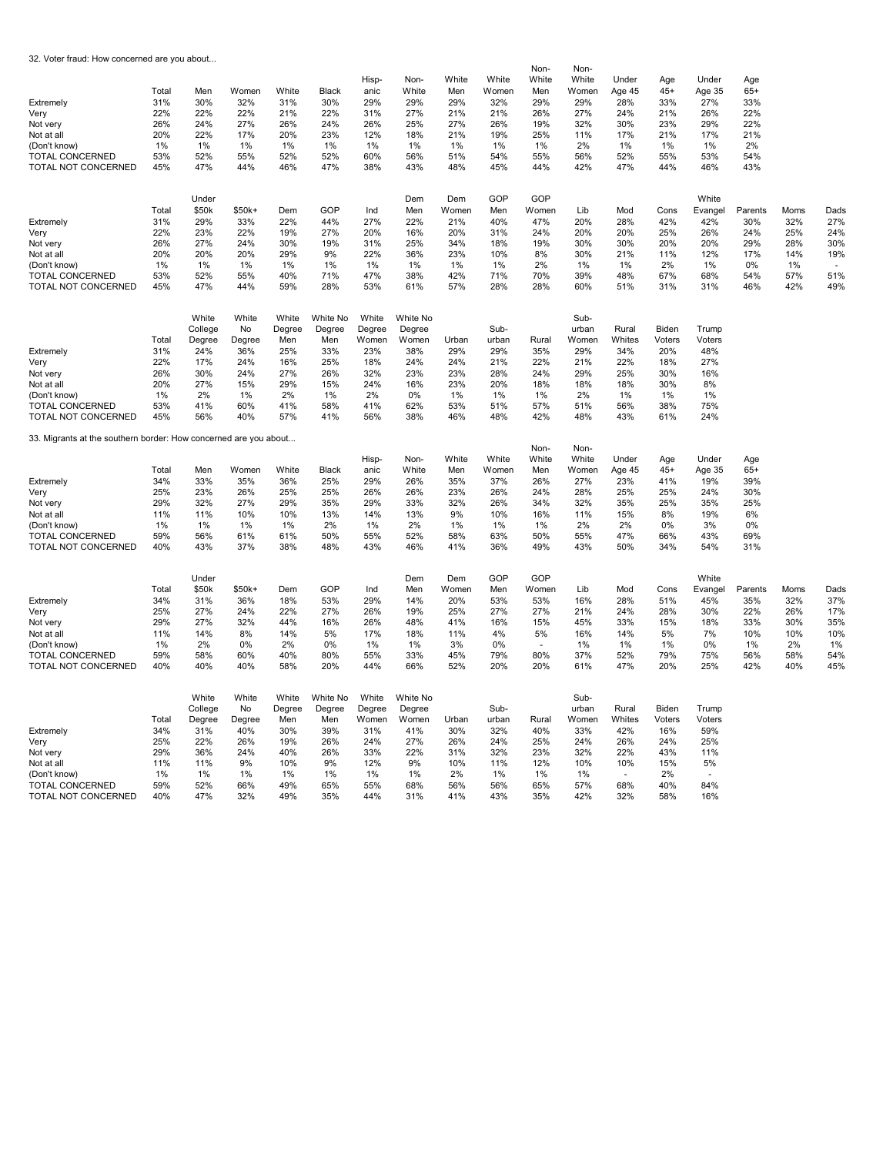32. Voter fraud: How concerned are you about...

| Extremely<br>Very<br>Not very<br>Not at all<br>(Don't know)<br><b>TOTAL CONCERNED</b><br>TOTAL NOT CONCERNED<br>Extremely<br>Very<br>Not very<br>Not at all<br>(Don't know)<br><b>TOTAL CONCERNED</b><br>TOTAL NOT CONCERNED | Total<br>31%<br>22%<br>26%<br>20%<br>1%<br>53%<br>45%<br>Total<br>31%<br>22%<br>26%<br>20%<br>1%<br>53%<br>45% | Men<br>30%<br>22%<br>24%<br>22%<br>1%<br>52%<br>47%<br>Under<br>\$50k<br>29%<br>23%<br>27%<br>20%<br>1%<br>52%<br>47% | Women<br>32%<br>22%<br>27%<br>17%<br>1%<br>55%<br>44%<br>\$50k+<br>33%<br>22%<br>24%<br>20%<br>1%<br>55%<br>44% | White<br>31%<br>21%<br>26%<br>20%<br>1%<br>52%<br>46%<br>Dem<br>22%<br>19%<br>30%<br>29%<br>1%<br>40%<br>59% | Black<br>30%<br>22%<br>24%<br>23%<br>1%<br>52%<br>47%<br>GOP<br>44%<br>27%<br>19%<br>9%<br>1%<br>71%<br>28% | Hisp-<br>anic<br>29%<br>31%<br>26%<br>12%<br>1%<br>60%<br>38%<br>Ind<br>27%<br>20%<br>31%<br>22%<br>1%<br>47%<br>53% | Non-<br>White<br>29%<br>27%<br>25%<br>18%<br>1%<br>56%<br>43%<br>Dem<br>Men<br>22%<br>16%<br>25%<br>36%<br>1%<br>38%<br>61% | White<br>Men<br>29%<br>21%<br>27%<br>21%<br>1%<br>51%<br>48%<br>Dem<br>Women<br>21%<br>20%<br>34%<br>23%<br>1%<br>42%<br>57% | White<br>Women<br>32%<br>21%<br>26%<br>19%<br>1%<br>54%<br>45%<br>GOP<br>Men<br>40%<br>31%<br>18%<br>10%<br>1%<br>71%<br>28% | Non-<br>White<br>Men<br>29%<br>26%<br>19%<br>25%<br>1%<br>55%<br>44%<br>GOP<br>Women<br>47%<br>24%<br>19%<br>8%<br>2%<br>70%<br>28% | Non-<br>White<br>Women<br>29%<br>27%<br>32%<br>11%<br>2%<br>56%<br>42%<br>Lib<br>20%<br>20%<br>30%<br>30%<br>1%<br>39%<br>60% | Under<br>Age 45<br>28%<br>24%<br>30%<br>17%<br>1%<br>52%<br>47%<br>Mod<br>28%<br>20%<br>30%<br>21%<br>1%<br>48%<br>51% | Age<br>$45+$<br>33%<br>21%<br>23%<br>21%<br>1%<br>55%<br>44%<br>Cons<br>42%<br>25%<br>20%<br>11%<br>2%<br>67%<br>31% | Under<br>Age 35<br>27%<br>26%<br>29%<br>17%<br>1%<br>53%<br>46%<br>White<br>Evangel<br>42%<br>26%<br>20%<br>12%<br>1%<br>68%<br>31% | Age<br>$65+$<br>33%<br>22%<br>22%<br>21%<br>2%<br>54%<br>43%<br>Parents<br>30%<br>24%<br>29%<br>17%<br>0%<br>54%<br>46% | Moms<br>32%<br>25%<br>28%<br>14%<br>1%<br>57%<br>42% | Dads<br>27%<br>24%<br>30%<br>19%<br>51%<br>49% |
|------------------------------------------------------------------------------------------------------------------------------------------------------------------------------------------------------------------------------|----------------------------------------------------------------------------------------------------------------|-----------------------------------------------------------------------------------------------------------------------|-----------------------------------------------------------------------------------------------------------------|--------------------------------------------------------------------------------------------------------------|-------------------------------------------------------------------------------------------------------------|----------------------------------------------------------------------------------------------------------------------|-----------------------------------------------------------------------------------------------------------------------------|------------------------------------------------------------------------------------------------------------------------------|------------------------------------------------------------------------------------------------------------------------------|-------------------------------------------------------------------------------------------------------------------------------------|-------------------------------------------------------------------------------------------------------------------------------|------------------------------------------------------------------------------------------------------------------------|----------------------------------------------------------------------------------------------------------------------|-------------------------------------------------------------------------------------------------------------------------------------|-------------------------------------------------------------------------------------------------------------------------|------------------------------------------------------|------------------------------------------------|
|                                                                                                                                                                                                                              |                                                                                                                | White<br>College                                                                                                      | White<br>No                                                                                                     | White<br>Degree                                                                                              | White No<br>Degree                                                                                          | White<br>Degree                                                                                                      | White No<br>Degree                                                                                                          |                                                                                                                              | Sub-                                                                                                                         |                                                                                                                                     | Sub-<br>urban                                                                                                                 | Rural                                                                                                                  | Biden                                                                                                                | Trump                                                                                                                               |                                                                                                                         |                                                      |                                                |
| Extremely                                                                                                                                                                                                                    | Total<br>31%                                                                                                   | Degree<br>24%                                                                                                         | Degree<br>36%                                                                                                   | Men<br>25%                                                                                                   | Men<br>33%                                                                                                  | Women<br>23%                                                                                                         | Women<br>38%                                                                                                                | Urban<br>29%                                                                                                                 | urban<br>29%                                                                                                                 | Rural<br>35%                                                                                                                        | Women<br>29%                                                                                                                  | Whites<br>34%                                                                                                          | Voters<br>20%                                                                                                        | Voters<br>48%                                                                                                                       |                                                                                                                         |                                                      |                                                |
| Very                                                                                                                                                                                                                         | 22%                                                                                                            | 17%                                                                                                                   | 24%                                                                                                             | 16%                                                                                                          | 25%                                                                                                         | 18%                                                                                                                  | 24%                                                                                                                         | 24%                                                                                                                          | 21%                                                                                                                          | 22%                                                                                                                                 | 21%                                                                                                                           | 22%                                                                                                                    | 18%                                                                                                                  | 27%                                                                                                                                 |                                                                                                                         |                                                      |                                                |
| Not very                                                                                                                                                                                                                     | 26%                                                                                                            | 30%                                                                                                                   | 24%                                                                                                             | 27%                                                                                                          | 26%                                                                                                         | 32%                                                                                                                  | 23%                                                                                                                         | 23%                                                                                                                          | 28%                                                                                                                          | 24%                                                                                                                                 | 29%                                                                                                                           | 25%                                                                                                                    | 30%                                                                                                                  | 16%                                                                                                                                 |                                                                                                                         |                                                      |                                                |
| Not at all                                                                                                                                                                                                                   | 20%                                                                                                            | 27%                                                                                                                   | 15%                                                                                                             | 29%                                                                                                          | 15%                                                                                                         | 24%                                                                                                                  | 16%                                                                                                                         | 23%                                                                                                                          | 20%                                                                                                                          | 18%                                                                                                                                 | 18%                                                                                                                           | 18%                                                                                                                    | 30%                                                                                                                  | 8%                                                                                                                                  |                                                                                                                         |                                                      |                                                |
| (Don't know)<br><b>TOTAL CONCERNED</b>                                                                                                                                                                                       | 1%<br>53%                                                                                                      | 2%<br>41%                                                                                                             | 1%<br>60%                                                                                                       | 2%<br>41%                                                                                                    | 1%<br>58%                                                                                                   | 2%<br>41%                                                                                                            | 0%<br>62%                                                                                                                   | 1%<br>53%                                                                                                                    | 1%<br>51%                                                                                                                    | 1%<br>57%                                                                                                                           | 2%<br>51%                                                                                                                     | 1%<br>56%                                                                                                              | 1%<br>38%                                                                                                            | 1%<br>75%                                                                                                                           |                                                                                                                         |                                                      |                                                |
| TOTAL NOT CONCERNED                                                                                                                                                                                                          | 45%                                                                                                            | 56%                                                                                                                   | 40%                                                                                                             | 57%                                                                                                          | 41%                                                                                                         | 56%                                                                                                                  | 38%                                                                                                                         | 46%                                                                                                                          | 48%                                                                                                                          | 42%                                                                                                                                 | 48%                                                                                                                           | 43%                                                                                                                    | 61%                                                                                                                  | 24%                                                                                                                                 |                                                                                                                         |                                                      |                                                |
|                                                                                                                                                                                                                              |                                                                                                                |                                                                                                                       |                                                                                                                 |                                                                                                              |                                                                                                             |                                                                                                                      |                                                                                                                             |                                                                                                                              |                                                                                                                              |                                                                                                                                     |                                                                                                                               |                                                                                                                        |                                                                                                                      |                                                                                                                                     |                                                                                                                         |                                                      |                                                |
| 33. Migrants at the southern border: How concerned are you about                                                                                                                                                             |                                                                                                                |                                                                                                                       |                                                                                                                 |                                                                                                              |                                                                                                             |                                                                                                                      |                                                                                                                             |                                                                                                                              |                                                                                                                              | Non-                                                                                                                                | Non-                                                                                                                          |                                                                                                                        |                                                                                                                      |                                                                                                                                     |                                                                                                                         |                                                      |                                                |
|                                                                                                                                                                                                                              |                                                                                                                |                                                                                                                       |                                                                                                                 |                                                                                                              |                                                                                                             | Hisp-                                                                                                                | Non-                                                                                                                        | White                                                                                                                        | White                                                                                                                        | White                                                                                                                               | White                                                                                                                         | Under                                                                                                                  | Age                                                                                                                  | Under                                                                                                                               | Age                                                                                                                     |                                                      |                                                |
|                                                                                                                                                                                                                              | Total                                                                                                          | Men                                                                                                                   | Women                                                                                                           | White                                                                                                        | Black                                                                                                       | anic                                                                                                                 | White                                                                                                                       | Men                                                                                                                          | Women                                                                                                                        | Men                                                                                                                                 | Women                                                                                                                         | Age 45                                                                                                                 | $45+$                                                                                                                | Age 35                                                                                                                              | $65+$                                                                                                                   |                                                      |                                                |
| Extremely<br>Very                                                                                                                                                                                                            | 34%<br>25%                                                                                                     | 33%<br>23%                                                                                                            | 35%<br>26%                                                                                                      | 36%<br>25%                                                                                                   | 25%<br>25%                                                                                                  | 29%<br>26%                                                                                                           | 26%<br>26%                                                                                                                  | 35%<br>23%                                                                                                                   | 37%<br>26%                                                                                                                   | 26%<br>24%                                                                                                                          | 27%<br>28%                                                                                                                    | 23%<br>25%                                                                                                             | 41%<br>25%                                                                                                           | 19%<br>24%                                                                                                                          | 39%<br>30%                                                                                                              |                                                      |                                                |
| Not very                                                                                                                                                                                                                     | 29%                                                                                                            | 32%                                                                                                                   | 27%                                                                                                             | 29%                                                                                                          | 35%                                                                                                         | 29%                                                                                                                  | 33%                                                                                                                         | 32%                                                                                                                          | 26%                                                                                                                          | 34%                                                                                                                                 | 32%                                                                                                                           | 35%                                                                                                                    | 25%                                                                                                                  | 35%                                                                                                                                 | 25%                                                                                                                     |                                                      |                                                |
| Not at all                                                                                                                                                                                                                   | 11%                                                                                                            | 11%                                                                                                                   | 10%                                                                                                             | 10%                                                                                                          | 13%                                                                                                         | 14%                                                                                                                  | 13%                                                                                                                         | 9%                                                                                                                           | 10%                                                                                                                          | 16%                                                                                                                                 | 11%                                                                                                                           | 15%                                                                                                                    | 8%                                                                                                                   | 19%                                                                                                                                 | 6%                                                                                                                      |                                                      |                                                |
| (Don't know)                                                                                                                                                                                                                 | 1%                                                                                                             | 1%                                                                                                                    | $1\%$                                                                                                           | 1%                                                                                                           | 2%                                                                                                          | 1%                                                                                                                   | 2%                                                                                                                          | 1%                                                                                                                           | 1%                                                                                                                           | 1%                                                                                                                                  | 2%                                                                                                                            | 2%                                                                                                                     | 0%                                                                                                                   | 3%                                                                                                                                  | 0%                                                                                                                      |                                                      |                                                |
| <b>TOTAL CONCERNED</b><br>TOTAL NOT CONCERNED                                                                                                                                                                                | 59%<br>40%                                                                                                     | 56%<br>43%                                                                                                            | 61%<br>37%                                                                                                      | 61%<br>38%                                                                                                   | 50%<br>48%                                                                                                  | 55%<br>43%                                                                                                           | 52%<br>46%                                                                                                                  | 58%<br>41%                                                                                                                   | 63%<br>36%                                                                                                                   | 50%<br>49%                                                                                                                          | 55%<br>43%                                                                                                                    | 47%<br>50%                                                                                                             | 66%<br>34%                                                                                                           | 43%<br>54%                                                                                                                          | 69%<br>31%                                                                                                              |                                                      |                                                |
|                                                                                                                                                                                                                              |                                                                                                                |                                                                                                                       |                                                                                                                 |                                                                                                              |                                                                                                             |                                                                                                                      |                                                                                                                             |                                                                                                                              |                                                                                                                              |                                                                                                                                     |                                                                                                                               |                                                                                                                        |                                                                                                                      |                                                                                                                                     |                                                                                                                         |                                                      |                                                |
|                                                                                                                                                                                                                              |                                                                                                                | Under                                                                                                                 |                                                                                                                 |                                                                                                              |                                                                                                             |                                                                                                                      | Dem                                                                                                                         | Dem                                                                                                                          | GOP                                                                                                                          | GOP                                                                                                                                 |                                                                                                                               |                                                                                                                        |                                                                                                                      | White                                                                                                                               |                                                                                                                         |                                                      |                                                |
| Extremely                                                                                                                                                                                                                    | Total<br>34%                                                                                                   | \$50k<br>31%                                                                                                          | \$50k+<br>36%                                                                                                   | Dem<br>18%                                                                                                   | GOP<br>53%                                                                                                  | Ind<br>29%                                                                                                           | Men<br>14%                                                                                                                  | Women<br>20%                                                                                                                 | Men<br>53%                                                                                                                   | Women<br>53%                                                                                                                        | Lib<br>16%                                                                                                                    | Mod<br>28%                                                                                                             | Cons<br>51%                                                                                                          | Evangel<br>45%                                                                                                                      | Parents<br>35%                                                                                                          | Moms<br>32%                                          | Dads<br>37%                                    |
| Very                                                                                                                                                                                                                         | 25%                                                                                                            | 27%                                                                                                                   | 24%                                                                                                             | 22%                                                                                                          | 27%                                                                                                         | 26%                                                                                                                  | 19%                                                                                                                         | 25%                                                                                                                          | 27%                                                                                                                          | 27%                                                                                                                                 | 21%                                                                                                                           | 24%                                                                                                                    | 28%                                                                                                                  | 30%                                                                                                                                 | 22%                                                                                                                     | 26%                                                  | 17%                                            |
| Not very                                                                                                                                                                                                                     | 29%                                                                                                            | 27%                                                                                                                   | 32%                                                                                                             | 44%                                                                                                          | 16%                                                                                                         | 26%                                                                                                                  | 48%                                                                                                                         | 41%                                                                                                                          | 16%                                                                                                                          | 15%                                                                                                                                 | 45%                                                                                                                           | 33%                                                                                                                    | 15%                                                                                                                  | 18%                                                                                                                                 | 33%                                                                                                                     | 30%                                                  | 35%                                            |
| Not at all                                                                                                                                                                                                                   | 11%                                                                                                            | 14%                                                                                                                   | 8%                                                                                                              | 14%                                                                                                          | 5%                                                                                                          | 17%                                                                                                                  | 18%                                                                                                                         | 11%                                                                                                                          | 4%                                                                                                                           | 5%                                                                                                                                  | 16%                                                                                                                           | 14%                                                                                                                    | 5%                                                                                                                   | 7%                                                                                                                                  | 10%                                                                                                                     | 10%                                                  | 10%                                            |
| (Don't know)                                                                                                                                                                                                                 | 1%                                                                                                             | 2%                                                                                                                    | 0%                                                                                                              | 2%                                                                                                           | 0%                                                                                                          | 1%                                                                                                                   | 1%                                                                                                                          | 3%                                                                                                                           | 0%                                                                                                                           | ÷.                                                                                                                                  | $1\%$                                                                                                                         | 1%                                                                                                                     | 1%                                                                                                                   | 0%                                                                                                                                  | 1%                                                                                                                      | 2%                                                   | 1%                                             |
| <b>TOTAL CONCERNED</b><br>TOTAL NOT CONCERNED                                                                                                                                                                                | 59%<br>40%                                                                                                     | 58%<br>40%                                                                                                            | 60%<br>40%                                                                                                      | 40%<br>58%                                                                                                   | 80%<br>20%                                                                                                  | 55%<br>44%                                                                                                           | 33%<br>66%                                                                                                                  | 45%<br>52%                                                                                                                   | 79%<br>20%                                                                                                                   | 80%<br>20%                                                                                                                          | 37%<br>61%                                                                                                                    | 52%<br>47%                                                                                                             | 79%<br>20%                                                                                                           | 75%<br>25%                                                                                                                          | 56%<br>42%                                                                                                              | 58%<br>40%                                           | 54%<br>45%                                     |
|                                                                                                                                                                                                                              |                                                                                                                |                                                                                                                       |                                                                                                                 |                                                                                                              |                                                                                                             |                                                                                                                      |                                                                                                                             |                                                                                                                              |                                                                                                                              |                                                                                                                                     |                                                                                                                               |                                                                                                                        |                                                                                                                      |                                                                                                                                     |                                                                                                                         |                                                      |                                                |
|                                                                                                                                                                                                                              |                                                                                                                | White                                                                                                                 | White                                                                                                           | White                                                                                                        | White No                                                                                                    | White                                                                                                                | White No                                                                                                                    |                                                                                                                              |                                                                                                                              |                                                                                                                                     | Sub-                                                                                                                          |                                                                                                                        |                                                                                                                      |                                                                                                                                     |                                                                                                                         |                                                      |                                                |
|                                                                                                                                                                                                                              |                                                                                                                | College                                                                                                               | No                                                                                                              | Degree                                                                                                       | Degree                                                                                                      | Degree                                                                                                               | Degree                                                                                                                      |                                                                                                                              | Sub-                                                                                                                         |                                                                                                                                     | urban                                                                                                                         | Rural                                                                                                                  | Biden                                                                                                                | Trump                                                                                                                               |                                                                                                                         |                                                      |                                                |
|                                                                                                                                                                                                                              | Total<br>34%                                                                                                   | Degree<br>31%                                                                                                         | Degree<br>40%                                                                                                   | Men                                                                                                          | Men<br>39%                                                                                                  | Women<br>31%                                                                                                         | Women<br>41%                                                                                                                | Urban<br>30%                                                                                                                 | urban<br>32%                                                                                                                 | Rural<br>40%                                                                                                                        | Women<br>33%                                                                                                                  | Whites<br>42%                                                                                                          | Voters                                                                                                               | Voters<br>59%                                                                                                                       |                                                                                                                         |                                                      |                                                |
| Extremely<br>Very                                                                                                                                                                                                            | 25%                                                                                                            | 22%                                                                                                                   | 26%                                                                                                             | 30%<br>19%                                                                                                   | 26%                                                                                                         | 24%                                                                                                                  | 27%                                                                                                                         | 26%                                                                                                                          | 24%                                                                                                                          | 25%                                                                                                                                 | 24%                                                                                                                           | 26%                                                                                                                    | 16%<br>24%                                                                                                           | 25%                                                                                                                                 |                                                                                                                         |                                                      |                                                |
| Not very                                                                                                                                                                                                                     | 29%                                                                                                            | 36%                                                                                                                   | 24%                                                                                                             | 40%                                                                                                          | 26%                                                                                                         | 33%                                                                                                                  | 22%                                                                                                                         | 31%                                                                                                                          | 32%                                                                                                                          | 23%                                                                                                                                 | 32%                                                                                                                           | 22%                                                                                                                    | 43%                                                                                                                  | 11%                                                                                                                                 |                                                                                                                         |                                                      |                                                |
| Not at all                                                                                                                                                                                                                   | 11%                                                                                                            | 11%                                                                                                                   | 9%                                                                                                              | 10%                                                                                                          | 9%                                                                                                          | 12%                                                                                                                  | 9%                                                                                                                          | 10%                                                                                                                          | 11%                                                                                                                          | 12%                                                                                                                                 | 10%                                                                                                                           | 10%                                                                                                                    | 15%                                                                                                                  | 5%                                                                                                                                  |                                                                                                                         |                                                      |                                                |
| (Don't know)                                                                                                                                                                                                                 | 1%                                                                                                             | 1%                                                                                                                    | 1%                                                                                                              | 1%                                                                                                           | 1%                                                                                                          | 1%                                                                                                                   | 1%                                                                                                                          | 2%                                                                                                                           | 1%                                                                                                                           | 1%                                                                                                                                  | 1%                                                                                                                            |                                                                                                                        | 2%                                                                                                                   |                                                                                                                                     |                                                                                                                         |                                                      |                                                |
| <b>TOTAL CONCERNED</b><br>TOTAL NOT CONCERNED                                                                                                                                                                                | 59%<br>40%                                                                                                     | 52%<br>47%                                                                                                            | 66%<br>32%                                                                                                      | 49%<br>49%                                                                                                   | 65%<br>35%                                                                                                  | 55%<br>44%                                                                                                           | 68%<br>31%                                                                                                                  | 56%<br>41%                                                                                                                   | 56%<br>43%                                                                                                                   | 65%<br>35%                                                                                                                          | 57%<br>42%                                                                                                                    | 68%<br>32%                                                                                                             | 40%<br>58%                                                                                                           | 84%<br>16%                                                                                                                          |                                                                                                                         |                                                      |                                                |
|                                                                                                                                                                                                                              |                                                                                                                |                                                                                                                       |                                                                                                                 |                                                                                                              |                                                                                                             |                                                                                                                      |                                                                                                                             |                                                                                                                              |                                                                                                                              |                                                                                                                                     |                                                                                                                               |                                                                                                                        |                                                                                                                      |                                                                                                                                     |                                                                                                                         |                                                      |                                                |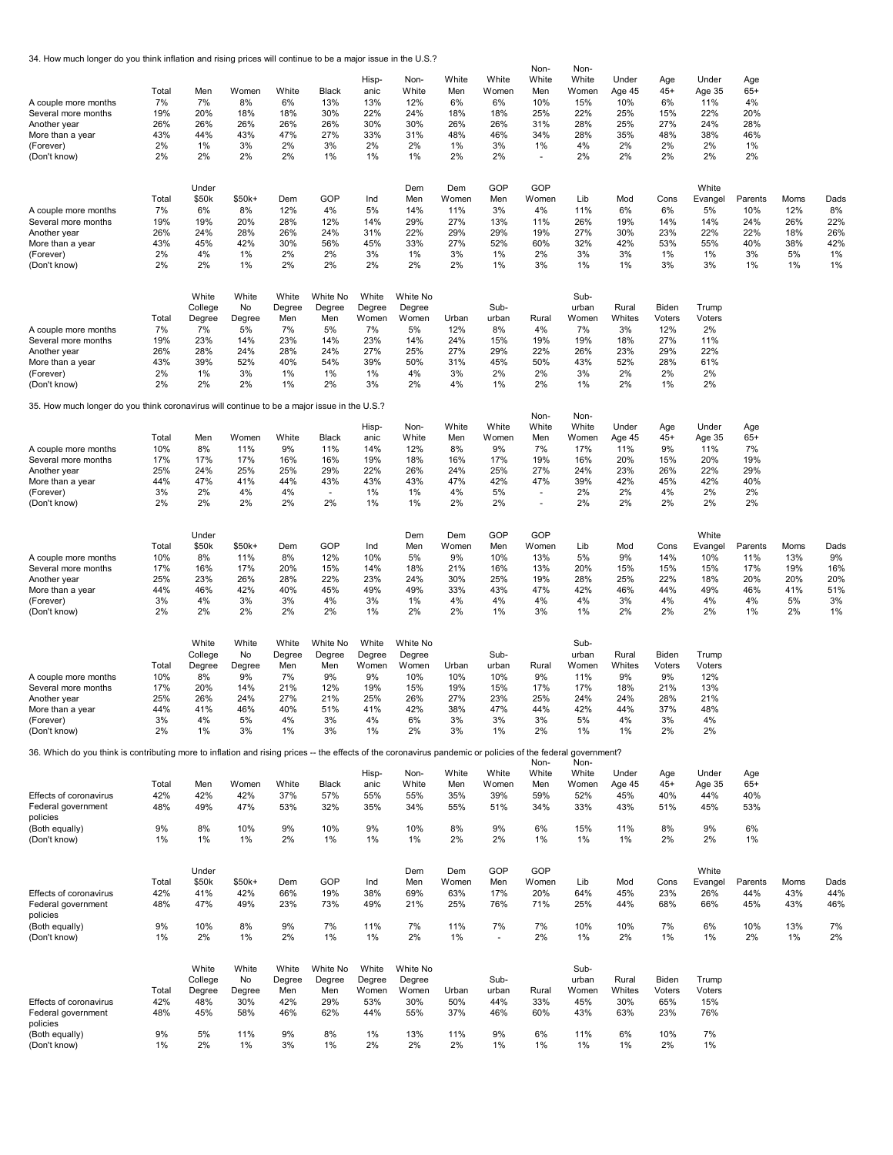34. How much longer do you think inflation and rising prices will continue to be a major issue in the U.S.?

| A couple more months<br>Several more months<br>Another year<br>More than a year<br>(Forever)<br>(Don't know)                                                                                                | Total<br>7%<br>19%<br>26%<br>43%<br>2%<br>2%  | Men<br>7%<br>20%<br>26%<br>44%<br>1%<br>2%                        | Women<br>8%<br>18%<br>26%<br>43%<br>3%<br>2%                 | White<br>6%<br>18%<br>26%<br>47%<br>2%<br>2%                  | Black<br>13%<br>30%<br>26%<br>27%<br>3%<br>1%                    | Hisp-<br>anic<br>13%<br>22%<br>30%<br>33%<br>2%<br>1%           | Non-<br>White<br>12%<br>24%<br>30%<br>31%<br>2%<br>1%               | White<br>Men<br>6%<br>18%<br>26%<br>48%<br>1%<br>2%  | White<br>Women<br>6%<br>18%<br>26%<br>46%<br>3%<br>2%   | Non-<br>White<br>Men<br>10%<br>25%<br>31%<br>34%<br>1%<br>$\overline{a}$ | Non-<br>White<br>Women<br>15%<br>22%<br>28%<br>28%<br>4%<br>2% | Under<br>Age 45<br>10%<br>25%<br>25%<br>35%<br>2%<br>2% | Age<br>$45+$<br>6%<br>15%<br>27%<br>48%<br>2%<br>2%     | Under<br>Age 35<br>11%<br>22%<br>24%<br>38%<br>2%<br>2%  | Age<br>$65+$<br>4%<br>20%<br>28%<br>46%<br>1%<br>2% |                                              |                                             |
|-------------------------------------------------------------------------------------------------------------------------------------------------------------------------------------------------------------|-----------------------------------------------|-------------------------------------------------------------------|--------------------------------------------------------------|---------------------------------------------------------------|------------------------------------------------------------------|-----------------------------------------------------------------|---------------------------------------------------------------------|------------------------------------------------------|---------------------------------------------------------|--------------------------------------------------------------------------|----------------------------------------------------------------|---------------------------------------------------------|---------------------------------------------------------|----------------------------------------------------------|-----------------------------------------------------|----------------------------------------------|---------------------------------------------|
| A couple more months<br>Several more months<br>Another year<br>More than a year<br>(Forever)<br>(Don't know)                                                                                                | Total<br>7%<br>19%<br>26%<br>43%<br>2%<br>2%  | Under<br>\$50k<br>6%<br>19%<br>24%<br>45%<br>4%<br>2%             | $$50k+$<br>8%<br>20%<br>28%<br>42%<br>1%<br>1%               | Dem<br>12%<br>28%<br>26%<br>30%<br>2%<br>2%                   | GOP<br>4%<br>12%<br>24%<br>56%<br>2%<br>2%                       | Ind<br>5%<br>14%<br>31%<br>45%<br>3%<br>2%                      | Dem<br>Men<br>14%<br>29%<br>22%<br>33%<br>1%<br>2%                  | Dem<br>Women<br>11%<br>27%<br>29%<br>27%<br>3%<br>2% | GOP<br>Men<br>3%<br>13%<br>29%<br>52%<br>1%<br>1%       | GOP<br>Women<br>4%<br>11%<br>19%<br>60%<br>2%<br>3%                      | Lib<br>11%<br>26%<br>27%<br>32%<br>3%<br>1%                    | Mod<br>6%<br>19%<br>30%<br>42%<br>3%<br>1%              | Cons<br>6%<br>14%<br>23%<br>53%<br>1%<br>3%             | White<br>Evangel<br>5%<br>14%<br>22%<br>55%<br>1%<br>3%  | Parents<br>10%<br>24%<br>22%<br>40%<br>3%<br>1%     | Moms<br>12%<br>26%<br>18%<br>38%<br>5%<br>1% | Dads<br>8%<br>22%<br>26%<br>42%<br>1%<br>1% |
| A couple more months<br>Several more months<br>Another year<br>More than a year<br>(Forever)<br>(Don't know)                                                                                                | Total<br>7%<br>19%<br>26%<br>43%<br>2%<br>2%  | White<br>College<br>Degree<br>7%<br>23%<br>28%<br>39%<br>1%<br>2% | White<br>No<br>Degree<br>5%<br>14%<br>24%<br>52%<br>3%<br>2% | White<br>Degree<br>Men<br>7%<br>23%<br>28%<br>40%<br>1%<br>1% | White No<br>Degree<br>Men<br>5%<br>14%<br>24%<br>54%<br>1%<br>2% | White<br>Degree<br>Women<br>7%<br>23%<br>27%<br>39%<br>1%<br>3% | White No<br>Degree<br>Women<br>5%<br>14%<br>25%<br>50%<br>4%<br>2%  | Urban<br>12%<br>24%<br>27%<br>31%<br>3%<br>4%        | Sub-<br>urban<br>8%<br>15%<br>29%<br>45%<br>2%<br>1%    | Rural<br>4%<br>19%<br>22%<br>50%<br>2%<br>2%                             | Sub-<br>urban<br>Women<br>7%<br>19%<br>26%<br>43%<br>3%<br>1%  | Rural<br>Whites<br>3%<br>18%<br>23%<br>52%<br>2%<br>2%  | Biden<br>Voters<br>12%<br>27%<br>29%<br>28%<br>2%<br>1% | Trump<br>Voters<br>2%<br>11%<br>22%<br>61%<br>2%<br>2%   |                                                     |                                              |                                             |
| 35. How much longer do you think coronavirus will continue to be a major issue in the U.S.?<br>A couple more months<br>Several more months<br>Another year<br>More than a year<br>(Forever)<br>(Don't know) | Total<br>10%<br>17%<br>25%<br>44%<br>3%<br>2% | Men<br>8%<br>17%<br>24%<br>47%<br>2%<br>2%                        | Women<br>11%<br>17%<br>25%<br>41%<br>4%<br>2%                | White<br>9%<br>16%<br>25%<br>44%<br>4%<br>2%                  | Black<br>11%<br>16%<br>29%<br>43%<br>$\blacksquare$<br>2%        | Hisp-<br>anic<br>14%<br>19%<br>22%<br>43%<br>1%<br>1%           | Non-<br>White<br>12%<br>18%<br>26%<br>43%<br>1%<br>1%               | White<br>Men<br>8%<br>16%<br>24%<br>47%<br>4%<br>2%  | White<br>Women<br>9%<br>17%<br>25%<br>42%<br>5%<br>2%   | Non-<br>White<br>Men<br>7%<br>19%<br>27%<br>47%<br>$\blacksquare$        | Non-<br>White<br>Women<br>17%<br>16%<br>24%<br>39%<br>2%<br>2% | Under<br>Age 45<br>11%<br>20%<br>23%<br>42%<br>2%<br>2% | Age<br>$45+$<br>9%<br>15%<br>26%<br>45%<br>4%<br>2%     | Under<br>Age 35<br>11%<br>20%<br>22%<br>42%<br>2%<br>2%  | Age<br>$65+$<br>7%<br>19%<br>29%<br>40%<br>2%<br>2% |                                              |                                             |
| A couple more months<br>Several more months<br>Another year<br>More than a year<br>(Forever)<br>(Don't know)                                                                                                | Total<br>10%<br>17%<br>25%<br>44%<br>3%<br>2% | Under<br>\$50k<br>8%<br>16%<br>23%<br>46%<br>4%<br>2%             | \$50k+<br>11%<br>17%<br>26%<br>42%<br>3%<br>2%               | Dem<br>8%<br>20%<br>28%<br>40%<br>3%<br>2%                    | GOP<br>12%<br>15%<br>22%<br>45%<br>4%<br>2%                      | Ind<br>10%<br>14%<br>23%<br>49%<br>3%<br>1%                     | Dem<br>Men<br>5%<br>18%<br>24%<br>49%<br>1%<br>2%                   | Dem<br>Women<br>9%<br>21%<br>30%<br>33%<br>4%<br>2%  | GOP<br>Men<br>10%<br>16%<br>25%<br>43%<br>4%<br>1%      | GOP<br>Women<br>13%<br>13%<br>19%<br>47%<br>4%<br>3%                     | Lib<br>5%<br>20%<br>28%<br>42%<br>4%<br>1%                     | Mod<br>9%<br>15%<br>25%<br>46%<br>3%<br>2%              | Cons<br>14%<br>15%<br>22%<br>44%<br>4%<br>2%            | White<br>Evangel<br>10%<br>15%<br>18%<br>49%<br>4%<br>2% | Parents<br>11%<br>17%<br>20%<br>46%<br>4%<br>1%     | Moms<br>13%<br>19%<br>20%<br>41%<br>5%<br>2% | Dads<br>9%<br>16%<br>20%<br>51%<br>3%<br>1% |
| A couple more months<br>Several more months<br>Another year<br>More than a year<br>(Forever)<br>(Don't know)                                                                                                | Total<br>10%<br>17%<br>25%<br>44%<br>3%<br>2% | White<br>College<br>Degree<br>8%<br>20%<br>26%<br>41%<br>4%<br>1% | White<br>No<br>Degree<br>9%<br>14%<br>24%<br>46%<br>5%<br>3% | White<br>Degree<br>Men<br>7%<br>21%<br>27%<br>40%<br>4%<br>1% | White No<br>Degree<br>Men<br>9%<br>12%<br>21%<br>51%<br>3%<br>3% | White<br>Degree<br>Women<br>9%<br>19%<br>25%<br>41%<br>4%<br>1% | White No<br>Degree<br>Women<br>10%<br>15%<br>26%<br>42%<br>6%<br>2% | Urban<br>10%<br>19%<br>27%<br>38%<br>3%<br>3%        | Sub-<br>urban<br>10%<br>15%<br>23%<br>47%<br>3%<br>1%   | Rural<br>9%<br>17%<br>25%<br>44%<br>3%<br>2%                             | Sub-<br>urban<br>Women<br>11%<br>17%<br>24%<br>42%<br>5%<br>1% | Rural<br>Whites<br>9%<br>18%<br>24%<br>44%<br>4%<br>1%  | Biden<br>Voters<br>9%<br>21%<br>28%<br>37%<br>3%<br>2%  | Trump<br>Voters<br>12%<br>13%<br>21%<br>48%<br>4%<br>2%  |                                                     |                                              |                                             |
| 36. Which do you think is contributing more to inflation and rising prices -- the effects of the coronavirus pandemic or policies of the federal                                                            |                                               |                                                                   |                                                              |                                                               |                                                                  |                                                                 |                                                                     |                                                      |                                                         | Non-                                                                     | government?<br>Non-                                            |                                                         |                                                         |                                                          |                                                     |                                              |                                             |
| <b>Effects of coronavirus</b><br>Federal government<br>policies                                                                                                                                             | Total<br>42%<br>48%                           | Men<br>42%<br>49%                                                 | Women<br>42%<br>47%                                          | White<br>37%<br>53%                                           | Black<br>57%<br>32%                                              | Hisp-<br>anic<br>55%<br>35%                                     | Non-<br>White<br>55%<br>34%                                         | White<br>Men<br>35%<br>55%                           | White<br>Women<br>39%<br>51%                            | White<br>Men<br>59%<br>34%                                               | White<br>Women<br>52%<br>33%                                   | Under<br>Age 45<br>45%<br>43%                           | Age<br>$45+$<br>40%<br>51%                              | Under<br>Age 35<br>44%<br>45%                            | Age<br>$65+$<br>40%<br>53%                          |                                              |                                             |
| (Both equally)<br>(Don't know)                                                                                                                                                                              | 9%<br>1%                                      | 8%<br>1%                                                          | 10%<br>1%                                                    | 9%<br>2%                                                      | 10%<br>1%                                                        | 9%<br>1%                                                        | 10%<br>1%                                                           | 8%<br>2%                                             | 9%<br>2%                                                | 6%<br>1%                                                                 | 15%<br>1%                                                      | 11%<br>1%                                               | 8%<br>2%                                                | 9%<br>2%                                                 | 6%<br>1%                                            |                                              |                                             |
| Effects of coronavirus<br>Federal government<br>policies<br>(Both equally)<br>(Don't know)                                                                                                                  | Total<br>42%<br>48%<br>9%<br>1%               | Under<br>\$50k<br>41%<br>47%<br>10%<br>2%                         | \$50k+<br>42%<br>49%<br>8%<br>1%                             | Dem<br>66%<br>23%<br>9%<br>2%                                 | GOP<br>19%<br>73%<br>7%<br>1%                                    | Ind<br>38%<br>49%<br>11%<br>1%                                  | Dem<br>Men<br>69%<br>21%<br>7%<br>2%                                | Dem<br>Women<br>63%<br>25%<br>11%<br>1%              | GOP<br>Men<br>17%<br>76%<br>7%<br>$\tilde{\phantom{a}}$ | GOP<br>Women<br>20%<br>71%<br>7%<br>2%                                   | Lib<br>64%<br>25%<br>10%<br>1%                                 | Mod<br>45%<br>44%<br>10%<br>2%                          | Cons<br>23%<br>68%<br>7%<br>1%                          | White<br>Evangel<br>26%<br>66%<br>6%<br>1%               | Parents<br>44%<br>45%<br>10%<br>2%                  | Moms<br>43%<br>43%<br>13%<br>1%              | Dads<br>44%<br>46%<br>7%<br>2%              |
| Effects of coronavirus<br>Federal government<br>policies<br>(Both equally)                                                                                                                                  | Total<br>42%<br>48%<br>9%                     | White<br>College<br>Degree<br>48%<br>45%<br>5%                    | White<br>No<br>Degree<br>30%<br>58%<br>11%                   | White<br>Degree<br>Men<br>42%<br>46%<br>9%                    | White No<br>Degree<br>Men<br>29%<br>62%<br>8%                    | White<br>Degree<br>Women<br>53%<br>44%<br>1%                    | White No<br>Degree<br>Women<br>30%<br>55%<br>13%                    | Urban<br>50%<br>37%<br>11%                           | Sub-<br>urban<br>44%<br>46%<br>9%                       | Rural<br>33%<br>60%<br>6%                                                | Sub-<br>urban<br>Women<br>45%<br>43%<br>11%                    | Rural<br>Whites<br>30%<br>63%<br>6%                     | Biden<br>Voters<br>65%<br>23%<br>10%                    | Trump<br>Voters<br>15%<br>76%<br>7%                      |                                                     |                                              |                                             |
| (Don't know)                                                                                                                                                                                                | 1%                                            | 2%                                                                | 1%                                                           | 3%                                                            | 1%                                                               | 2%                                                              | 2%                                                                  | 2%                                                   | 1%                                                      | 1%                                                                       | 1%                                                             | 1%                                                      | 2%                                                      | 1%                                                       |                                                     |                                              |                                             |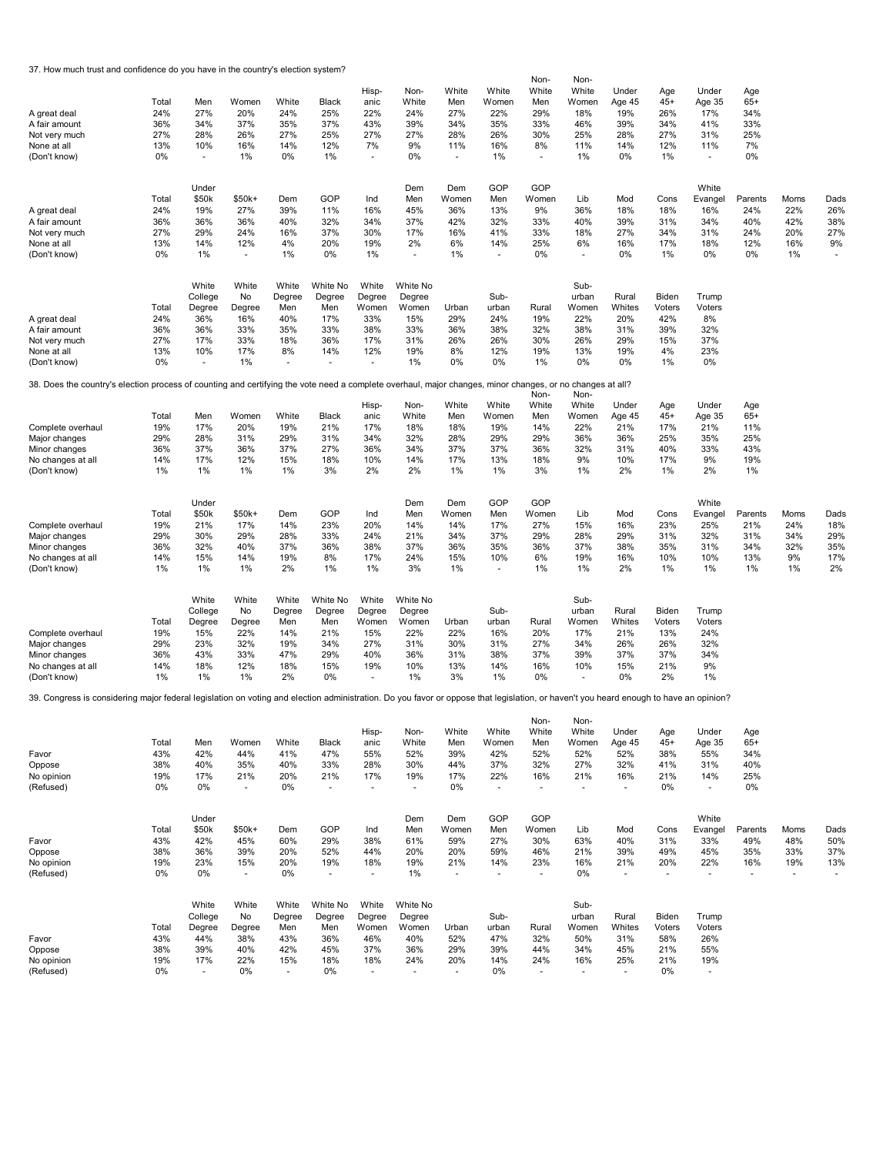37. How much trust and confidence do you have in the country's election system?

| A great deal<br>A fair amount<br>Not very much<br>None at all<br>(Don't know)                                                                                                         | Total<br>24%<br>36%<br>27%<br>13%<br>0% | Men<br>27%<br>34%<br>28%<br>10%<br>$\blacksquare$ | Women<br>20%<br>37%<br>26%<br>16%<br>1% | White<br>24%<br>35%<br>27%<br>14%<br>0% | Black<br>25%<br>37%<br>25%<br>12%<br>1% | Hisp-<br>anic<br>22%<br>43%<br>27%<br>7%<br>$\overline{\phantom{a}}$ | Non-<br>White<br>24%<br>39%<br>27%<br>9%<br>0% | White<br>Men<br>27%<br>34%<br>28%<br>11%<br>$\overline{\phantom{a}}$ | White<br>Women<br>22%<br>35%<br>26%<br>16%<br>1% | Non-<br>White<br>Men<br>29%<br>33%<br>30%<br>8%<br>$\blacksquare$ | Non-<br>White<br>Women<br>18%<br>46%<br>25%<br>11%<br>1% | Under<br>Age 45<br>19%<br>39%<br>28%<br>14%<br>0% | Age<br>$45+$<br>26%<br>34%<br>27%<br>12%<br>1% | Under<br>Age 35<br>17%<br>41%<br>31%<br>11%<br>٠ | Age<br>$65+$<br>34%<br>33%<br>25%<br>7%<br>0% |             |             |
|---------------------------------------------------------------------------------------------------------------------------------------------------------------------------------------|-----------------------------------------|---------------------------------------------------|-----------------------------------------|-----------------------------------------|-----------------------------------------|----------------------------------------------------------------------|------------------------------------------------|----------------------------------------------------------------------|--------------------------------------------------|-------------------------------------------------------------------|----------------------------------------------------------|---------------------------------------------------|------------------------------------------------|--------------------------------------------------|-----------------------------------------------|-------------|-------------|
|                                                                                                                                                                                       | Total                                   | Under<br>\$50k                                    | $$50k+$                                 | Dem                                     | GOP                                     | Ind                                                                  | Dem<br>Men                                     | Dem<br>Women                                                         | GOP<br>Men                                       | GOP<br>Women                                                      | Lib                                                      | Mod                                               | Cons                                           | White<br>Evangel                                 | Parents                                       | Moms        | Dads        |
| A great deal                                                                                                                                                                          | 24%                                     | 19%                                               | 27%                                     | 39%                                     | 11%                                     | 16%                                                                  | 45%                                            | 36%                                                                  | 13%                                              | 9%                                                                | 36%                                                      | 18%                                               | 18%                                            | 16%                                              | 24%                                           | 22%         | 26%         |
| A fair amount<br>Not very much                                                                                                                                                        | 36%<br>27%                              | 36%<br>29%                                        | 36%<br>24%                              | 40%<br>16%                              | 32%<br>37%                              | 34%<br>30%                                                           | 37%<br>17%                                     | 42%<br>16%                                                           | 32%<br>41%                                       | 33%<br>33%                                                        | 40%<br>18%                                               | 39%<br>27%                                        | 31%<br>34%                                     | 34%<br>31%                                       | 40%<br>24%                                    | 42%<br>20%  | 38%<br>27%  |
| None at all                                                                                                                                                                           | 13%                                     | 14%                                               | 12%                                     | 4%                                      | 20%                                     | 19%                                                                  | 2%                                             | 6%                                                                   | 14%                                              | 25%                                                               | 6%                                                       | 16%                                               | 17%                                            | 18%                                              | 12%                                           | 16%         | 9%          |
| (Don't know)                                                                                                                                                                          | 0%                                      | 1%                                                | $\overline{\phantom{a}}$                | 1%                                      | 0%                                      | 1%                                                                   | $\overline{\phantom{a}}$                       | 1%                                                                   | $\overline{\phantom{a}}$                         | 0%                                                                | $\tilde{\phantom{a}}$                                    | 0%                                                | 1%                                             | 0%                                               | 0%                                            | 1%          |             |
|                                                                                                                                                                                       |                                         | White<br>College                                  | White<br>No                             | White<br>Degree                         | White No<br>Degree                      | White<br>Degree                                                      | White No<br>Degree                             |                                                                      | Sub-                                             |                                                                   | Sub-<br>urban                                            | Rural                                             | Biden                                          | Trump                                            |                                               |             |             |
|                                                                                                                                                                                       | Total                                   | Degree                                            | Degree                                  | Men                                     | Men                                     | Women                                                                | Women                                          | Urban                                                                | urban                                            | Rural                                                             | Women                                                    | Whites                                            | Voters                                         | Voters                                           |                                               |             |             |
| A great deal                                                                                                                                                                          | 24%                                     | 36%                                               | 16%                                     | 40%                                     | 17%                                     | 33%                                                                  | 15%                                            | 29%                                                                  | 24%                                              | 19%                                                               | 22%                                                      | 20%                                               | 42%                                            | 8%                                               |                                               |             |             |
| A fair amount                                                                                                                                                                         | 36%<br>27%                              | 36%<br>17%                                        | 33%<br>33%                              | 35%<br>18%                              | 33%<br>36%                              | 38%<br>17%                                                           | 33%<br>31%                                     | 36%<br>26%                                                           | 38%<br>26%                                       | 32%<br>30%                                                        | 38%<br>26%                                               | 31%<br>29%                                        | 39%<br>15%                                     | 32%<br>37%                                       |                                               |             |             |
| Not very much<br>None at all                                                                                                                                                          | 13%                                     | 10%                                               | 17%                                     | 8%                                      | 14%                                     | 12%                                                                  | 19%                                            | 8%                                                                   | 12%                                              | 19%                                                               | 13%                                                      | 19%                                               | 4%                                             | 23%                                              |                                               |             |             |
| (Don't know)                                                                                                                                                                          | 0%                                      | ä,                                                | 1%                                      |                                         |                                         | $\sim$                                                               | 1%                                             | 0%                                                                   | 0%                                               | 1%                                                                | 0%                                                       | 0%                                                | 1%                                             | 0%                                               |                                               |             |             |
| 38. Does the country's election process of counting and certifying the vote need a complete overhaul, major changes, minor changes, or no changes at all?                             |                                         |                                                   |                                         |                                         |                                         |                                                                      |                                                |                                                                      |                                                  |                                                                   |                                                          |                                                   |                                                |                                                  |                                               |             |             |
|                                                                                                                                                                                       |                                         |                                                   |                                         |                                         |                                         | Hisp-                                                                | Non-                                           | White                                                                | White                                            | Non-<br>White                                                     | Non-<br>White                                            | Under                                             | Age                                            | Under                                            | Age                                           |             |             |
|                                                                                                                                                                                       | Total                                   | Men                                               | Women                                   | White                                   | Black                                   | anic                                                                 | White                                          | Men                                                                  | Women                                            | Men                                                               | Women                                                    | Age 45                                            | $45+$                                          | Age 35                                           | $65+$                                         |             |             |
| Complete overhaul                                                                                                                                                                     | 19%                                     | 17%                                               | 20%                                     | 19%                                     | 21%                                     | 17%                                                                  | 18%                                            | 18%                                                                  | 19%                                              | 14%                                                               | 22%                                                      | 21%                                               | 17%                                            | 21%                                              | 11%                                           |             |             |
| Major changes<br>Minor changes                                                                                                                                                        | 29%<br>36%                              | 28%<br>37%                                        | 31%<br>36%                              | 29%<br>37%                              | 31%<br>27%                              | 34%<br>36%                                                           | 32%<br>34%                                     | 28%<br>37%                                                           | 29%<br>37%                                       | 29%<br>36%                                                        | 36%<br>32%                                               | 36%<br>31%                                        | 25%<br>40%                                     | 35%<br>33%                                       | 25%<br>43%                                    |             |             |
| No changes at all                                                                                                                                                                     | 14%                                     | 17%                                               | 12%                                     | 15%                                     | 18%                                     | 10%                                                                  | 14%                                            | 17%                                                                  | 13%                                              | 18%                                                               | 9%                                                       | 10%                                               | 17%                                            | 9%                                               | 19%                                           |             |             |
| (Don't know)                                                                                                                                                                          | 1%                                      | 1%                                                | 1%                                      | 1%                                      | 3%                                      | 2%                                                                   | 2%                                             | 1%                                                                   | 1%                                               | 3%                                                                | 1%                                                       | 2%                                                | 1%                                             | 2%                                               | 1%                                            |             |             |
|                                                                                                                                                                                       |                                         |                                                   |                                         |                                         |                                         |                                                                      |                                                |                                                                      | GOP                                              | GOP                                                               |                                                          |                                                   |                                                |                                                  |                                               |             |             |
|                                                                                                                                                                                       | Total                                   | Under<br>\$50k                                    | $$50k+$                                 | Dem                                     | GOP                                     | Ind                                                                  | Dem<br>Men                                     | Dem<br>Women                                                         | Men                                              | Women                                                             | Lib                                                      | Mod                                               | Cons                                           | White<br>Evangel                                 | Parents                                       | Moms        | Dads        |
| Complete overhaul                                                                                                                                                                     | 19%                                     | 21%                                               | 17%                                     | 14%                                     | 23%                                     | 20%                                                                  | 14%                                            | 14%                                                                  | 17%                                              | 27%                                                               | 15%                                                      | 16%                                               | 23%                                            | 25%                                              | 21%                                           | 24%         | 18%         |
| Major changes                                                                                                                                                                         | 29%                                     | 30%                                               | 29%                                     | 28%                                     | 33%                                     | 24%                                                                  | 21%                                            | 34%                                                                  | 37%                                              | 29%                                                               | 28%                                                      | 29%                                               | 31%                                            | 32%                                              | 31%                                           | 34%         | 29%         |
| Minor changes                                                                                                                                                                         | 36%                                     | 32%                                               | 40%                                     | 37%                                     | 36%                                     | 38%                                                                  | 37%                                            | 36%                                                                  | 35%                                              | 36%                                                               | 37%                                                      | 38%                                               | 35%                                            | 31%                                              | 34%                                           | 32%         | 35%         |
| No changes at all<br>(Don't know)                                                                                                                                                     | 14%<br>1%                               | 15%<br>1%                                         | 14%<br>1%                               | 19%<br>2%                               | 8%<br>1%                                | 17%<br>1%                                                            | 24%<br>3%                                      | 15%<br>1%                                                            | 10%                                              | 6%<br>1%                                                          | 19%<br>1%                                                | 16%<br>2%                                         | 10%<br>1%                                      | 10%<br>1%                                        | 13%<br>1%                                     | 9%<br>1%    | 17%<br>2%   |
|                                                                                                                                                                                       |                                         |                                                   |                                         |                                         |                                         |                                                                      |                                                |                                                                      |                                                  |                                                                   |                                                          |                                                   |                                                |                                                  |                                               |             |             |
|                                                                                                                                                                                       |                                         | White                                             | White                                   | White                                   | White No                                | White                                                                | White No                                       |                                                                      |                                                  |                                                                   | Sub-                                                     |                                                   |                                                |                                                  |                                               |             |             |
|                                                                                                                                                                                       |                                         | College                                           | No                                      | Degree                                  | Degree                                  | Degree                                                               | Degree                                         |                                                                      | Sub-                                             |                                                                   | urban                                                    | Rural                                             | Biden                                          | Trump                                            |                                               |             |             |
| Complete overhaul                                                                                                                                                                     | Total<br>19%                            | Degree<br>15%                                     | Degree<br>22%                           | Men<br>14%                              | Men<br>21%                              | Women<br>15%                                                         | Women<br>22%                                   | Urban<br>22%                                                         | urban<br>16%                                     | Rural<br>20%                                                      | Women<br>17%                                             | Whites<br>21%                                     | Voters<br>13%                                  | Voters<br>24%                                    |                                               |             |             |
| Major changes                                                                                                                                                                         | 29%                                     | 23%                                               | 32%                                     | 19%                                     | 34%                                     | 27%                                                                  | 31%                                            | 30%                                                                  | 31%                                              | 27%                                                               | 34%                                                      | 26%                                               | 26%                                            | 32%                                              |                                               |             |             |
| Minor changes                                                                                                                                                                         | 36%                                     | 43%                                               | 33%                                     | 47%                                     | 29%                                     | 40%                                                                  | 36%                                            | 31%                                                                  | 38%                                              | 37%                                                               | 39%                                                      | 37%                                               | 37%                                            | 34%                                              |                                               |             |             |
| No changes at all<br>(Don't know)                                                                                                                                                     | 14%<br>1%                               | 18%<br>1%                                         | 12%<br>1%                               | 18%<br>2%                               | 15%<br>0%                               | 19%<br>$\overline{\phantom{a}}$                                      | 10%<br>1%                                      | 13%<br>3%                                                            | 14%<br>1%                                        | 16%<br>0%                                                         | 10%<br>$\overline{a}$                                    | 15%<br>0%                                         | 21%<br>2%                                      | 9%<br>1%                                         |                                               |             |             |
| 39. Congress is considering major federal legislation on voting and election administration. Do you favor or oppose that legislation, or haven't you heard enough to have an opinion? |                                         |                                                   |                                         |                                         |                                         |                                                                      |                                                |                                                                      |                                                  |                                                                   |                                                          |                                                   |                                                |                                                  |                                               |             |             |
|                                                                                                                                                                                       |                                         |                                                   |                                         |                                         |                                         |                                                                      |                                                |                                                                      |                                                  | Non-                                                              | Non-                                                     |                                                   |                                                |                                                  |                                               |             |             |
|                                                                                                                                                                                       |                                         |                                                   |                                         |                                         |                                         | Hisp-                                                                | Non-                                           | White                                                                | White                                            | White                                                             | White                                                    | Under                                             | Age                                            | Under                                            | Age                                           |             |             |
|                                                                                                                                                                                       | Total                                   | Men                                               | Women                                   | White                                   | Black                                   | anic                                                                 | White                                          | Men                                                                  | Women                                            | Men                                                               | Women                                                    | Age 45                                            | $45+$                                          | Age 35                                           | $65+$                                         |             |             |
| Favor                                                                                                                                                                                 | 43%                                     | 42%                                               | 44%                                     | 41%                                     | 47%                                     | 55%                                                                  | 52%                                            | 39%                                                                  | 42%                                              | 52%                                                               | 52%                                                      | 52%                                               | 38%                                            | 55%                                              | 34%                                           |             |             |
| Oppose<br>No opinion                                                                                                                                                                  | 38%<br>19%                              | 40%<br>17%                                        | 35%<br>21%                              | 40%<br>20%                              | 33%<br>21%                              | 28%<br>17%                                                           | 30%<br>19%                                     | 44%<br>17%                                                           | 37%<br>22%                                       | 32%<br>16%                                                        | 27%<br>21%                                               | 32%<br>16%                                        | 41%<br>21%                                     | 31%<br>14%                                       | 40%<br>25%                                    |             |             |
| (Refused)                                                                                                                                                                             | 0%                                      | 0%                                                | $\overline{\phantom{a}}$                | 0%                                      | ÷.                                      | $\overline{\phantom{a}}$                                             | $\overline{\phantom{a}}$                       | 0%                                                                   | $\blacksquare$                                   | $\sim$                                                            | ä,                                                       | $\overline{\phantom{a}}$                          | 0%                                             | ÷,                                               | 0%                                            |             |             |
|                                                                                                                                                                                       |                                         |                                                   |                                         |                                         |                                         |                                                                      |                                                |                                                                      |                                                  |                                                                   |                                                          |                                                   |                                                |                                                  |                                               |             |             |
|                                                                                                                                                                                       |                                         | Under                                             |                                         |                                         |                                         |                                                                      | Dem                                            | Dem                                                                  | GOP                                              | GOP                                                               |                                                          |                                                   |                                                | White                                            |                                               |             |             |
| Favor                                                                                                                                                                                 | Total<br>43%                            | \$50k<br>42%                                      | $$50k+$<br>45%                          | Dem<br>60%                              | GOP<br>29%                              | Ind<br>38%                                                           | Men<br>61%                                     | Women<br>59%                                                         | Men<br>27%                                       | Women<br>30%                                                      | Lib<br>63%                                               | Mod<br>40%                                        | Cons<br>31%                                    | Evangel<br>33%                                   | Parents<br>49%                                | Moms<br>48% | Dads<br>50% |
| Oppose                                                                                                                                                                                | 38%                                     | 36%                                               | 39%                                     | 20%                                     | 52%                                     | 44%                                                                  | 20%                                            | 20%                                                                  | 59%                                              | 46%                                                               | 21%                                                      | 39%                                               | 49%                                            | 45%                                              | 35%                                           | 33%         | 37%         |
| No opinion                                                                                                                                                                            | 19%                                     | 23%                                               | 15%                                     | 20%                                     | 19%                                     | 18%                                                                  | 19%                                            | 21%                                                                  | 14%                                              | 23%                                                               | 16%                                                      | 21%                                               | 20%                                            | 22%                                              | 16%                                           | 19%         | 13%         |
| (Refused)                                                                                                                                                                             | 0%                                      | 0%                                                | $\overline{\phantom{a}}$                | 0%                                      | ÷,                                      | $\overline{\phantom{a}}$                                             | 1%                                             | ٠                                                                    |                                                  | $\overline{a}$                                                    | 0%                                                       | $\overline{\phantom{a}}$                          | $\overline{a}$                                 | ٠                                                | $\overline{\phantom{a}}$                      | ÷,          |             |
|                                                                                                                                                                                       |                                         | White                                             | White                                   | White                                   | White No                                | White                                                                | White No                                       |                                                                      |                                                  |                                                                   | Sub-                                                     |                                                   |                                                |                                                  |                                               |             |             |
|                                                                                                                                                                                       |                                         | College                                           | No                                      | Degree                                  | Degree                                  | Degree                                                               | Degree                                         |                                                                      | Sub-                                             |                                                                   | urban                                                    | Rural                                             | Biden                                          | Trump                                            |                                               |             |             |
| Favor                                                                                                                                                                                 | Total<br>43%                            | Degree<br>44%                                     | Degree<br>38%                           | Men<br>43%                              | Men<br>36%                              | Women<br>46%                                                         | Women<br>40%                                   | Urban<br>52%                                                         | urban<br>47%                                     | Rural<br>32%                                                      | Women<br>50%                                             | Whites<br>31%                                     | Voters<br>58%                                  | Voters<br>26%                                    |                                               |             |             |
| Oppose                                                                                                                                                                                | 38%                                     | 39%                                               | 40%                                     | 42%                                     | 45%                                     | 37%                                                                  | 36%                                            | 29%                                                                  | 39%                                              | 44%                                                               | 34%                                                      | 45%                                               | 21%                                            | 55%                                              |                                               |             |             |
| No opinion                                                                                                                                                                            | 19%                                     | 17%                                               | 22%                                     | 15%                                     | 18%                                     | 18%                                                                  | 24%                                            | 20%                                                                  | 14%                                              | 24%                                                               | 16%                                                      | 25%                                               | 21%                                            | 19%                                              |                                               |             |             |
| (Refused)                                                                                                                                                                             | 0%                                      | $\overline{\phantom{a}}$                          | 0%                                      |                                         | 0%                                      |                                                                      |                                                | $\sim$                                                               | 0%                                               |                                                                   |                                                          |                                                   | 0%                                             | $\overline{\phantom{a}}$                         |                                               |             |             |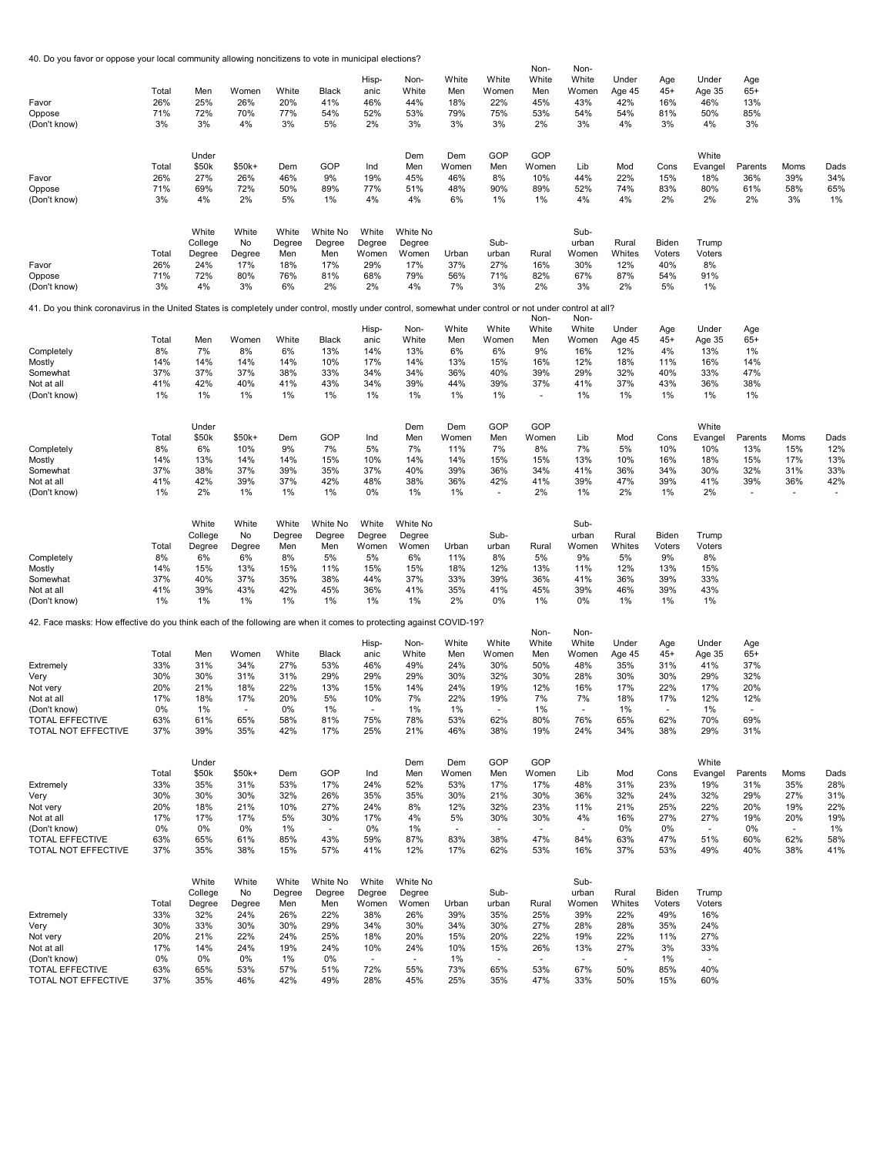40. Do you favor or oppose your local community allowing noncitizens to vote in municipal elections?

|                                                                                                                                                          |             |                |                |            |               |               |            |              |                     | Non-                     | Non-         |            |             |                          |                |                       |             |
|----------------------------------------------------------------------------------------------------------------------------------------------------------|-------------|----------------|----------------|------------|---------------|---------------|------------|--------------|---------------------|--------------------------|--------------|------------|-------------|--------------------------|----------------|-----------------------|-------------|
|                                                                                                                                                          |             |                |                |            |               | Hisp-         | Non-       | White        | White               | White                    | White        | Under      | Age         | Under                    | Age            |                       |             |
|                                                                                                                                                          | Total       | Men            | Women          | White      | Black         | anic          | White      | Men          | Women               | Men                      | Women        | Age 45     | $45+$       | Age 35                   | $65+$          |                       |             |
| Favor                                                                                                                                                    | 26%         | 25%            | 26%            | 20%        | 41%           | 46%           | 44%        | 18%          | 22%                 | 45%                      | 43%          | 42%        | 16%         | 46%                      | 13%            |                       |             |
| Oppose                                                                                                                                                   | 71%         | 72%            | 70%            | 77%        | 54%           | 52%           | 53%        | 79%          | 75%                 | 53%                      | 54%          | 54%        | 81%         | 50%                      | 85%            |                       |             |
| (Don't know)                                                                                                                                             | 3%          | 3%             | 4%             | 3%         | 5%            | 2%            | 3%         | 3%           | 3%                  | 2%                       | 3%           | 4%         | 3%          | 4%                       | 3%             |                       |             |
|                                                                                                                                                          |             |                |                |            |               |               |            |              |                     |                          |              |            |             |                          |                |                       |             |
|                                                                                                                                                          |             | Under          |                |            |               |               | Dem        | Dem          | GOP                 | GOP                      |              |            |             | White                    |                |                       |             |
|                                                                                                                                                          | Total       | \$50k          | \$50k+         | Dem        | GOP           | Ind           | Men        | Women        | Men                 | Women                    | Lib          | Mod        | Cons        | Evangel                  | Parents        | Moms                  | Dads        |
| Favor                                                                                                                                                    | 26%         | 27%            | 26%            | 46%        | 9%            | 19%           | 45%        | 46%          | 8%                  | 10%                      | 44%          | 22%        | 15%         | 18%                      | 36%            | 39%                   | 34%         |
| Oppose                                                                                                                                                   | 71%         | 69%            | 72%            | 50%        | 89%           | 77%           | 51%        | 48%          | 90%                 | 89%                      | 52%          | 74%        | 83%         | 80%                      | 61%            | 58%                   | 65%         |
| (Don't know)                                                                                                                                             | 3%          | 4%             | 2%             | 5%         | 1%            | 4%            | 4%         | 6%           | 1%                  | 1%                       | 4%           | 4%         | 2%          | 2%                       | 2%             | 3%                    | 1%          |
|                                                                                                                                                          |             |                |                |            |               |               |            |              |                     |                          |              |            |             |                          |                |                       |             |
|                                                                                                                                                          |             | White          | White          | White      | White No      | White         | White No   |              |                     |                          | Sub-         |            |             |                          |                |                       |             |
|                                                                                                                                                          |             | College        | No             | Degree     | Degree        | Degree        | Degree     |              | Sub-                |                          | urban        | Rural      | Biden       | Trump                    |                |                       |             |
|                                                                                                                                                          | Total       | Degree         | Degree         | Men        | Men           | Women         | Women      | Urban        | urban               | Rural                    | Women        | Whites     | Voters      | Voters                   |                |                       |             |
| Favor                                                                                                                                                    | 26%         | 24%            | 17%            | 18%        | 17%           | 29%           | 17%        | 37%          | 27%                 | 16%                      | 30%          | 12%        | 40%         | 8%                       |                |                       |             |
| Oppose                                                                                                                                                   | 71%         | 72%            | 80%            | 76%        | 81%           | 68%           | 79%        | 56%          | 71%                 | 82%                      | 67%          | 87%        | 54%         | 91%                      |                |                       |             |
| (Don't know)                                                                                                                                             | 3%          | 4%             | 3%             | 6%         | 2%            | 2%            | 4%         | 7%           | 3%                  | 2%                       | 3%           | 2%         | 5%          | 1%                       |                |                       |             |
|                                                                                                                                                          |             |                |                |            |               |               |            |              |                     |                          |              |            |             |                          |                |                       |             |
| 41. Do you think coronavirus in the United States is completely under control, mostly under control, somewhat under control or not under control at all? |             |                |                |            |               |               |            |              |                     | Non-                     | Non-         |            |             |                          |                |                       |             |
|                                                                                                                                                          |             |                |                |            |               | Hisp-         | Non-       | White        | White               | White                    | White        | Under      | Age         | Under                    | Age            |                       |             |
|                                                                                                                                                          | Total       | Men            | Women          | White      | Black         | anic          | White      | Men          | Women               | Men                      | Women        | Age 45     | $45+$       | Age 35                   | $65+$          |                       |             |
| Completely                                                                                                                                               | 8%          | 7%             | 8%             | 6%         | 13%           | 14%           | 13%        | 6%           | 6%                  | 9%                       | 16%          | 12%        | 4%          | 13%                      | 1%             |                       |             |
| Mostly                                                                                                                                                   | 14%         | 14%            | 14%            | 14%        | 10%           | 17%           | 14%        | 13%          | 15%                 | 16%                      | 12%          | 18%        | 11%         | 16%                      | 14%            |                       |             |
| Somewhat                                                                                                                                                 | 37%         | 37%            | 37%            | 38%        | 33%           | 34%           | 34%        | 36%          | 40%                 | 39%                      | 29%          | 32%        | 40%         | 33%                      | 47%            |                       |             |
| Not at all                                                                                                                                               | 41%         | 42%            | 40%            | 41%        | 43%           | 34%           | 39%        | 44%          | 39%                 | 37%                      | 41%          | 37%        | 43%         | 36%                      | 38%            |                       |             |
| (Don't know)                                                                                                                                             | 1%          | 1%             | 1%             | 1%         | 1%            | 1%            | 1%         | 1%           | 1%                  | $\overline{\phantom{a}}$ | 1%           | 1%         | 1%          | 1%                       | 1%             |                       |             |
|                                                                                                                                                          |             |                |                |            |               |               |            |              |                     |                          |              |            |             |                          |                |                       |             |
|                                                                                                                                                          |             |                |                |            |               |               |            |              |                     |                          |              |            |             |                          |                |                       |             |
|                                                                                                                                                          |             | Under<br>\$50k |                |            | GOP           |               | Dem        | Dem          | GOP                 | GOP                      |              |            |             | White                    |                |                       |             |
| Completely                                                                                                                                               | Total<br>8% | 6%             | $$50k+$<br>10% | Dem<br>9%  | 7%            | Ind<br>5%     | Men<br>7%  | Women<br>11% | Men<br>7%           | Women<br>8%              | Lib<br>7%    | Mod<br>5%  | Cons<br>10% | Evangel<br>10%           | Parents<br>13% | Moms<br>15%           | Dads<br>12% |
| Mostly                                                                                                                                                   | 14%         | 13%            | 14%            | 14%        | 15%           | 10%           | 14%        | 14%          | 15%                 | 15%                      | 13%          | 10%        | 16%         | 18%                      | 15%            | 17%                   | 13%         |
| Somewhat                                                                                                                                                 | 37%         | 38%            | 37%            | 39%        | 35%           | 37%           | 40%        | 39%          | 36%                 | 34%                      | 41%          | 36%        | 34%         | 30%                      | 32%            | 31%                   | 33%         |
| Not at all                                                                                                                                               | 41%         | 42%            | 39%            | 37%        | 42%           | 48%           | 38%        | 36%          | 42%                 | 41%                      | 39%          | 47%        | 39%         | 41%                      | 39%            | 36%                   | 42%         |
| (Don't know)                                                                                                                                             | 1%          | 2%             | 1%             | 1%         | 1%            | 0%            | 1%         | 1%           |                     | 2%                       | 1%           | 2%         | 1%          | 2%                       |                |                       |             |
|                                                                                                                                                          |             |                |                |            |               |               |            |              |                     |                          |              |            |             |                          |                |                       |             |
|                                                                                                                                                          |             |                |                |            |               |               |            |              |                     |                          |              |            |             |                          |                |                       |             |
|                                                                                                                                                          |             | White          | White          | White      | White No      | White         | White No   |              |                     |                          | Sub-         |            |             |                          |                |                       |             |
|                                                                                                                                                          |             | College        | No             | Degree     | Degree        | Degree        | Degree     |              | Sub-                |                          | urban        | Rural      | Biden       | Trump                    |                |                       |             |
|                                                                                                                                                          | Total       | Degree         | Degree         | Men        | Men           | Women         | Women      | Urban        | urban               | Rural                    | Women        | Whites     | Voters      | Voters                   |                |                       |             |
| Completely                                                                                                                                               | 8%          | 6%             | 6%             | 8%         | 5%            | 5%            | 6%         | 11%          | 8%                  | 5%                       | 9%           | 5%         | 9%          | 8%                       |                |                       |             |
| Mostly                                                                                                                                                   | 14%         | 15%            | 13%            | 15%        | 11%           | 15%           | 15%        | 18%          | 12%                 | 13%                      | 11%          | 12%        | 13%         | 15%                      |                |                       |             |
| Somewhat<br>Not at all                                                                                                                                   | 37%<br>41%  | 40%<br>39%     | 37%<br>43%     | 35%<br>42% | 38%<br>45%    | 44%<br>36%    | 37%<br>41% | 33%<br>35%   | 39%<br>41%          | 36%<br>45%               | 41%<br>39%   | 36%<br>46% | 39%<br>39%  | 33%<br>43%               |                |                       |             |
| (Don't know)                                                                                                                                             | 1%          | 1%             | 1%             | 1%         | 1%            | 1%            | 1%         | 2%           | 0%                  | 1%                       | 0%           | 1%         | 1%          | 1%                       |                |                       |             |
|                                                                                                                                                          |             |                |                |            |               |               |            |              |                     |                          |              |            |             |                          |                |                       |             |
| 42. Face masks: How effective do you think each of the following are when it comes to protecting against COVID-19?                                       |             |                |                |            |               |               |            |              |                     |                          |              |            |             |                          |                |                       |             |
|                                                                                                                                                          |             |                |                |            |               |               |            |              |                     | Non-                     | Non-         |            |             |                          |                |                       |             |
|                                                                                                                                                          |             |                |                |            |               | Hisp-         | Non-       | White        | White               | White                    | White        | Under      | Age         | Under                    | Age            |                       |             |
|                                                                                                                                                          | Total       | Men            | Women          | White      | Black         | anic          | White      | Men          | Women               | Men                      | Women        | Age 45     | $45+$       | Age 35                   | $65+$          |                       |             |
| Extremely                                                                                                                                                | 33%         | 31%            | 34%            | 27%        | 53%           | 46%           | 49%        | 24%          | 30%                 | 50%                      | 48%          | 35%        | 31%         | 41%                      | 37%            |                       |             |
| Very                                                                                                                                                     | 30%         | 30%            | 31%            | 31%        | 29%           | 29%           | 29%        | 30%          | 32%                 | 30%                      | 28%          | 30%        | 30%         | 29%                      | 32%            |                       |             |
| Not very                                                                                                                                                 | 20%         | 21%            | 18%            | 22%        | 13%           | 15%           | 14%        | 24%          | 19%                 | 12%                      | 16%          | 17%        | 22%         | 17%                      | 20%            |                       |             |
| Not at all<br>(Don't know)                                                                                                                               | 17%<br>0%   | 18%<br>$1\%$   | 17%<br>٠       | 20%<br>0%  | 5%<br>1%      | 10%<br>$\sim$ | 7%<br>1%   | 22%<br>1%    | 19%<br>$\mathbf{r}$ | 7%<br>1%                 | 7%<br>٠      | 18%<br>1%  | 17%<br>÷.   | 12%<br>1%                | 12%            |                       |             |
| <b>TOTAL EFFECTIVE</b>                                                                                                                                   | 63%         | 61%            | 65%            | 58%        | 81%           | 75%           | 78%        | 53%          | 62%                 | 80%                      | 76%          | 65%        | 62%         | 70%                      | 69%            |                       |             |
| TOTAL NOT EFFECTIVE                                                                                                                                      | 37%         | 39%            | 35%            | 42%        | 17%           | 25%           | 21%        | 46%          | 38%                 | 19%                      | 24%          | 34%        | 38%         | 29%                      | 31%            |                       |             |
|                                                                                                                                                          |             |                |                |            |               |               |            |              |                     |                          |              |            |             |                          |                |                       |             |
|                                                                                                                                                          |             |                |                |            |               |               |            |              |                     |                          |              |            |             |                          |                |                       |             |
|                                                                                                                                                          |             | Under          |                |            |               |               | Dem        | Dem          | GOP                 | GOP                      |              |            |             | White                    |                |                       |             |
|                                                                                                                                                          | Total       | \$50k          | \$50k+         | Dem        | GOP           | Ind           | Men        | Women        | Men                 | Women                    | Lib          | Mod        | Cons        | Evangel                  | Parents        | Moms                  | Dads        |
| Extremely                                                                                                                                                | 33%         | 35%            | 31%            | 53%        | 17%           | 24%           | 52%        | 53%          | 17%                 | 17%                      | 48%          | 31%        | 23%         | 19%                      | 31%            | 35%                   | 28%         |
| Very                                                                                                                                                     | 30%         | 30%            | 30%            | 32%        | 26%           | 35%           | 35%        | 30%          | 21%                 | 30%                      | 36%          | 32%        | 24%         | 32%                      | 29%            | 27%                   | 31%         |
| Not very                                                                                                                                                 | 20%         | 18%            | 21%            | 10%        | 27%           | 24%           | 8%         | 12%          | 32%                 | 23%                      | 11%          | 21%        | 25%         | 22%                      | 20%            | 19%                   | 22%         |
| Not at all                                                                                                                                               | 17%<br>0%   | 17%<br>0%      | 17%<br>0%      | 5%         | 30%<br>$\sim$ | 17%           | 4%         | 5%<br>$\sim$ | 30%<br>$\sim$       | 30%<br>$\blacksquare$    | 4%<br>$\sim$ | 16%<br>0%  | 27%<br>0%   | 27%<br>$\sim$            | 19%            | 20%<br>$\blacksquare$ | 19%         |
| (Don't know)<br><b>TOTAL EFFECTIVE</b>                                                                                                                   | 63%         | 65%            | 61%            | 1%<br>85%  | 43%           | 0%<br>59%     | 1%<br>87%  | 83%          | 38%                 | 47%                      | 84%          | 63%        | 47%         | 51%                      | 0%<br>60%      | 62%                   | 1%<br>58%   |
| <b>TOTAL NOT EFFECTIVE</b>                                                                                                                               | 37%         | 35%            | 38%            | 15%        | 57%           | 41%           | 12%        | 17%          | 62%                 | 53%                      | 16%          | 37%        | 53%         | 49%                      | 40%            | 38%                   | 41%         |
|                                                                                                                                                          |             |                |                |            |               |               |            |              |                     |                          |              |            |             |                          |                |                       |             |
|                                                                                                                                                          |             |                |                |            |               |               |            |              |                     |                          |              |            |             |                          |                |                       |             |
|                                                                                                                                                          |             | White          | White          | White      | White No      | White         | White No   |              |                     |                          | Sub-         |            |             |                          |                |                       |             |
|                                                                                                                                                          |             | College        | No             | Degree     | Degree        | Degree        | Degree     |              | Sub-                |                          | urban        | Rural      | Biden       | Trump                    |                |                       |             |
|                                                                                                                                                          | Total       | Degree         | Degree         | Men        | Men           | Women         | Women      | Urban        | urban               | Rural                    | Women        | Whites     | Voters      | Voters                   |                |                       |             |
| Extremely                                                                                                                                                | 33%         | 32%            | 24%            | 26%        | 22%           | 38%           | 26%        | 39%          | 35%                 | 25%                      | 39%          | 22%        | 49%         | 16%                      |                |                       |             |
| Very                                                                                                                                                     | 30%         | 33%            | 30%            | 30%        | 29%           | 34%           | 30%        | 34%          | 30%                 | 27%                      | 28%          | 28%        | 35%         | 24%                      |                |                       |             |
| Not very                                                                                                                                                 | 20%         | 21%            | 22%            | 24%        | 25%           | 18%           | 20%        | 15%          | 20%                 | 22%                      | 19%          | 22%        | 11%         | 27%                      |                |                       |             |
| Not at all                                                                                                                                               | 17%         | 14%            | 24%            | 19%        | 24%           | 10%           | 24%        | 10%          | 15%                 | 26%                      | 13%          | 27%        | 3%          | 33%                      |                |                       |             |
| (Don't know)                                                                                                                                             | 0%          | 0%             | 0%             | 1%         | 0%            | $\sim$        | $\sim$     | 1%           | $\sim$              | $\overline{\phantom{a}}$ | $\sim$       | $\sim$     | 1%          | $\overline{\phantom{a}}$ |                |                       |             |
| TOTAL EFFECTIVE<br>TOTAL NOT EFFECTIVE                                                                                                                   | 63%<br>37%  | 65%<br>35%     | 53%<br>46%     | 57%<br>42% | 51%<br>49%    | 72%<br>28%    | 55%<br>45% | 73%<br>25%   | 65%<br>35%          | 53%<br>47%               | 67%<br>33%   | 50%<br>50% | 85%<br>15%  | 40%<br>60%               |                |                       |             |
|                                                                                                                                                          |             |                |                |            |               |               |            |              |                     |                          |              |            |             |                          |                |                       |             |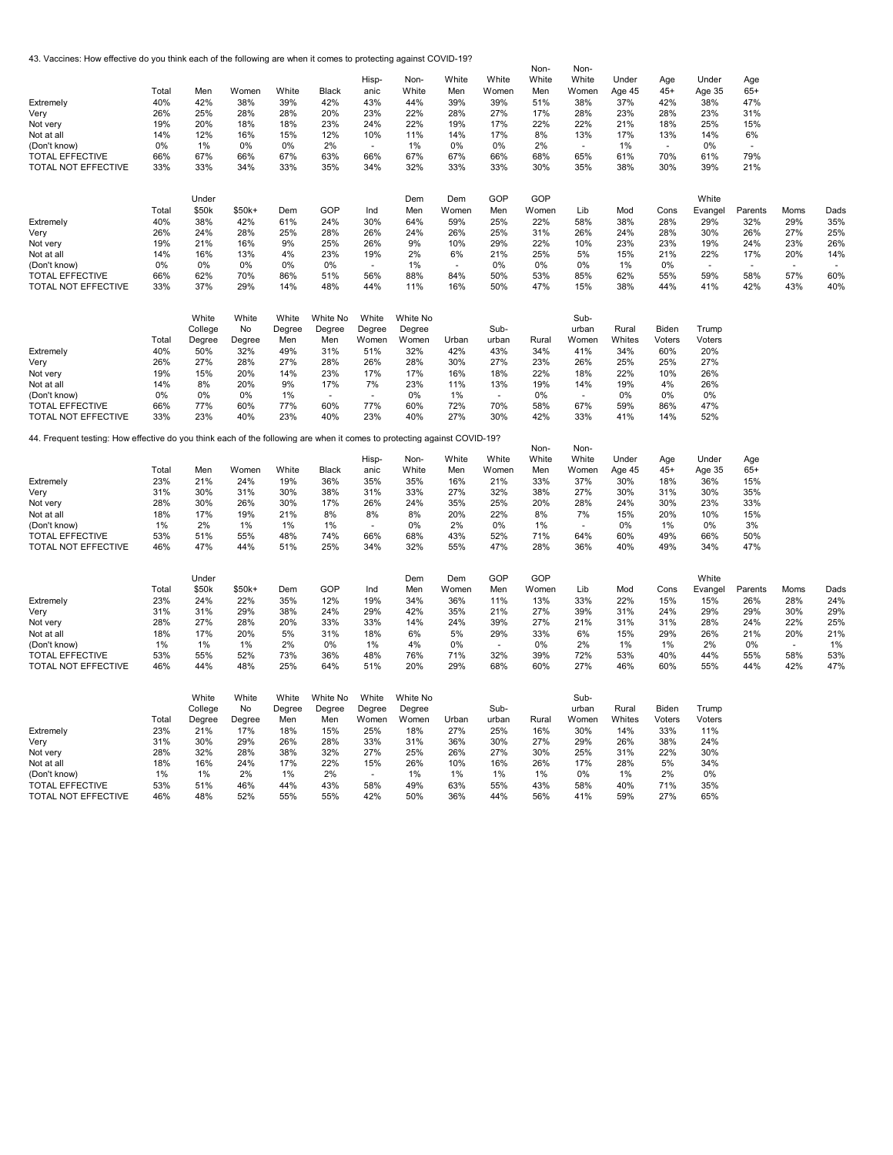43. Vaccines: How effective do you think each of the following are when it comes to protecting against COVID-19?

|                                                                                                                          |            |            |            |            |            | Hisp-                    | Non-       | White      | White          | Non-<br>White | Non-<br>White            | Under      | Age        | Under      | Age        |               |            |
|--------------------------------------------------------------------------------------------------------------------------|------------|------------|------------|------------|------------|--------------------------|------------|------------|----------------|---------------|--------------------------|------------|------------|------------|------------|---------------|------------|
|                                                                                                                          | Total      | Men        | Women      | White      | Black      | anic                     | White      | Men        | Women          | Men           | Women                    | Age 45     | $45+$      | Age 35     | $65+$      |               |            |
| Extremely                                                                                                                | 40%        | 42%        | 38%        | 39%        | 42%        | 43%                      | 44%        | 39%        | 39%            | 51%           | 38%                      | 37%        | 42%        | 38%        | 47%        |               |            |
| Very                                                                                                                     | 26%        | 25%        | 28%        | 28%        | 20%        | 23%                      | 22%        | 28%        | 27%            | 17%           | 28%                      | 23%        | 28%        | 23%        | 31%        |               |            |
| Not very                                                                                                                 | 19%        | 20%        | 18%        | 18%        | 23%        | 24%                      | 22%        | 19%        | 17%            | 22%           | 22%                      | 21%        | 18%        | 25%        | 15%        |               |            |
| Not at all                                                                                                               | 14%        | 12%        | 16%        | 15%        | 12%        | 10%                      | 11%        | 14%        | 17%            | 8%            | 13%                      | 17%        | 13%        | 14%        | 6%         |               |            |
| (Don't know)                                                                                                             | 0%         | 1%         | 0%         | 0%         | 2%         | $\overline{\phantom{a}}$ | 1%         | 0%         | 0%             | 2%            | $\sim$                   | 1%         | $\sim$     | 0%         |            |               |            |
| <b>TOTAL EFFECTIVE</b>                                                                                                   | 66%        | 67%        | 66%        | 67%        | 63%        | 66%                      | 67%        | 67%        | 66%            | 68%           | 65%                      | 61%        | 70%        | 61%        | 79%        |               |            |
| TOTAL NOT EFFECTIVE                                                                                                      | 33%        | 33%        | 34%        | 33%        | 35%        | 34%                      | 32%        | 33%        | 33%            | 30%           | 35%                      | 38%        | 30%        | 39%        | 21%        |               |            |
|                                                                                                                          |            | Under      |            |            |            |                          | Dem        | Dem        | GOP            | GOP           |                          |            |            | White      |            |               |            |
|                                                                                                                          | Total      | \$50k      | \$50k+     | Dem        | GOP        | Ind                      | Men        | Women      | Men            | Women         | Lib                      | Mod        | Cons       | Evangel    | Parents    | Moms          | Dads       |
| Extremely                                                                                                                | 40%        | 38%        | 42%        | 61%        | 24%        | 30%                      | 64%        | 59%        | 25%            | 22%           | 58%                      | 38%        | 28%        | 29%        | 32%        | 29%           | 35%        |
| Very                                                                                                                     | 26%        | 24%        | 28%        | 25%        | 28%        | 26%                      | 24%        | 26%        | 25%            | 31%           | 26%                      | 24%        | 28%        | 30%        | 26%        | 27%           | 25%        |
| Not very                                                                                                                 | 19%        | 21%        | 16%        | 9%         | 25%        | 26%                      | 9%         | 10%        | 29%            | 22%           | 10%                      | 23%        | 23%        | 19%        | 24%        | 23%           | 26%        |
| Not at all                                                                                                               | 14%        | 16%        | 13%        | 4%         | 23%        | 19%                      | 2%         | 6%         | 21%            | 25%           | 5%                       | 15%        | 21%        | 22%        | 17%        | 20%           | 14%        |
| (Don't know)                                                                                                             | 0%         | 0%         | 0%         | 0%         | 0%         |                          | 1%         |            | 0%             | 0%            | 0%                       | 1%         | 0%         | $\sim$     |            |               |            |
| <b>TOTAL EFFECTIVE</b>                                                                                                   | 66%        | 62%        | 70%        | 86%        | 51%        | 56%                      | 88%        | 84%        | 50%            | 53%           | 85%                      | 62%        | 55%        | 59%        | 58%        | 57%           | 60%        |
| TOTAL NOT EFFECTIVE                                                                                                      | 33%        | 37%        | 29%        | 14%        | 48%        | 44%                      | 11%        | 16%        | 50%            | 47%           | 15%                      | 38%        | 44%        | 41%        | 42%        | 43%           | 40%        |
|                                                                                                                          |            | White      | White      | White      | White No   | White                    | White No   |            |                |               | Sub-                     |            |            |            |            |               |            |
|                                                                                                                          |            | College    | No         | Degree     | Degree     | Degree                   | Degree     |            | Sub-           |               | urban                    | Rural      | Biden      | Trump      |            |               |            |
|                                                                                                                          | Total      | Degree     | Degree     | Men        | Men        | Women                    | Women      | Urban      | urban          | Rural         | Women                    | Whites     | Voters     | Voters     |            |               |            |
| Extremely                                                                                                                | 40%        | 50%        | 32%        | 49%        | 31%        | 51%                      | 32%        | 42%        | 43%            | 34%           | 41%                      | 34%        | 60%        | 20%        |            |               |            |
| Very                                                                                                                     | 26%        | 27%        | 28%        | 27%        | 28%        | 26%                      | 28%        | 30%        | 27%            | 23%           | 26%                      | 25%        | 25%        | 27%        |            |               |            |
| Not verv                                                                                                                 | 19%        | 15%        | 20%        | 14%        | 23%        | 17%                      | 17%        | 16%        | 18%            | 22%           | 18%                      | 22%        | 10%        | 26%        |            |               |            |
| Not at all                                                                                                               | 14%        | 8%         | 20%        | 9%         | 17%        | 7%                       | 23%        | 11%        | 13%            | 19%           | 14%                      | 19%        | 4%         | 26%        |            |               |            |
| (Don't know)                                                                                                             | 0%         | 0%         | 0%         | 1%         |            |                          | 0%         | 1%         | $\blacksquare$ | 0%            | $\overline{\phantom{a}}$ | 0%         | 0%         | 0%         |            |               |            |
| <b>TOTAL EFFECTIVE</b>                                                                                                   | 66%        | 77%        | 60%        | 77%        | 60%        | 77%                      | 60%        | 72%        | 70%            | 58%           | 67%                      | 59%        | 86%        | 47%        |            |               |            |
| TOTAL NOT EFFECTIVE                                                                                                      | 33%        | 23%        | 40%        | 23%        | 40%        | 23%                      | 40%        | 27%        | 30%            | 42%           | 33%                      | 41%        | 14%        | 52%        |            |               |            |
| 44. Frequent testing: How effective do you think each of the following are when it comes to protecting against COVID-19? |            |            |            |            |            |                          |            |            |                | Non-          | Non-                     |            |            |            |            |               |            |
|                                                                                                                          |            |            |            |            |            | Hisp-                    | Non-       | White      | White          | White         | White                    | Under      | Age        | Under      | Age        |               |            |
|                                                                                                                          | Total      | Men        | Women      | White      | Black      | anic                     | White      | Men        | Women          | Men           | Women                    | Age 45     | $45+$      | Age 35     | $65+$      |               |            |
| Extremely                                                                                                                | 23%        | 21%        | 24%        | 19%        | 36%        | 35%                      | 35%        | 16%        | 21%            | 33%           | 37%                      | 30%        | 18%        | 36%        | 15%        |               |            |
| Very                                                                                                                     | 31%        | 30%        | 31%        | 30%        | 38%        | 31%                      | 33%        | 27%        | 32%            | 38%           | 27%                      | 30%        | 31%        | 30%        | 35%        |               |            |
| Not very                                                                                                                 | 28%        | 30%        | 26%        | 30%        | 17%        | 26%                      | 24%        | 35%        | 25%            | 20%           | 28%                      | 24%        | 30%        | 23%        | 33%        |               |            |
| Not at all                                                                                                               | 18%        | 17%        | 19%        | 21%        | 8%         | 8%                       | 8%         | 20%        | 22%            | 8%            | 7%                       | 15%        | 20%        | 10%        | 15%        |               |            |
| (Don't know)                                                                                                             | 1%         | 2%         | 1%         | 1%         | 1%         | $\sim$                   | 0%         | 2%         | 0%             | 1%            | $\sim$                   | 0%         | 1%         | 0%         | 3%         |               |            |
| <b>TOTAL EFFECTIVE</b>                                                                                                   | 53%        | 51%        | 55%        | 48%        | 74%        | 66%                      | 68%        | 43%        | 52%            | 71%           | 64%                      | 60%        | 49%        | 66%        | 50%        |               |            |
| TOTAL NOT EFFECTIVE                                                                                                      | 46%        | 47%        | 44%        | 51%        | 25%        | 34%                      | 32%        | 55%        | 47%            | 28%           | 36%                      | 40%        | 49%        | 34%        | 47%        |               |            |
|                                                                                                                          |            | Under      |            |            |            |                          | Dem        | Dem        | GOP            | GOP           |                          |            |            | White      |            |               |            |
|                                                                                                                          | Total      | \$50k      | \$50k+     | Dem        | GOP        | Ind                      | Men        | Women      | Men            | Women         | Lib                      | Mod        | Cons       | Evangel    | Parents    | Moms          | Dads       |
| Extremely                                                                                                                | 23%        | 24%        | 22%        | 35%        | 12%        | 19%                      | 34%        | 36%        | 11%            | 13%           | 33%                      | 22%        | 15%        | 15%        | 26%        | 28%           | 24%        |
| Very                                                                                                                     | 31%        | 31%        | 29%        | 38%        | 24%        | 29%                      | 42%        | 35%        | 21%            | 27%           | 39%                      | 31%        | 24%        | 29%        | 29%        | 30%           | 29%        |
| Not very                                                                                                                 | 28%        | 27%        | 28%        | 20%        | 33%        | 33%                      | 14%        | 24%        | 39%            | 27%           | 21%                      | 31%        | 31%        | 28%        | 24%        | 22%           | 25%        |
| Not at all                                                                                                               | 18%        | 17%        | 20%        | 5%         | 31%        | 18%                      | 6%         | 5%         | 29%            | 33%           | 6%                       | 15%        | 29%        | 26%        | 21%        | 20%           | 21%        |
| (Don't know)                                                                                                             | 1%         | 1%         | 1%         | 2%         | 0%         | 1%                       | 4%         | 0%         | $\sim$         | 0%<br>39%     | 2%                       | 1%         | 1%         | 2%         | 0%         | $\sim$<br>58% | 1%         |
| <b>TOTAL EFFECTIVE</b><br>TOTAL NOT EFFECTIVE                                                                            | 53%<br>46% | 55%<br>44% | 52%<br>48% | 73%<br>25% | 36%<br>64% | 48%                      | 76%<br>20% | 71%<br>29% | 32%<br>68%     | 60%           | 72%<br>27%               | 53%<br>46% | 40%<br>60% | 44%<br>55% | 55%<br>44% | 42%           | 53%<br>47% |
|                                                                                                                          |            |            |            |            |            | 51%                      |            |            |                |               |                          |            |            |            |            |               |            |
|                                                                                                                          |            | White      | White      | White      | White No   | White                    | White No   |            |                |               | Sub-                     |            |            |            |            |               |            |
|                                                                                                                          |            | College    | No         | Degree     | Degree     | Degree                   | Degree     |            | Sub-           |               | urban                    | Rural      | Biden      | Trump      |            |               |            |
|                                                                                                                          | Total      | Degree     | Degree     | Men        | Men        | Women                    | Women      | Urban      | urban          | Rural         | Women                    | Whites     | Voters     | Voters     |            |               |            |
| Extremely                                                                                                                | 23%        | 21%        | 17%        | 18%        | 15%        | 25%                      | 18%        | 27%        | 25%            | 16%           | 30%                      | 14%        | 33%        | 11%        |            |               |            |
| Very                                                                                                                     | 31%        | 30%        | 29%        | 26%        | 28%        | 33%                      | 31%        | 36%        | 30%            | 27%           | 29%                      | 26%        | 38%        | 24%        |            |               |            |
| Not very                                                                                                                 | 28%        | 32%        | 28%        | 38%        | 32%        | 27%                      | 25%        | 26%        | 27%            | 30%           | 25%                      | 31%        | 22%        | 30%        |            |               |            |
| Not at all                                                                                                               | 18%<br>1%  | 16%<br>1%  | 24%<br>2%  | 17%<br>1%  | 22%<br>2%  | 15%                      | 26%<br>1%  | 10%<br>1%  | 16%<br>1%      | 26%<br>1%     | 17%<br>0%                | 28%<br>1%  | 5%<br>2%   | 34%<br>0%  |            |               |            |
| (Don't know)<br><b>TOTAL EFFECTIVE</b>                                                                                   | 53%        | 51%        | 46%        | 44%        | 43%        | 58%                      | 49%        | 63%        | 55%            | 43%           | 58%                      | 40%        | 71%        | 35%        |            |               |            |
| TOTAL NOT EFFECTIVE                                                                                                      | 46%        | 48%        | 52%        | 55%        | 55%        | 42%                      | 50%        | 36%        | 44%            | 56%           | 41%                      | 59%        | 27%        | 65%        |            |               |            |
|                                                                                                                          |            |            |            |            |            |                          |            |            |                |               |                          |            |            |            |            |               |            |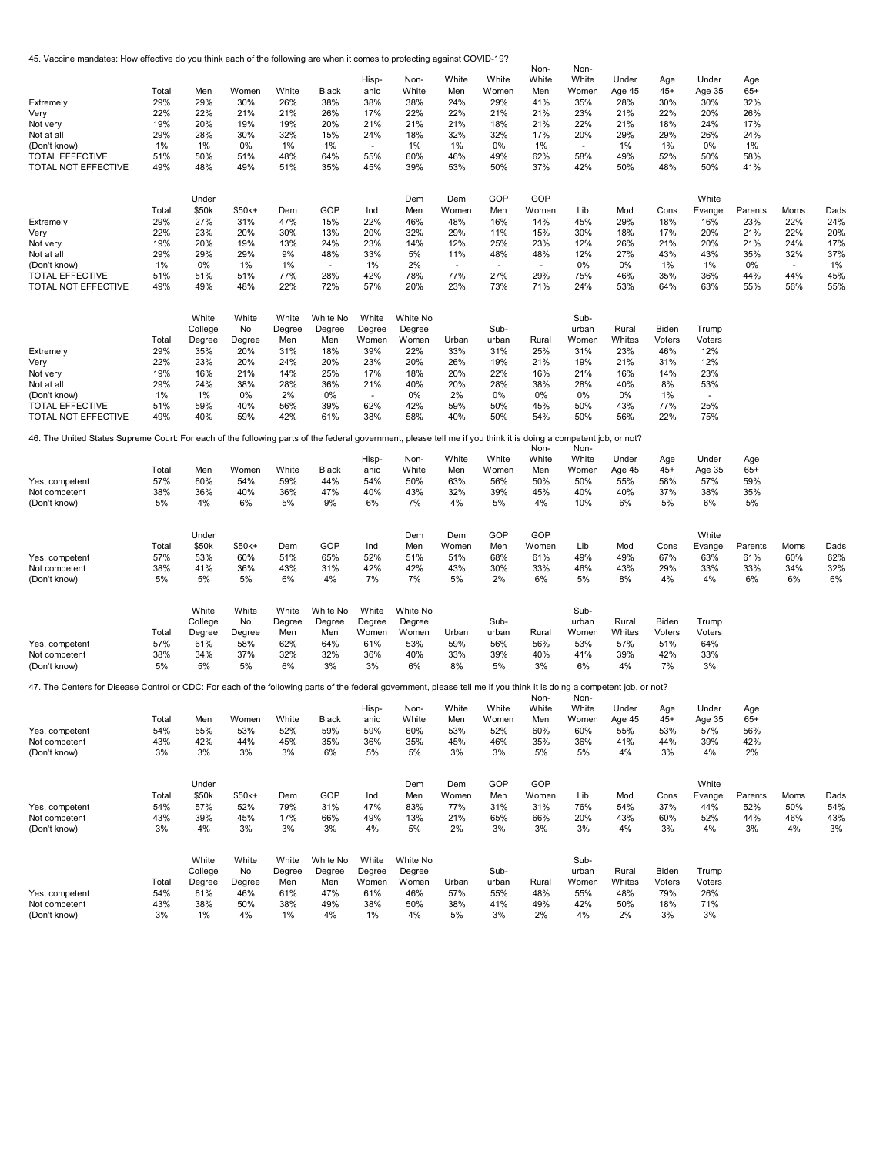45. Vaccine mandates: How effective do you think each of the following are when it comes to protecting against COVID-19?

| Extremely<br>Very<br>Not very<br>Not at all<br>(Don't know)<br><b>TOTAL EFFECTIVE</b><br>TOTAL NOT EFFECTIVE<br>Extremely<br>Very<br>Not very<br>Not at all<br>(Don't know) | Total<br>29%<br>22%<br>19%<br>29%<br>1%<br>51%<br>49%<br>Total<br>29%<br>22%<br>19%<br>29%<br>1% | Men<br>29%<br>22%<br>20%<br>28%<br>1%<br>50%<br>48%<br>Under<br>\$50k<br>27%<br>23%<br>20%<br>29%<br>0% | Women<br>30%<br>21%<br>19%<br>30%<br>0%<br>51%<br>49%<br>$$50k+$<br>31%<br>20%<br>19%<br>29%<br>1% | White<br>26%<br>21%<br>19%<br>32%<br>1%<br>48%<br>51%<br>Dem<br>47%<br>30%<br>13%<br>9%<br>1% | Black<br>38%<br>26%<br>20%<br>15%<br>1%<br>64%<br>35%<br>GOP<br>15%<br>13%<br>24%<br>48%<br>$\sim$ | Hisp-<br>anic<br>38%<br>17%<br>21%<br>24%<br>$\overline{\phantom{a}}$<br>55%<br>45%<br>Ind<br>22%<br>20%<br>23%<br>33%<br>1% | Non-<br>White<br>38%<br>22%<br>21%<br>18%<br>1%<br>60%<br>39%<br>Dem<br>Men<br>46%<br>32%<br>14%<br>5%<br>2% | White<br>Men<br>24%<br>22%<br>21%<br>32%<br>1%<br>46%<br>53%<br>Dem<br>Women<br>48%<br>29%<br>12%<br>11%<br>$\sim$ | White<br>Women<br>29%<br>21%<br>18%<br>32%<br>0%<br>49%<br>50%<br>GOP<br>Men<br>16%<br>11%<br>25%<br>48%<br>$\overline{\phantom{a}}$ | Non-<br>White<br>Men<br>41%<br>21%<br>21%<br>17%<br>1%<br>62%<br>37%<br>GOP<br>Women<br>14%<br>15%<br>23%<br>48%<br>$\overline{\phantom{a}}$ | Non-<br>White<br>Women<br>35%<br>23%<br>22%<br>20%<br>$\sim$<br>58%<br>42%<br>Lib<br>45%<br>30%<br>12%<br>12%<br>0% | Under<br>Age 45<br>28%<br>21%<br>21%<br>29%<br>1%<br>49%<br>50%<br>Mod<br>29%<br>18%<br>26%<br>27%<br>0% | Age<br>$45+$<br>30%<br>22%<br>18%<br>29%<br>1%<br>52%<br>48%<br>Cons<br>18%<br>17%<br>21%<br>43%<br>1% | Under<br>Age 35<br>30%<br>20%<br>24%<br>26%<br>0%<br>50%<br>50%<br>White<br>Evangel<br>16%<br>20%<br>20%<br>43%<br>1% | Age<br>$65+$<br>32%<br>26%<br>17%<br>24%<br>1%<br>58%<br>41%<br>Parents<br>23%<br>21%<br>21%<br>35%<br>0% | Moms<br>22%<br>22%<br>24%<br>32%<br>٠ | Dads<br>24%<br>20%<br>17%<br>37%<br>1% |
|-----------------------------------------------------------------------------------------------------------------------------------------------------------------------------|--------------------------------------------------------------------------------------------------|---------------------------------------------------------------------------------------------------------|----------------------------------------------------------------------------------------------------|-----------------------------------------------------------------------------------------------|----------------------------------------------------------------------------------------------------|------------------------------------------------------------------------------------------------------------------------------|--------------------------------------------------------------------------------------------------------------|--------------------------------------------------------------------------------------------------------------------|--------------------------------------------------------------------------------------------------------------------------------------|----------------------------------------------------------------------------------------------------------------------------------------------|---------------------------------------------------------------------------------------------------------------------|----------------------------------------------------------------------------------------------------------|--------------------------------------------------------------------------------------------------------|-----------------------------------------------------------------------------------------------------------------------|-----------------------------------------------------------------------------------------------------------|---------------------------------------|----------------------------------------|
| <b>TOTAL EFFECTIVE</b>                                                                                                                                                      | 51%                                                                                              | 51%                                                                                                     | 51%                                                                                                | 77%                                                                                           | 28%                                                                                                | 42%                                                                                                                          | 78%                                                                                                          | 77%                                                                                                                | 27%                                                                                                                                  | 29%                                                                                                                                          | 75%                                                                                                                 | 46%                                                                                                      | 35%                                                                                                    | 36%                                                                                                                   | 44%                                                                                                       | 44%                                   | 45%                                    |
| TOTAL NOT EFFECTIVE                                                                                                                                                         | 49%                                                                                              | 49%                                                                                                     | 48%                                                                                                | 22%                                                                                           | 72%                                                                                                | 57%                                                                                                                          | 20%                                                                                                          | 23%                                                                                                                | 73%                                                                                                                                  | 71%                                                                                                                                          | 24%                                                                                                                 | 53%                                                                                                      | 64%                                                                                                    | 63%                                                                                                                   | 55%                                                                                                       | 56%                                   | 55%                                    |
| Extremely<br>Very<br>Not very<br>Not at all<br>(Don't know)<br><b>TOTAL EFFECTIVE</b><br>TOTAL NOT EFFECTIVE                                                                | Total<br>29%<br>22%<br>19%<br>29%<br>1%<br>51%<br>49%                                            | White<br>College<br>Degree<br>35%<br>23%<br>16%<br>24%<br>1%<br>59%<br>40%                              | White<br>No<br>Degree<br>20%<br>20%<br>21%<br>38%<br>0%<br>40%<br>59%                              | White<br>Degree<br>Men<br>31%<br>24%<br>14%<br>28%<br>2%<br>56%<br>42%                        | White No<br>Degree<br>Men<br>18%<br>20%<br>25%<br>36%<br>0%<br>39%<br>61%                          | White<br>Degree<br>Women<br>39%<br>23%<br>17%<br>21%<br>$\sim$<br>62%<br>38%                                                 | White No<br>Degree<br>Women<br>22%<br>20%<br>18%<br>40%<br>0%<br>42%<br>58%                                  | Urban<br>33%<br>26%<br>20%<br>20%<br>2%<br>59%<br>40%                                                              | Sub-<br>urban<br>31%<br>19%<br>22%<br>28%<br>0%<br>50%<br>50%                                                                        | Rural<br>25%<br>21%<br>16%<br>38%<br>0%<br>45%<br>54%                                                                                        | Sub-<br>urban<br>Women<br>31%<br>19%<br>21%<br>28%<br>0%<br>50%<br>50%                                              | Rural<br>Whites<br>23%<br>21%<br>16%<br>40%<br>0%<br>43%<br>56%                                          | Biden<br>Voters<br>46%<br>31%<br>14%<br>8%<br>1%<br>77%<br>22%                                         | Trump<br>Voters<br>12%<br>12%<br>23%<br>53%<br>٠<br>25%<br>75%                                                        |                                                                                                           |                                       |                                        |
| 46. The United States Supreme Court: For each of the following parts of the federal government, please tell me if you think it is doing a competent job, or not?            |                                                                                                  |                                                                                                         |                                                                                                    |                                                                                               |                                                                                                    |                                                                                                                              |                                                                                                              |                                                                                                                    |                                                                                                                                      |                                                                                                                                              |                                                                                                                     |                                                                                                          |                                                                                                        |                                                                                                                       |                                                                                                           |                                       |                                        |
|                                                                                                                                                                             |                                                                                                  |                                                                                                         |                                                                                                    |                                                                                               |                                                                                                    | Hisp-                                                                                                                        | Non-                                                                                                         | White                                                                                                              | White                                                                                                                                | Non-<br>White                                                                                                                                | Non-<br>White                                                                                                       | Under                                                                                                    | Age                                                                                                    | Under                                                                                                                 | Age                                                                                                       |                                       |                                        |
| Yes, competent<br>Not competent<br>(Don't know)                                                                                                                             | Total<br>57%<br>38%<br>5%                                                                        | Men<br>60%<br>36%<br>4%                                                                                 | Women<br>54%<br>40%<br>6%                                                                          | White<br>59%<br>36%<br>5%                                                                     | Black<br>44%<br>47%<br>9%                                                                          | anic<br>54%<br>40%<br>6%                                                                                                     | White<br>50%<br>43%<br>7%                                                                                    | Men<br>63%<br>32%<br>4%                                                                                            | Women<br>56%<br>39%<br>5%                                                                                                            | Men<br>50%<br>45%<br>4%                                                                                                                      | Women<br>50%<br>40%<br>10%                                                                                          | Age 45<br>55%<br>40%<br>6%                                                                               | $45+$<br>58%<br>37%<br>5%                                                                              | Age 35<br>57%<br>38%<br>6%                                                                                            | $65+$<br>59%<br>35%<br>5%                                                                                 |                                       |                                        |
| Yes, competent<br>Not competent<br>(Don't know)                                                                                                                             | Total<br>57%<br>38%<br>5%                                                                        | Under<br>\$50k<br>53%<br>41%<br>5%                                                                      | $$50k+$<br>60%<br>36%<br>5%                                                                        | Dem<br>51%<br>43%<br>6%                                                                       | GOP<br>65%<br>31%<br>4%                                                                            | Ind<br>52%<br>42%<br>7%                                                                                                      | Dem<br>Men<br>51%<br>42%<br>7%                                                                               | Dem<br>Women<br>51%<br>43%<br>5%                                                                                   | GOP<br>Men<br>68%<br>30%<br>2%                                                                                                       | GOP<br>Women<br>61%<br>33%<br>6%                                                                                                             | Lib<br>49%<br>46%<br>5%                                                                                             | Mod<br>49%<br>43%<br>8%                                                                                  | Cons<br>67%<br>29%<br>4%                                                                               | White<br>Evangel<br>63%<br>33%<br>4%                                                                                  | Parents<br>61%<br>33%<br>6%                                                                               | Moms<br>60%<br>34%<br>6%              | Dads<br>62%<br>32%<br>6%               |
| Yes, competent<br>Not competent<br>(Don't know)                                                                                                                             | Total<br>57%<br>38%<br>5%                                                                        | White<br>College<br>Degree<br>61%<br>34%<br>5%                                                          | White<br>No<br>Degree<br>58%<br>37%<br>5%                                                          | White<br>Degree<br>Men<br>62%<br>32%<br>6%                                                    | White No<br>Degree<br>Men<br>64%<br>32%<br>3%                                                      | White<br>Degree<br>Women<br>61%<br>36%<br>3%                                                                                 | White No<br>Degree<br>Women<br>53%<br>40%<br>6%                                                              | Urban<br>59%<br>33%<br>8%                                                                                          | Sub-<br>urban<br>56%<br>39%<br>5%                                                                                                    | Rural<br>56%<br>40%<br>3%                                                                                                                    | Sub-<br>urban<br>Women<br>53%<br>41%<br>6%                                                                          | Rural<br>Whites<br>57%<br>39%<br>4%                                                                      | Biden<br>Voters<br>51%<br>42%<br>7%                                                                    | Trump<br>Voters<br>64%<br>33%<br>3%                                                                                   |                                                                                                           |                                       |                                        |
| 47. The Centers for Disease Control or CDC: For each of the following parts of the federal government, please tell me if you think it is doing a competent job, or not?     |                                                                                                  |                                                                                                         |                                                                                                    |                                                                                               |                                                                                                    |                                                                                                                              |                                                                                                              |                                                                                                                    |                                                                                                                                      |                                                                                                                                              |                                                                                                                     |                                                                                                          |                                                                                                        |                                                                                                                       |                                                                                                           |                                       |                                        |
| Yes, competent<br>Not competent<br>(Don't know)                                                                                                                             | Total<br>54%<br>43%<br>3%                                                                        | Men<br>55%<br>42%<br>3%                                                                                 | Women White<br>53%<br>44%<br>3%                                                                    | 52%<br>45%<br>3%                                                                              | Black<br>59%<br>35%<br>6%                                                                          | Hisp-<br>anic<br>59%<br>36%<br>5%                                                                                            | Non-<br>White<br>60%<br>35%<br>5%                                                                            | White<br>Men<br>53%<br>45%<br>3%                                                                                   | White<br>Women<br>52%<br>46%<br>3%                                                                                                   | Non-<br>White<br>Men<br>60%<br>35%<br>5%                                                                                                     | Non-<br>White<br>Women<br>60%<br>36%<br>5%                                                                          | Under<br>Age 45<br>55%<br>41%<br>4%                                                                      | Age<br>45+<br>53%<br>44%<br>3%                                                                         | Under<br>Age 35<br>57%<br>39%<br>4%                                                                                   | Age<br>$65+$<br>56%<br>42%<br>2%                                                                          |                                       |                                        |
| Yes, competent<br>Not competent<br>(Don't know)                                                                                                                             | Total<br>54%<br>43%<br>3%                                                                        | Under<br>\$50k<br>57%<br>39%<br>4%                                                                      | $$50k+$<br>52%<br>45%<br>3%                                                                        | Dem<br>79%<br>17%<br>3%                                                                       | GOP<br>31%<br>66%<br>3%                                                                            | Ind<br>47%<br>49%<br>4%                                                                                                      | Dem<br>Men<br>83%<br>13%<br>5%                                                                               | Dem<br>Women<br>77%<br>21%<br>2%                                                                                   | GOP<br>Men<br>31%<br>65%<br>3%                                                                                                       | GOP<br>Women<br>31%<br>66%<br>3%                                                                                                             | Lib<br>76%<br>20%<br>3%                                                                                             | Mod<br>54%<br>43%<br>4%                                                                                  | Cons<br>37%<br>60%<br>3%                                                                               | White<br>Evangel<br>44%<br>52%<br>4%                                                                                  | Parents<br>52%<br>44%<br>3%                                                                               | Moms<br>50%<br>46%<br>4%              | Dads<br>54%<br>43%<br>3%               |
| Yes, competent<br>Not competent<br>(Don't know)                                                                                                                             | Total<br>54%<br>43%<br>3%                                                                        | White<br>College<br>Degree<br>61%<br>38%<br>1%                                                          | White<br>No<br>Degree<br>46%<br>50%<br>4%                                                          | White<br>Degree<br>Men<br>61%<br>38%<br>1%                                                    | White No<br>Degree<br>Men<br>47%<br>49%<br>4%                                                      | White<br>Degree<br>Women<br>61%<br>38%<br>1%                                                                                 | White No<br>Degree<br>Women<br>46%<br>50%<br>4%                                                              | Urban<br>57%<br>38%<br>5%                                                                                          | Sub-<br>urban<br>55%<br>41%<br>3%                                                                                                    | Rural<br>48%<br>49%<br>2%                                                                                                                    | Sub-<br>urban<br>Women<br>55%<br>42%<br>4%                                                                          | Rural<br>Whites<br>48%<br>50%<br>2%                                                                      | Biden<br>Voters<br>79%<br>18%<br>3%                                                                    | Trump<br>Voters<br>26%<br>71%<br>3%                                                                                   |                                                                                                           |                                       |                                        |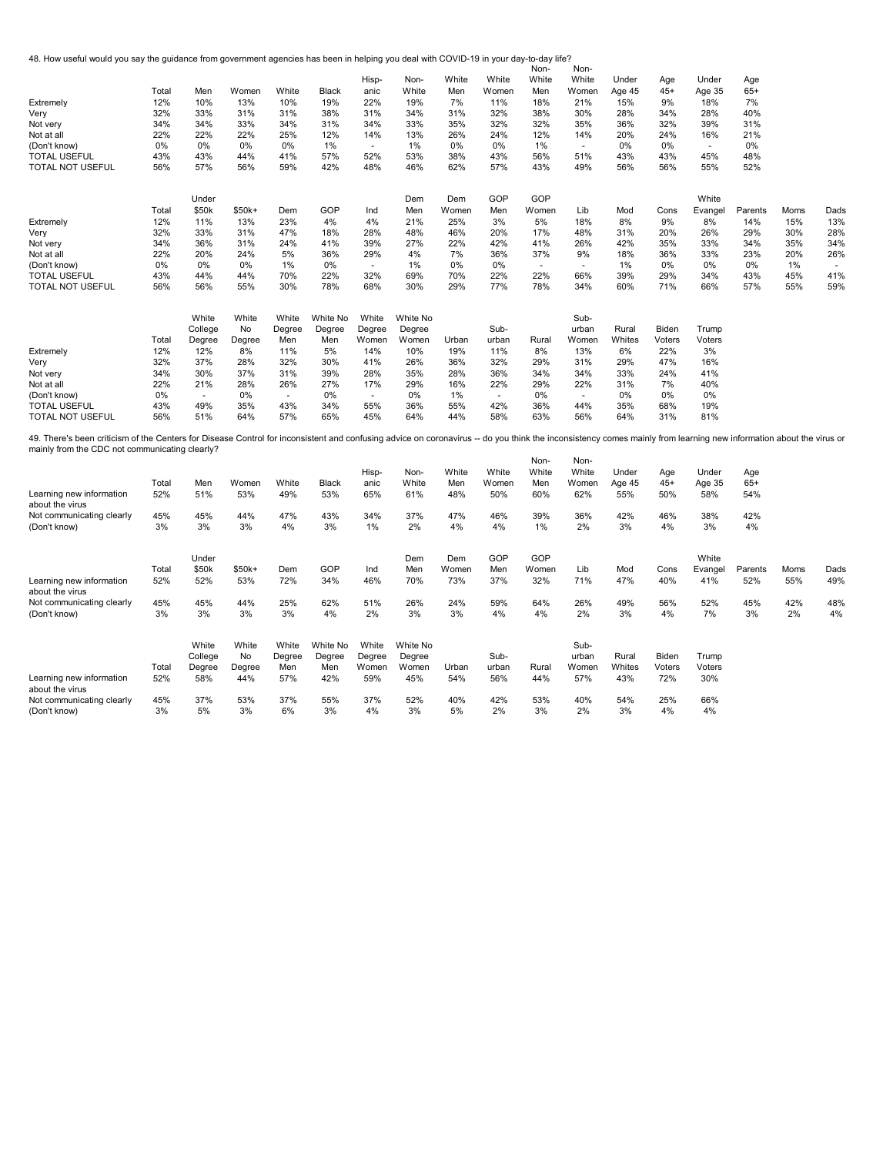48. How useful would you say the guidance from government agencies has been in helping you deal with COVID-19 in your day-to-day life? Non-

|                                                                                                                                                                                                                    |       |         |         |        |          |        |          |       |                | Non-   | Non-  |        |        |         |         |      |        |
|--------------------------------------------------------------------------------------------------------------------------------------------------------------------------------------------------------------------|-------|---------|---------|--------|----------|--------|----------|-------|----------------|--------|-------|--------|--------|---------|---------|------|--------|
|                                                                                                                                                                                                                    |       |         |         |        |          | Hisp-  | Non-     | White | White          | White  | White | Under  | Age    | Under   | Age     |      |        |
|                                                                                                                                                                                                                    | Total | Men     | Women   | White  | Black    | anic   | White    | Men   | Women          | Men    | Women | Age 45 | $45+$  | Age 35  | $65+$   |      |        |
| Extremely                                                                                                                                                                                                          | 12%   | 10%     | 13%     | 10%    | 19%      | 22%    | 19%      | 7%    | 11%            | 18%    | 21%   | 15%    | 9%     | 18%     | 7%      |      |        |
| Very                                                                                                                                                                                                               | 32%   | 33%     | 31%     | 31%    | 38%      | 31%    | 34%      | 31%   | 32%            | 38%    | 30%   | 28%    | 34%    | 28%     | 40%     |      |        |
|                                                                                                                                                                                                                    |       |         |         |        |          |        |          |       |                |        |       |        |        |         |         |      |        |
| Not very                                                                                                                                                                                                           | 34%   | 34%     | 33%     | 34%    | 31%      | 34%    | 33%      | 35%   | 32%            | 32%    | 35%   | 36%    | 32%    | 39%     | 31%     |      |        |
| Not at all                                                                                                                                                                                                         | 22%   | 22%     | 22%     | 25%    | 12%      | 14%    | 13%      | 26%   | 24%            | 12%    | 14%   | 20%    | 24%    | 16%     | 21%     |      |        |
| (Don't know)                                                                                                                                                                                                       | 0%    | 0%      | 0%      | 0%     | 1%       | $\sim$ | 1%       | 0%    | 0%             | 1%     | ×.    | 0%     | 0%     | $\sim$  | 0%      |      |        |
| <b>TOTAL USEFUL</b>                                                                                                                                                                                                | 43%   | 43%     | 44%     | 41%    | 57%      | 52%    | 53%      | 38%   | 43%            | 56%    | 51%   | 43%    | 43%    | 45%     | 48%     |      |        |
| TOTAL NOT USEFUL                                                                                                                                                                                                   | 56%   | 57%     | 56%     | 59%    | 42%      | 48%    | 46%      | 62%   | 57%            | 43%    | 49%   | 56%    | 56%    | 55%     | 52%     |      |        |
|                                                                                                                                                                                                                    |       |         |         |        |          |        |          |       |                |        |       |        |        |         |         |      |        |
|                                                                                                                                                                                                                    |       | Under   |         |        |          |        | Dem      | Dem   | GOP            | GOP    |       |        |        | White   |         |      |        |
|                                                                                                                                                                                                                    | Total | \$50k   | $$50k+$ | Dem    | GOP      | Ind    | Men      | Women | Men            | Women  | Lib   | Mod    | Cons   | Evangel | Parents | Moms | Dads   |
| Extremely                                                                                                                                                                                                          | 12%   | 11%     | 13%     | 23%    | 4%       | 4%     | 21%      | 25%   | 3%             | 5%     | 18%   | 8%     | 9%     | 8%      | 14%     | 15%  | 13%    |
| Very                                                                                                                                                                                                               | 32%   | 33%     | 31%     | 47%    | 18%      | 28%    | 48%      | 46%   | 20%            | 17%    | 48%   | 31%    | 20%    | 26%     | 29%     | 30%  | 28%    |
| Not very                                                                                                                                                                                                           | 34%   | 36%     | 31%     | 24%    | 41%      | 39%    | 27%      | 22%   | 42%            | 41%    | 26%   | 42%    | 35%    | 33%     | 34%     | 35%  | 34%    |
| Not at all                                                                                                                                                                                                         | 22%   | 20%     | 24%     | 5%     | 36%      | 29%    | 4%       | 7%    | 36%            | 37%    | 9%    | 18%    | 36%    | 33%     | 23%     | 20%  | 26%    |
| (Don't know)                                                                                                                                                                                                       | 0%    | 0%      | 0%      | 1%     | 0%       | $\sim$ | 1%       | 0%    | 0%             | $\sim$ | i.    | 1%     | 0%     | 0%      | 0%      | 1%   | $\sim$ |
|                                                                                                                                                                                                                    |       |         |         |        |          |        |          |       |                |        |       |        |        |         |         |      | 41%    |
| <b>TOTAL USEFUL</b>                                                                                                                                                                                                | 43%   | 44%     | 44%     | 70%    | 22%      | 32%    | 69%      | 70%   | 22%            | 22%    | 66%   | 39%    | 29%    | 34%     | 43%     | 45%  |        |
| TOTAL NOT USEFUL                                                                                                                                                                                                   | 56%   | 56%     | 55%     | 30%    | 78%      | 68%    | 30%      | 29%   | 77%            | 78%    | 34%   | 60%    | 71%    | 66%     | 57%     | 55%  | 59%    |
|                                                                                                                                                                                                                    |       | White   | White   | White  | White No | White  | White No |       |                |        | Sub-  |        |        |         |         |      |        |
|                                                                                                                                                                                                                    |       |         |         |        |          |        |          |       |                |        |       |        |        |         |         |      |        |
|                                                                                                                                                                                                                    |       | College | No      | Degree | Degree   | Degree | Degree   |       | Sub-           |        | urban | Rural  | Biden  | Trump   |         |      |        |
|                                                                                                                                                                                                                    | Total | Degree  | Degree  | Men    | Men      | Women  | Women    | Urban | urban          | Rural  | Women | Whites | Voters | Voters  |         |      |        |
| Extremely                                                                                                                                                                                                          | 12%   | 12%     | 8%      | 11%    | 5%       | 14%    | 10%      | 19%   | 11%            | 8%     | 13%   | 6%     | 22%    | 3%      |         |      |        |
| Very                                                                                                                                                                                                               | 32%   | 37%     | 28%     | 32%    | 30%      | 41%    | 26%      | 36%   | 32%            | 29%    | 31%   | 29%    | 47%    | 16%     |         |      |        |
| Not very                                                                                                                                                                                                           | 34%   | 30%     | 37%     | 31%    | 39%      | 28%    | 35%      | 28%   | 36%            | 34%    | 34%   | 33%    | 24%    | 41%     |         |      |        |
| Not at all                                                                                                                                                                                                         | 22%   | 21%     | 28%     | 26%    | 27%      | 17%    | 29%      | 16%   | 22%            | 29%    | 22%   | 31%    | 7%     | 40%     |         |      |        |
| (Don't know)                                                                                                                                                                                                       | 0%    | ÷.      | 0%      | $\sim$ | 0%       | $\sim$ | 0%       | 1%    | $\overline{a}$ | 0%     |       | 0%     | 0%     | 0%      |         |      |        |
|                                                                                                                                                                                                                    |       |         |         |        |          |        |          |       |                |        |       |        |        |         |         |      |        |
| <b>TOTAL USEFUL</b>                                                                                                                                                                                                | 43%   | 49%     | 35%     | 43%    | 34%      | 55%    | 36%      | 55%   | 42%            | 36%    | 44%   | 35%    | 68%    | 19%     |         |      |        |
| <b>TOTAL NOT USEFUL</b>                                                                                                                                                                                            | 56%   | 51%     | 64%     | 57%    | 65%      | 45%    | 64%      | 44%   | 58%            | 63%    | 56%   | 64%    | 31%    | 81%     |         |      |        |
| 49. There's been criticism of the Centers for Disease Control for inconsistent and confusing advice on coronavirus -- do you think the inconsistency comes mainly from learning new information about the virus or |       |         |         |        |          |        |          |       |                |        |       |        |        |         |         |      |        |
| mainly from the CDC not communicating clearly?                                                                                                                                                                     |       |         |         |        |          |        |          |       |                | Non-   | Non-  |        |        |         |         |      |        |
|                                                                                                                                                                                                                    |       |         |         |        |          |        |          |       |                |        |       |        |        |         |         |      |        |
|                                                                                                                                                                                                                    |       |         |         |        |          | Hisp-  | Non-     | White | White          | White  | White | Under  | Age    | Under   | Age     |      |        |
|                                                                                                                                                                                                                    | Total | Men     | Women   | White  | Black    | anic   | White    | Men   | Women          | Men    | Women | Age 45 | $45+$  | Age 35  | $65+$   |      |        |
| Learning new information<br>about the virus                                                                                                                                                                        | 52%   | 51%     | 53%     | 49%    | 53%      | 65%    | 61%      | 48%   | 50%            | 60%    | 62%   | 55%    | 50%    | 58%     | 54%     |      |        |
|                                                                                                                                                                                                                    | 45%   | 45%     | 44%     | 47%    | 43%      | 34%    | 37%      | 47%   | 46%            | 39%    | 36%   | 42%    | 46%    | 38%     | 42%     |      |        |
| Not communicating clearly                                                                                                                                                                                          |       |         |         |        |          |        |          |       |                |        |       |        |        |         |         |      |        |
| (Don't know)                                                                                                                                                                                                       | 3%    | 3%      | 3%      | 4%     | 3%       | 1%     | 2%       | 4%    | 4%             | 1%     | 2%    | 3%     | 4%     | 3%      | 4%      |      |        |
|                                                                                                                                                                                                                    |       | Under   |         |        |          |        | Dem      | Dem   | GOP            | GOP    |       |        |        | White   |         |      |        |
|                                                                                                                                                                                                                    | Total | \$50k   | $$50k+$ | Dem    | GOP      | Ind    | Men      | Women | Men            | Women  | Lib   | Mod    | Cons   |         |         | Moms | Dads   |
|                                                                                                                                                                                                                    |       |         |         |        |          |        |          |       |                |        |       |        |        | Evangel | Parents |      |        |
| Learning new information<br>about the virus                                                                                                                                                                        | 52%   | 52%     | 53%     | 72%    | 34%      | 46%    | 70%      | 73%   | 37%            | 32%    | 71%   | 47%    | 40%    | 41%     | 52%     | 55%  | 49%    |
| Not communicating clearly                                                                                                                                                                                          | 45%   | 45%     | 44%     | 25%    | 62%      | 51%    | 26%      | 24%   | 59%            | 64%    | 26%   | 49%    | 56%    | 52%     | 45%     | 42%  | 48%    |
| (Don't know)                                                                                                                                                                                                       | 3%    | 3%      | 3%      | 3%     | 4%       | 2%     | 3%       | 3%    | 4%             | 4%     | 2%    | 3%     | 4%     | 7%      | 3%      | 2%   | 4%     |
|                                                                                                                                                                                                                    |       |         |         |        |          |        |          |       |                |        |       |        |        |         |         |      |        |
|                                                                                                                                                                                                                    |       | White   | White   | White  | White No | White  | White No |       |                |        | Sub-  |        |        |         |         |      |        |
|                                                                                                                                                                                                                    |       | College | No      | Degree | Degree   | Degree | Degree   |       | Sub-           |        | urban | Rural  | Biden  | Trump   |         |      |        |
|                                                                                                                                                                                                                    | Total | Degree  | Degree  | Men    | Men      | Women  | Women    | Urban | urban          | Rural  | Women | Whites | Voters | Voters  |         |      |        |
| Learning new information                                                                                                                                                                                           | 52%   | 58%     | 44%     | 57%    | 42%      | 59%    | 45%      | 54%   | 56%            | 44%    | 57%   | 43%    | 72%    | 30%     |         |      |        |
| about the virus                                                                                                                                                                                                    |       |         |         |        |          |        |          |       |                |        |       |        |        |         |         |      |        |
|                                                                                                                                                                                                                    | 45%   | 37%     | 53%     | 37%    | 55%      | 37%    | 52%      | 40%   | 42%            | 53%    | 40%   | 54%    | 25%    | 66%     |         |      |        |
| Not communicating clearly                                                                                                                                                                                          |       |         |         |        |          |        |          |       |                |        |       |        |        |         |         |      |        |
| (Don't know)                                                                                                                                                                                                       | 3%    | 5%      | 3%      | 6%     | 3%       | 4%     | 3%       | 5%    | 2%             | 3%     | 2%    | 3%     | 4%     | 4%      |         |      |        |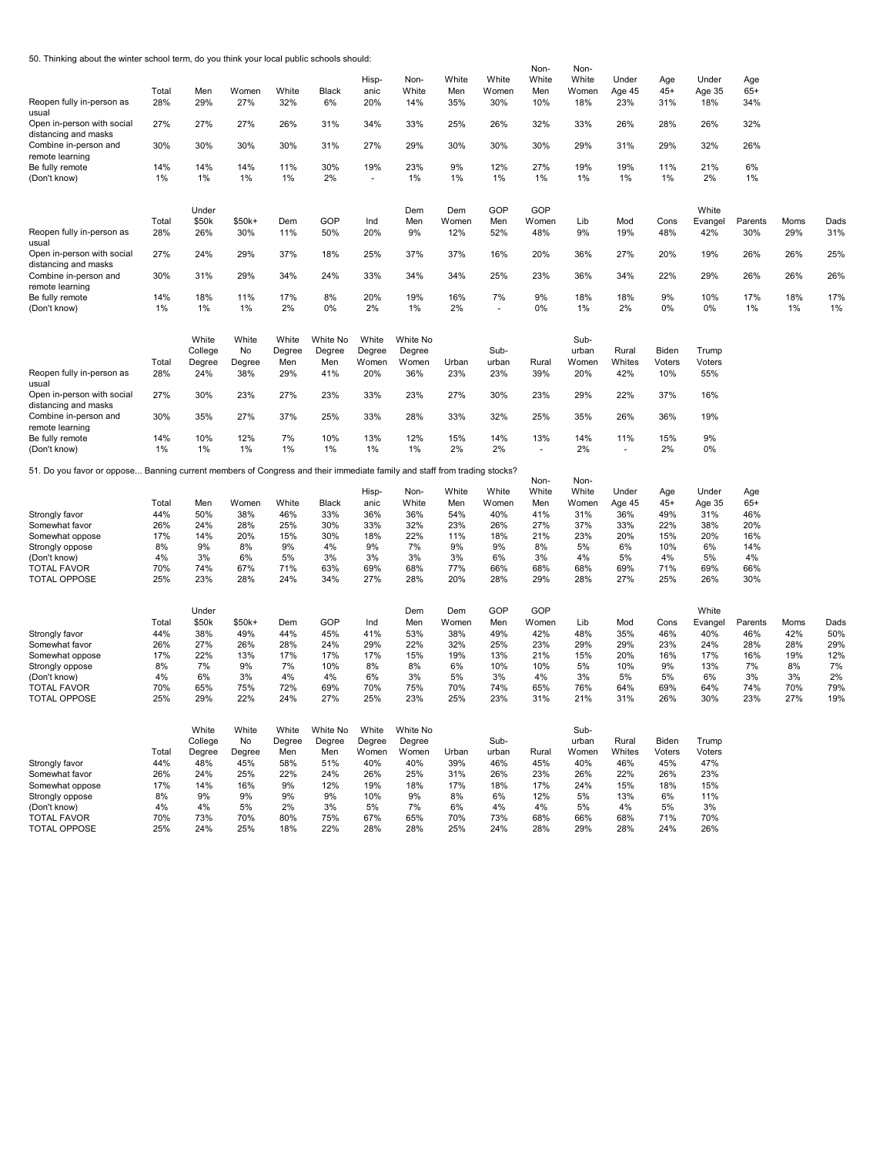50. Thinking about the winter school term, do you think your local public schools should:

|                                                                                                                          |              |               |               |              |              | Hisp-        | Non-         | White        | White        | Non-<br>White  | Non-<br>White | Under         | Age           | Under         | Age          |           |           |
|--------------------------------------------------------------------------------------------------------------------------|--------------|---------------|---------------|--------------|--------------|--------------|--------------|--------------|--------------|----------------|---------------|---------------|---------------|---------------|--------------|-----------|-----------|
|                                                                                                                          | Total        | Men           | Women         | White        | Black        | anic         | White        | Men          | Women        | Men            | Women         | Age 45        | $45+$         | Age 35        | $65+$        |           |           |
| Reopen fully in-person as<br>usual                                                                                       | 28%          | 29%           | 27%           | 32%          | 6%           | 20%          | 14%          | 35%          | 30%          | 10%            | 18%           | 23%           | 31%           | 18%           | 34%          |           |           |
| Open in-person with social<br>distancing and masks                                                                       | 27%          | 27%           | 27%           | 26%          | 31%          | 34%          | 33%          | 25%          | 26%          | 32%            | 33%           | 26%           | 28%           | 26%           | 32%          |           |           |
| Combine in-person and<br>remote learning                                                                                 | 30%          | 30%           | 30%           | 30%          | 31%          | 27%          | 29%          | 30%          | 30%          | 30%            | 29%           | 31%           | 29%           | 32%           | 26%          |           |           |
| Be fully remote                                                                                                          | 14%          | 14%           | 14%           | 11%          | 30%          | 19%          | 23%          | 9%           | 12%          | 27%            | 19%           | 19%           | 11%           | 21%           | 6%           |           |           |
| (Don't know)                                                                                                             | 1%           | 1%            | 1%            | 1%           | 2%           |              | 1%           | 1%           | 1%           | 1%             | $1\%$         | $1\%$         | 1%            | 2%            | 1%           |           |           |
|                                                                                                                          |              | Under         |               |              |              |              | Dem          | Dem          | GOP          | GOP            |               |               |               | White         |              |           |           |
|                                                                                                                          | Total        | \$50k         | \$50k+        | Dem          | GOP          | Ind          | Men          | Women        | Men          | Women          | Lib           | Mod           | Cons          | Evangel       | Parents      | Moms      | Dads      |
| Reopen fully in-person as<br>usual                                                                                       | 28%          | 26%           | 30%           | 11%          | 50%          | 20%          | 9%           | 12%          | 52%          | 48%            | 9%            | 19%           | 48%           | 42%           | 30%          | 29%       | 31%       |
| Open in-person with social                                                                                               | 27%          | 24%           | 29%           | 37%          | 18%          | 25%          | 37%          | 37%          | 16%          | 20%            | 36%           | 27%           | 20%           | 19%           | 26%          | 26%       | 25%       |
| distancing and masks<br>Combine in-person and                                                                            | 30%          | 31%           | 29%           | 34%          | 24%          | 33%          | 34%          | 34%          | 25%          | 23%            | 36%           | 34%           | 22%           | 29%           | 26%          | 26%       | 26%       |
| remote learning                                                                                                          |              |               |               |              |              |              |              |              |              |                |               |               |               |               |              |           |           |
| Be fully remote<br>(Don't know)                                                                                          | 14%<br>1%    | 18%<br>1%     | 11%<br>1%     | 17%<br>2%    | 8%<br>0%     | 20%<br>2%    | 19%<br>1%    | 16%<br>2%    | 7%           | 9%<br>0%       | 18%<br>1%     | 18%<br>2%     | 9%<br>0%      | 10%<br>0%     | 17%<br>1%    | 18%<br>1% | 17%<br>1% |
|                                                                                                                          |              |               |               |              |              |              |              |              |              |                |               |               |               |               |              |           |           |
|                                                                                                                          |              | White         | White         | White        | White No     | White        | White No     |              |              |                | Sub-          |               |               |               |              |           |           |
|                                                                                                                          |              | College       | No            | Degree       | Degree       | Degree       | Degree       |              | Sub-         |                | urban         | Rural         | Biden         | Trump         |              |           |           |
| Reopen fully in-person as                                                                                                | Total<br>28% | Degree<br>24% | Degree<br>38% | Men<br>29%   | Men<br>41%   | Women<br>20% | Women<br>36% | Urban<br>23% | urban<br>23% | Rural<br>39%   | Women<br>20%  | Whites<br>42% | Voters<br>10% | Voters<br>55% |              |           |           |
| usual<br>Open in-person with social                                                                                      | 27%          | 30%           | 23%           | 27%          | 23%          | 33%          | 23%          | 27%          | 30%          | 23%            | 29%           | 22%           | 37%           | 16%           |              |           |           |
| distancing and masks<br>Combine in-person and                                                                            | 30%          | 35%           | 27%           | 37%          | 25%          | 33%          | 28%          | 33%          | 32%          | 25%            | 35%           | 26%           | 36%           | 19%           |              |           |           |
| remote learning                                                                                                          |              |               |               |              |              |              |              |              |              |                |               |               |               |               |              |           |           |
| Be fully remote                                                                                                          | 14%          | 10%           | 12%           | 7%           | 10%          | 13%          | 12%          | 15%          | 14%          | 13%            | 14%           | 11%           | 15%           | 9%            |              |           |           |
| (Don't know)                                                                                                             | 1%           | 1%            | 1%            | 1%           | 1%           | 1%           | 1%           | 2%           | 2%           | $\overline{a}$ | 2%            |               | 2%            | 0%            |              |           |           |
| 51. Do you favor or oppose Banning current members of Congress and their immediate family and staff from trading stocks? |              |               |               |              |              |              |              |              |              |                |               |               |               |               |              |           |           |
|                                                                                                                          |              |               |               |              |              |              |              |              |              |                |               |               |               |               |              |           |           |
|                                                                                                                          |              |               |               |              |              |              |              |              |              | Non-           | Non-          |               |               |               |              |           |           |
|                                                                                                                          |              |               |               |              |              | Hisp-        | Non-         | White        | White        | White          | White         | Under         | Age           | Under         | Age          |           |           |
|                                                                                                                          | Total<br>44% | Men<br>50%    | Women<br>38%  | White<br>46% | Black<br>33% | anic<br>36%  | White<br>36% | Men<br>54%   | Women<br>40% | Men<br>41%     | Women<br>31%  | Age 45<br>36% | $45+$         | Age 35        | $65+$<br>46% |           |           |
| Strongly favor<br>Somewhat favor                                                                                         | 26%          | 24%           | 28%           | 25%          | 30%          | 33%          | 32%          | 23%          | 26%          | 27%            | 37%           | 33%           | 49%<br>22%    | 31%<br>38%    | 20%          |           |           |
| Somewhat oppose                                                                                                          | 17%          | 14%           | 20%           | 15%          | 30%          | 18%          | 22%          | 11%          | 18%          | 21%            | 23%           | 20%           | 15%           | 20%           | 16%          |           |           |
| Strongly oppose                                                                                                          | 8%           | 9%            | 8%            | 9%           | 4%           | 9%           | 7%           | 9%           | 9%           | 8%             | 5%            | 6%            | 10%           | 6%            | 14%          |           |           |
| (Don't know)                                                                                                             | 4%           | 3%            | 6%            | 5%           | 3%           | 3%           | 3%           | 3%           | 6%           | 3%             | 4%            | 5%            | 4%            | 5%            | 4%           |           |           |
| <b>TOTAL FAVOR</b>                                                                                                       | 70%          | 74%           | 67%           | 71%          | 63%          | 69%          | 68%          | 77%          | 66%          | 68%            | 68%           | 69%           | 71%           | 69%           | 66%          |           |           |
| <b>TOTAL OPPOSE</b>                                                                                                      | 25%          | 23%           | 28%           | 24%          | 34%          | 27%          | 28%          | 20%          | 28%          | 29%            | 28%           | 27%           | 25%           | 26%           | 30%          |           |           |
|                                                                                                                          |              | Under         |               |              |              |              | Dem          | Dem          | GOP          | GOP            |               |               |               | White         |              |           |           |
|                                                                                                                          | Total        | \$50k         | $$50k+$       | Dem          | GOP          | Ind          | Men          | Women        | Men          | Women          | Lib           | Mod           | Cons          | Evangel       | Parents      | Moms      | Dads      |
| Strongly favor                                                                                                           | 44%          | 38%           | 49%           | 44%          | 45%          | 41%          | 53%          | 38%          | 49%          | 42%            | 48%           | 35%           | 46%           | 40%           | 46%          | 42%       | 50%       |
| Somewhat favor                                                                                                           | 26%          | 27%           | 26%           | 28%          | 24%          | 29%          | 22%          | 32%          | 25%          | 23%            | 29%           | 29%           | 23%           | 24%           | 28%          | 28%       | 29%       |
| Somewhat oppose                                                                                                          | 17%          | 22%           | 13%           | 17%          | 17%          | 17%          | 15%          | 19%          | 13%          | 21%            | 15%           | 20%           | 16%           | 17%           | 16%          | 19%       | 12%       |
| Strongly oppose                                                                                                          | 8%           | 7%            | 9%            | 7%           | 10%          | 8%           | 8%           | 6%           | 10%          | 10%            | 5%            | 10%           | 9%            | 13%           | 7%           | 8%        | 7%        |
| (Don't know)                                                                                                             | 4%           | 6%            | 3%            | 4%           | 4%           | 6%           | 3%           | 5%           | 3%           | 4%             | 3%            | 5%            | 5%            | 6%            | 3%           | 3%        | 2%        |
| <b>TOTAL FAVOR</b>                                                                                                       | 70%          | 65%           | 75%           | 72%          | 69%          | 70%          | 75%          | 70%          | 74%          | 65%            | 76%           | 64%           | 69%           | 64%           | 74%          | 70%       | 79%       |
| <b>TOTAL OPPOSE</b>                                                                                                      | 25%          | 29%           | 22%           | 24%          | 27%          | 25%          | 23%          | 25%          | 23%          | 31%            | 21%           | 31%           | 26%           | 30%           | 23%          | 27%       | 19%       |
|                                                                                                                          |              | White         | White         | White        | White No     | White        | White No     |              |              |                | Sub-          |               |               |               |              |           |           |
|                                                                                                                          |              | College       | No            | Degree       | Degree       | Degree       | Degree       |              | Sub-         |                | urban         | Rural         | Biden         | Trump         |              |           |           |
|                                                                                                                          | Total        | Degree        | Degree        | Men          | Men          | Women        | Women        | Urban        | urban        | Rural          | Women         | Whites        | Voters        | Voters        |              |           |           |
| Strongly favor                                                                                                           | 44%          | 48%           | 45%           | 58%          | 51%          | 40%          | 40%          | 39%          | 46%          | 45%            | 40%           | 46%           | 45%           | 47%           |              |           |           |
| Somewhat favor                                                                                                           | 26%          | 24%           | 25%           | 22%          | 24%          | 26%          | 25%          | 31%          | 26%          | 23%            | 26%           | 22%           | 26%           | 23%           |              |           |           |
| Somewhat oppose                                                                                                          | 17%          | 14%           | 16%           | 9%           | 12%          | 19%          | 18%          | 17%          | 18%          | 17%            | 24%           | 15%           | 18%           | 15%           |              |           |           |
| Strongly oppose<br>(Don't know)                                                                                          | 8%<br>4%     | 9%<br>4%      | 9%<br>5%      | 9%<br>2%     | 9%<br>3%     | 10%<br>5%    | 9%<br>7%     | 8%<br>6%     | 6%<br>4%     | 12%<br>4%      | 5%<br>5%      | 13%<br>4%     | 6%<br>5%      | 11%<br>3%     |              |           |           |
| <b>TOTAL FAVOR</b>                                                                                                       | 70%          | 73%           | 70%           | 80%          | 75%          | 67%          | 65%          | 70%          | 73%          | 68%            | 66%           | 68%           | 71%           | 70%           |              |           |           |
| <b>TOTAL OPPOSE</b>                                                                                                      | 25%          | 24%           | 25%           | 18%          | 22%          | 28%          | 28%          | 25%          | 24%          | 28%            | 29%           | 28%           | 24%           | 26%           |              |           |           |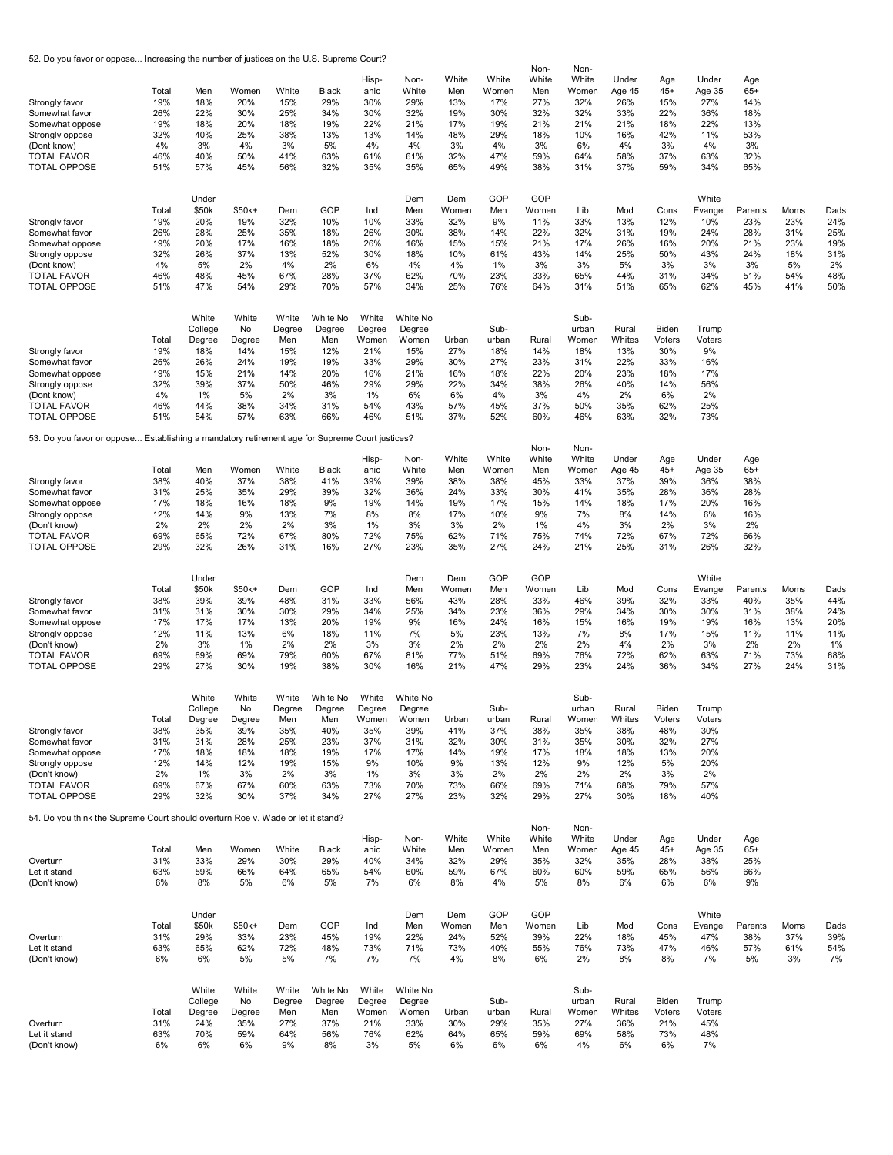52. Do you favor or oppose... Increasing the number of justices on the U.S. Supreme Court?

| Strongly favor<br>Somewhat favor<br>Somewhat oppose<br>Strongly oppose<br>(Dont know)<br><b>TOTAL FAVOR</b><br><b>TOTAL OPPOSE</b>  | Total<br>19%<br>26%<br>19%<br>32%<br>4%<br>46%<br>51% | Men<br>18%<br>22%<br>18%<br>40%<br>3%<br>40%<br>57%                        | Women<br>20%<br>30%<br>20%<br>25%<br>4%<br>50%<br>45%                 | White<br>15%<br>25%<br>18%<br>38%<br>3%<br>41%<br>56%                  | Black<br>29%<br>34%<br>19%<br>13%<br>5%<br>63%<br>32%                     | Hisp-<br>anic<br>30%<br>30%<br>22%<br>13%<br>4%<br>61%<br>35%            | Non-<br>White<br>29%<br>32%<br>21%<br>14%<br>4%<br>61%<br>35%               | White<br>Men<br>13%<br>19%<br>17%<br>48%<br>3%<br>32%<br>65% | White<br>Women<br>17%<br>30%<br>19%<br>29%<br>4%<br>47%<br>49% | Non-<br>White<br>Men<br>27%<br>32%<br>21%<br>18%<br>3%<br>59%<br>38% | Non-<br>White<br>Women<br>32%<br>32%<br>21%<br>10%<br>6%<br>64%<br>31% | Under<br>Age 45<br>26%<br>33%<br>21%<br>16%<br>4%<br>58%<br>37% | Age<br>$45+$<br>15%<br>22%<br>18%<br>42%<br>3%<br>37%<br>59%    | Under<br>Age 35<br>27%<br>36%<br>22%<br>11%<br>4%<br>63%<br>34%  | Age<br>$65+$<br>14%<br>18%<br>13%<br>53%<br>3%<br>32%<br>65% |                                                      |                                                      |
|-------------------------------------------------------------------------------------------------------------------------------------|-------------------------------------------------------|----------------------------------------------------------------------------|-----------------------------------------------------------------------|------------------------------------------------------------------------|---------------------------------------------------------------------------|--------------------------------------------------------------------------|-----------------------------------------------------------------------------|--------------------------------------------------------------|----------------------------------------------------------------|----------------------------------------------------------------------|------------------------------------------------------------------------|-----------------------------------------------------------------|-----------------------------------------------------------------|------------------------------------------------------------------|--------------------------------------------------------------|------------------------------------------------------|------------------------------------------------------|
| Strongly favor<br>Somewhat favor<br>Somewhat oppose<br>Strongly oppose<br>(Dont know)<br><b>TOTAL FAVOR</b><br><b>TOTAL OPPOSE</b>  | Total<br>19%<br>26%<br>19%<br>32%<br>4%<br>46%<br>51% | Under<br>\$50k<br>20%<br>28%<br>20%<br>26%<br>5%<br>48%<br>47%             | $$50k+$<br>19%<br>25%<br>17%<br>37%<br>2%<br>45%<br>54%               | Dem<br>32%<br>35%<br>16%<br>13%<br>4%<br>67%<br>29%                    | GOP<br>10%<br>18%<br>18%<br>52%<br>2%<br>28%<br>70%                       | Ind<br>10%<br>26%<br>26%<br>30%<br>6%<br>37%<br>57%                      | Dem<br>Men<br>33%<br>30%<br>16%<br>18%<br>4%<br>62%<br>34%                  | Dem<br>Women<br>32%<br>38%<br>15%<br>10%<br>4%<br>70%<br>25% | GOP<br>Men<br>9%<br>14%<br>15%<br>61%<br>1%<br>23%<br>76%      | GOP<br>Women<br>11%<br>22%<br>21%<br>43%<br>3%<br>33%<br>64%         | Lib<br>33%<br>32%<br>17%<br>14%<br>3%<br>65%<br>31%                    | Mod<br>13%<br>31%<br>26%<br>25%<br>5%<br>44%<br>51%             | Cons<br>12%<br>19%<br>16%<br>50%<br>3%<br>31%<br>65%            | White<br>Evangel<br>10%<br>24%<br>20%<br>43%<br>3%<br>34%<br>62% | Parents<br>23%<br>28%<br>21%<br>24%<br>3%<br>51%<br>45%      | Moms<br>23%<br>31%<br>23%<br>18%<br>5%<br>54%<br>41% | Dads<br>24%<br>25%<br>19%<br>31%<br>2%<br>48%<br>50% |
| Strongly favor<br>Somewhat favor<br>Somewhat oppose<br>Strongly oppose<br>(Dont know)<br><b>TOTAL FAVOR</b><br><b>TOTAL OPPOSE</b>  | Total<br>19%<br>26%<br>19%<br>32%<br>4%<br>46%<br>51% | White<br>College<br>Degree<br>18%<br>26%<br>15%<br>39%<br>1%<br>44%<br>54% | White<br>No<br>Degree<br>14%<br>24%<br>21%<br>37%<br>5%<br>38%<br>57% | White<br>Degree<br>Men<br>15%<br>19%<br>14%<br>50%<br>2%<br>34%<br>63% | White No<br>Degree<br>Men<br>12%<br>19%<br>20%<br>46%<br>3%<br>31%<br>66% | White<br>Degree<br>Women<br>21%<br>33%<br>16%<br>29%<br>1%<br>54%<br>46% | White No<br>Degree<br>Women<br>15%<br>29%<br>21%<br>29%<br>6%<br>43%<br>51% | Urban<br>27%<br>30%<br>16%<br>22%<br>6%<br>57%<br>37%        | Sub-<br>urban<br>18%<br>27%<br>18%<br>34%<br>4%<br>45%<br>52%  | Rural<br>14%<br>23%<br>22%<br>38%<br>3%<br>37%<br>60%                | Sub-<br>urban<br>Women<br>18%<br>31%<br>20%<br>26%<br>4%<br>50%<br>46% | Rural<br>Whites<br>13%<br>22%<br>23%<br>40%<br>2%<br>35%<br>63% | Biden<br>Voters<br>30%<br>33%<br>18%<br>14%<br>6%<br>62%<br>32% | Trump<br>Voters<br>9%<br>16%<br>17%<br>56%<br>2%<br>25%<br>73%   |                                                              |                                                      |                                                      |
| 53. Do you favor or oppose Establishing a mandatory retirement age for Supreme Court justices?                                      |                                                       |                                                                            |                                                                       |                                                                        |                                                                           |                                                                          |                                                                             |                                                              |                                                                |                                                                      |                                                                        |                                                                 |                                                                 |                                                                  |                                                              |                                                      |                                                      |
| Strongly favor<br>Somewhat favor<br>Somewhat oppose<br>Strongly oppose<br>(Don't know)<br><b>TOTAL FAVOR</b><br><b>TOTAL OPPOSE</b> | Total<br>38%<br>31%<br>17%<br>12%<br>2%<br>69%<br>29% | Men<br>40%<br>25%<br>18%<br>14%<br>2%<br>65%<br>32%                        | Women<br>37%<br>35%<br>16%<br>9%<br>2%<br>72%<br>26%                  | White<br>38%<br>29%<br>18%<br>13%<br>2%<br>67%<br>31%                  | Black<br>41%<br>39%<br>9%<br>7%<br>3%<br>80%<br>16%                       | Hisp-<br>anic<br>39%<br>32%<br>19%<br>8%<br>1%<br>72%<br>27%             | Non-<br>White<br>39%<br>36%<br>14%<br>8%<br>3%<br>75%<br>23%                | White<br>Men<br>38%<br>24%<br>19%<br>17%<br>3%<br>62%<br>35% | White<br>Women<br>38%<br>33%<br>17%<br>10%<br>2%<br>71%<br>27% | Non-<br>White<br>Men<br>45%<br>30%<br>15%<br>9%<br>1%<br>75%<br>24%  | Non-<br>White<br>Women<br>33%<br>41%<br>14%<br>7%<br>4%<br>74%<br>21%  | Under<br>Age 45<br>37%<br>35%<br>18%<br>8%<br>3%<br>72%<br>25%  | Age<br>$45+$<br>39%<br>28%<br>17%<br>14%<br>2%<br>67%<br>31%    | Under<br>Age 35<br>36%<br>36%<br>20%<br>6%<br>3%<br>72%<br>26%   | Age<br>$65+$<br>38%<br>28%<br>16%<br>16%<br>2%<br>66%<br>32% |                                                      |                                                      |
| Strongly favor<br>Somewhat favor<br>Somewhat oppose<br>Strongly oppose<br>(Don't know)<br><b>TOTAL FAVOR</b><br><b>TOTAL OPPOSE</b> | Total<br>38%<br>31%<br>17%<br>12%<br>2%<br>69%<br>29% | Under<br>\$50k<br>39%<br>31%<br>17%<br>11%<br>3%<br>69%<br>27%             | $$50k+$<br>39%<br>30%<br>17%<br>13%<br>1%<br>69%<br>30%               | Dem<br>48%<br>30%<br>13%<br>6%<br>2%<br>79%<br>19%                     | GOP<br>31%<br>29%<br>20%<br>18%<br>2%<br>60%<br>38%                       | Ind<br>33%<br>34%<br>19%<br>11%<br>3%<br>67%<br>30%                      | Dem<br>Men<br>56%<br>25%<br>9%<br>7%<br>3%<br>81%<br>16%                    | Dem<br>Women<br>43%<br>34%<br>16%<br>5%<br>2%<br>77%<br>21%  | GOP<br>Men<br>28%<br>23%<br>24%<br>23%<br>2%<br>51%<br>47%     | GOP<br>Women<br>33%<br>36%<br>16%<br>13%<br>2%<br>69%<br>29%         | Lib<br>46%<br>29%<br>15%<br>7%<br>2%<br>76%<br>23%                     | Mod<br>39%<br>34%<br>16%<br>8%<br>4%<br>72%<br>24%              | Cons<br>32%<br>30%<br>19%<br>17%<br>2%<br>62%<br>36%            | White<br>Evangel<br>33%<br>30%<br>19%<br>15%<br>3%<br>63%<br>34% | Parents<br>40%<br>31%<br>16%<br>11%<br>2%<br>71%<br>27%      | Moms<br>35%<br>38%<br>13%<br>11%<br>2%<br>73%<br>24% | Dads<br>44%<br>24%<br>20%<br>11%<br>1%<br>68%<br>31% |
| Strongly favor<br>Somewhat favor<br>Somewhat oppose<br>Strongly oppose<br>(Don't know)<br><b>TOTAL FAVOR</b><br><b>TOTAL OPPOSE</b> | Total<br>38%<br>31%<br>17%<br>12%<br>2%<br>69%<br>29% | White<br>College<br>Degree<br>35%<br>31%<br>18%<br>14%<br>1%<br>67%<br>32% | White<br>No<br>Degree<br>39%<br>28%<br>18%<br>12%<br>3%<br>67%<br>30% | White<br>Degree<br>Men<br>35%<br>25%<br>18%<br>19%<br>2%<br>60%<br>37% | White No<br>Degree<br>Men<br>40%<br>23%<br>19%<br>15%<br>3%<br>63%<br>34% | White<br>Degree<br>Women<br>35%<br>37%<br>17%<br>9%<br>1%<br>73%<br>27%  | White No<br>Degree<br>Women<br>39%<br>31%<br>17%<br>10%<br>3%<br>70%<br>27% | Urban<br>41%<br>32%<br>14%<br>9%<br>3%<br>73%<br>23%         | Sub-<br>urban<br>37%<br>30%<br>19%<br>13%<br>2%<br>66%<br>32%  | Rural<br>38%<br>31%<br>17%<br>12%<br>2%<br>69%<br>29%                | Sub-<br>urban<br>Women<br>35%<br>35%<br>18%<br>9%<br>2%<br>71%<br>27%  | Rural<br>Whites<br>38%<br>30%<br>18%<br>12%<br>2%<br>68%<br>30% | Biden<br>Voters<br>48%<br>32%<br>13%<br>5%<br>3%<br>79%<br>18%  | Trump<br>Voters<br>30%<br>27%<br>20%<br>20%<br>2%<br>57%<br>40%  |                                                              |                                                      |                                                      |
| 54. Do you think the Supreme Court should overturn Roe v. Wade or let it stand?                                                     |                                                       |                                                                            |                                                                       |                                                                        |                                                                           |                                                                          |                                                                             |                                                              |                                                                |                                                                      |                                                                        |                                                                 |                                                                 |                                                                  |                                                              |                                                      |                                                      |
| Overturn<br>Let it stand<br>(Don't know)                                                                                            | Total<br>31%<br>63%<br>6%                             | Men<br>33%<br>59%<br>8%                                                    | Women<br>29%<br>66%<br>5%                                             | White<br>30%<br>64%<br>6%                                              | Black<br>29%<br>65%<br>5%                                                 | Hisp-<br>anic<br>40%<br>54%<br>7%                                        | Non-<br>White<br>34%<br>60%<br>6%                                           | White<br>Men<br>32%<br>59%<br>8%                             | White<br>Women<br>29%<br>67%<br>4%                             | Non-<br>White<br>Men<br>35%<br>60%<br>5%                             | Non-<br>White<br>Women<br>32%<br>60%<br>8%                             | Under<br>Age 45<br>35%<br>59%<br>6%                             | Age<br>$45+$<br>28%<br>65%<br>6%                                | Under<br>Age 35<br>38%<br>56%<br>6%                              | Age<br>$65+$<br>25%<br>66%<br>9%                             |                                                      |                                                      |
| Overturn<br>Let it stand<br>(Don't know)                                                                                            | Total<br>31%<br>63%<br>6%                             | Under<br>\$50k<br>29%<br>65%<br>6%                                         | $$50k+$<br>33%<br>62%<br>5%                                           | Dem<br>23%<br>72%<br>5%                                                | GOP<br>45%<br>48%<br>7%                                                   | Ind<br>19%<br>73%<br>7%                                                  | Dem<br>Men<br>22%<br>71%<br>7%                                              | Dem<br>Women<br>24%<br>73%<br>4%                             | GOP<br>Men<br>52%<br>40%<br>8%                                 | GOP<br>Women<br>39%<br>55%<br>6%                                     | Lib<br>22%<br>76%<br>2%                                                | Mod<br>18%<br>73%<br>8%                                         | Cons<br>45%<br>47%<br>8%                                        | White<br>Evangel<br>47%<br>46%<br>7%                             | Parents<br>38%<br>57%<br>5%                                  | Moms<br>37%<br>61%<br>3%                             | Dads<br>39%<br>54%<br>7%                             |
| Overturn<br>Let it stand<br>(Don't know)                                                                                            | Total<br>31%<br>63%<br>6%                             | White<br>College<br>Degree<br>24%<br>70%<br>6%                             | White<br>No<br>Degree<br>35%<br>59%<br>6%                             | White<br>Degree<br>Men<br>27%<br>64%<br>9%                             | White No<br>Degree<br>Men<br>37%<br>56%<br>8%                             | White<br>Degree<br>Women<br>21%<br>76%<br>3%                             | White No<br>Degree<br>Women<br>33%<br>62%<br>5%                             | Urban<br>30%<br>64%<br>6%                                    | Sub-<br>urban<br>29%<br>65%<br>6%                              | Rural<br>35%<br>59%<br>6%                                            | Sub-<br>urban<br>Women<br>27%<br>69%<br>4%                             | Rural<br>Whites<br>36%<br>58%<br>6%                             | Biden<br>Voters<br>21%<br>73%<br>6%                             | Trump<br>Voters<br>45%<br>48%<br>7%                              |                                                              |                                                      |                                                      |